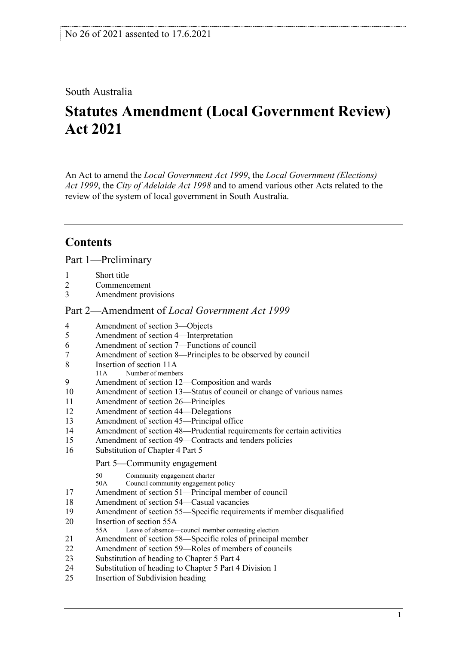# South Australia

# **Statutes Amendment (Local Government Review) Act 2021**

An Act to amend the *[Local Government Act](http://www.legislation.sa.gov.au/index.aspx?action=legref&type=act&legtitle=Local%20Government%20Act%201999) 1999*, the *[Local Government \(Elections\)](http://www.legislation.sa.gov.au/index.aspx?action=legref&type=act&legtitle=Local%20Government%20(Elections)%20Act%201999)  Act [1999](http://www.legislation.sa.gov.au/index.aspx?action=legref&type=act&legtitle=Local%20Government%20(Elections)%20Act%201999)*, the *[City of Adelaide](http://www.legislation.sa.gov.au/index.aspx?action=legref&type=act&legtitle=City%20of%20Adelaide%20Act%201998) Act 1998* and to amend various other Acts related to the review of the system of local government in South Australia.

# **Contents**

Part [1—Preliminary](#page-6-0)

- [Commencement](#page-6-2)
- [Amendment provisions](#page-6-3)

#### Part [2—Amendment of](#page-6-4) *Local Government Act 1999*

- [Amendment of section 3—Objects](#page-6-5)
- [Amendment of section 4—Interpretation](#page-6-6)
- [Amendment of section 7—Functions of council](#page-8-0)
- [Amendment of section 8—Principles to be observed by council](#page-8-1)
- [Insertion of section 11A](#page-8-2)<br>11A Number of member
- Number of members
- [Amendment of section 12—Composition and wards](#page-9-0)<br>10 Amendment of section 13—Status of council or char
- [Amendment of section 13—Status of council or change of various names](#page-11-0)
- [Amendment of section 26—Principles](#page-11-1)
- [Amendment of section 44—Delegations](#page-11-2)
- [Amendment of section 45—Principal office](#page-11-3)
- [Amendment of section 48—Prudential requirements for certain activities](#page-11-4)
- [Amendment of section 49—Contracts and tenders policies](#page-11-5)
- [Substitution of Chapter 4 Part 5](#page-11-6)

Part 5—Community engagement

- 50 Community engagement charter<br>50A Council community engagement
- Council community engagement policy
- [Amendment of section 51—Principal member of council](#page-14-0)
- [Amendment of section 54—Casual vacancies](#page-15-0)
- [Amendment of section 55—Specific requirements if member disqualified](#page-15-1)
- [Insertion of section 55A](#page-15-2)
- 55A Leave of absence—council member contesting election
- [Amendment of section 58—Specific roles of principal member](#page-17-0)
- [Amendment of section 59—Roles of members of councils](#page-17-1)
- [Substitution of heading to Chapter 5 Part 4](#page-18-0)
- [Substitution of heading to Chapter 5 Part 4 Division 1](#page-18-1)
- [Insertion of Subdivision heading](#page-18-2)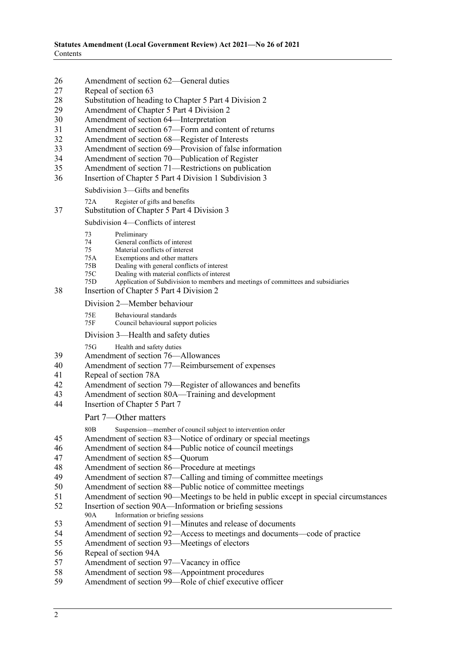- 26 [Amendment of section 62—General duties](#page-18-3)<br>27 Repeal of section 63
- 27 [Repeal of section 63](#page-19-0)<br>28 Substitution of headi
- [Substitution of heading to Chapter 5 Part 4 Division 2](#page-19-1)
- 29 [Amendment of Chapter 5 Part 4 Division 2](#page-19-2)<br>30 Amendment of section 64—Interpretation
- 30 Amendment [of section 64—Interpretation](#page-19-3)<br>31 Amendment of section 67—Form and cont
- 31 [Amendment of section 67—Form and content of returns](#page-19-4)<br>32 Amendment of section 68—Register of Interests
- 32 [Amendment of section 68—Register of Interests](#page-20-0)<br>33 Amendment of section 69—Provision of false in
- 33 [Amendment of section 69—Provision of false information](#page-20-1)<br>34 Amendment of section 70—Publication of Register
- 34 [Amendment of section 70—Publication of Register](#page-20-2)<br>35 Amendment of section 71—Restrictions on publicat
- [Amendment of section 71—Restrictions on publication](#page-21-0)
- 36 [Insertion of Chapter 5 Part 4 Division 1 Subdivision 3](#page-21-1)

Subdivision 3—Gifts and benefits

72A Register of gifts and benefits

#### 37 [Substitution of Chapter 5 Part 4 Division 3](#page-22-0)

#### Subdivision 4—Conflicts of interest

- 73 Preliminary
- 74 General conflicts of interest<br>75 Material conflicts of interest
- 75 Material conflicts of interest<br>75A Exemptions and other matter
- 75A Exemptions and other matters<br>75B Dealing with general conflicts
- 75B Dealing with general conflicts of interest<br>75C Dealing with material conflicts of interest
- 75C Dealing with material conflicts of interest<br>75D Application of Subdivision to members an
- Application of Subdivision to members and meetings of committees and subsidiaries
- 38 [Insertion of Chapter 5 Part 4 Division 2](#page-27-0)
	- Division 2—Member behaviour
	- 75E Behavioural standards<br>75F Council behavioural st
	- Council behavioural support policies
	- Division 3—Health and safety duties

75G Health and safety duties

- 39 [Amendment of section 76—Allowances](#page-30-0)
- 40 [Amendment of section 77—Reimbursement of expenses](#page-30-1)
- 41 [Repeal of section 78A](#page-30-2)
- 42 [Amendment of section 79—Register of allowances and benefits](#page-30-3)
- 43 [Amendment of section 80A—Training and development](#page-30-4)<br>44 Insertion of Chapter 5 Part 7
- [Insertion of Chapter 5 Part 7](#page-32-0)

Part 7—Other matters

80B Suspension—member of council subject to intervention order

- 45 [Amendment of section 83—Notice of ordinary or special meetings](#page-33-0)
- 46 [Amendment of section 84—Public notice of council meetings](#page-34-0)
- 47 [Amendment of section 85—Quorum](#page-34-1)
- 48 [Amendment of section 86—Procedure at meetings](#page-34-2)
- 49 [Amendment of section 87—Calling and timing of committee meetings](#page-35-0)
- 50 [Amendment of section 88—Public notice of committee meetings](#page-35-1)
- 51 [Amendment of section 90—Meetings to be held in public except in special circumstances](#page-35-2)
- 52 [Insertion of section 90A—Information or briefing sessions](#page-35-3)<br>90A Information or briefing sessions
- Information or briefing sessions
- 53 [Amendment of section 91—Minutes and release of documents](#page-36-0)
- 54 [Amendment of section 92—Access to meetings and documents—code of practice](#page-37-0)
- 55 [Amendment of section 93—Meetings of electors](#page-37-1)
- 56 [Repeal of section 94A](#page-37-2)<br>57 Amendment of section
- Amendment [of section 97—Vacancy in office](#page-37-3)
- 58 [Amendment of section 98—Appointment procedures](#page-37-4)
- 59 [Amendment of section 99—Role of chief executive officer](#page-38-0)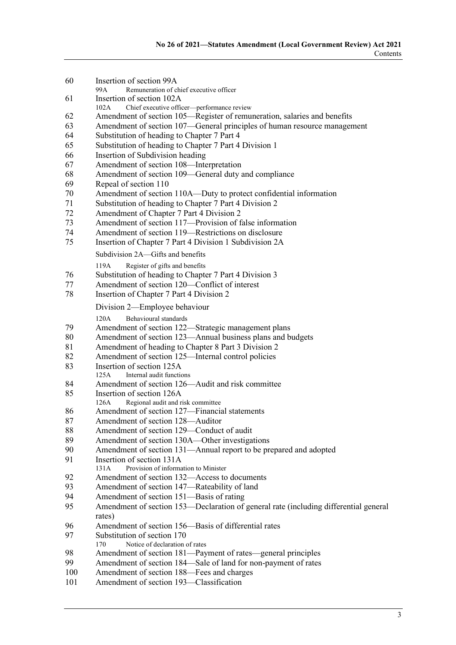[Insertion of section 99A](#page-38-1)<br>Remuneration of class Remuneration of chief executive officer [Insertion of section 102A](#page-39-0)<br>102A Chief executive office Chief executive officer—performance review [Amendment of section 105—Register of remuneration, salaries and benefits](#page-40-0) [Amendment of section 107—General principles of human resource management](#page-40-1) [Substitution of heading to Chapter 7 Part 4](#page-40-2) [Substitution of heading to Chapter 7 Part 4 Division 1](#page-40-3) [Insertion of Subdivision heading](#page-40-4) [Amendment of section 108—Interpretation](#page-40-5) [Amendment of section 109—General duty and compliance](#page-40-6)<br>69 Repeal of section 110 [Repeal of section 110](#page-41-0) [Amendment of section 110A—Duty to protect confidential information](#page-41-1)<br>71 Substitution of heading to Chapter 7 Part 4 Division 2 [Substitution of heading to Chapter 7 Part 4 Division 2](#page-41-2)<br>72 Amendment of Chapter 7 Part 4 Division 2 [Amendment of Chapter 7 Part 4 Division 2](#page-41-3)<br>73 Amendment of section 117—Provision of f [Amendment of section 117—Provision of false information](#page-41-4) [Amendment of section 119—Restrictions on disclosure](#page-41-5)<br>75 Insertion of Chapter 7 Part 4 Division 1 Subdivision 2A [Insertion of Chapter 7 Part 4 Division 1 Subdivision 2A](#page-41-6) Subdivision 2A—Gifts and benefits 119A Register of gifts and benefits [Substitution of heading to Chapter 7 Part 4 Division 3](#page-43-0) [Amendment of section 120—Conflict of interest](#page-43-1)<br>78 Insertion of Chapter 7 Part 4 Division 2 [Insertion of Chapter 7 Part 4 Division 2](#page-43-2) Division 2—Employee behaviour 120A Behavioural standards [Amendment of section 122—Strategic management plans](#page-44-0) [Amendment of section 123—Annual business plans and budgets](#page-46-0) [Amendment of heading to Chapter 8 Part 3 Division 2](#page-47-0) [Amendment of section 125—Internal control policies](#page-47-1) [Insertion of section 125A](#page-48-0)<br>125A Internal audit function Internal audit functions [Amendment of section 126—Audit and risk committee](#page-48-1) [Insertion of section 126A](#page-50-0)<br>126A Regional audit and r Regional audit and risk committee [Amendment of section 127—Financial statements](#page-52-0) [Amendment of section 128—Auditor](#page-52-1) [Amendment of section 129—Conduct of audit](#page-53-0) [Amendment of section 130A—Other investigations](#page-53-1)<br>90 Amendment of section 131—Annual report to be pr [Amendment of section 131—Annual report to be prepared and adopted](#page-53-2)<br>91 Insertion of section 131A [Insertion of section 131A](#page-54-0) 131A Provision of information to Minister [Amendment of section 132—Access to documents](#page-54-1) [Amendment of section 147—Rateability of land](#page-54-2) [Amendment of section 151—Basis of rating](#page-54-3) [Amendment of section 153—Declaration of general rate \(including differential general](#page-55-0)  [rates\)](#page-55-0) [Amendment of section 156—Basis of differential rates](#page-55-1) [Substitution of section 170](#page-55-2) Notice of declaration of rates [Amendment of section 181—Payment of rates—general principles](#page-55-3) [Amendment of section 184—Sale of land for non-payment of rates](#page-55-4) [Amendment of section 188—Fees and charges](#page-55-5)<br>101 Amendment of section 193—Classification [Amendment of section 193—Classification](#page-55-6)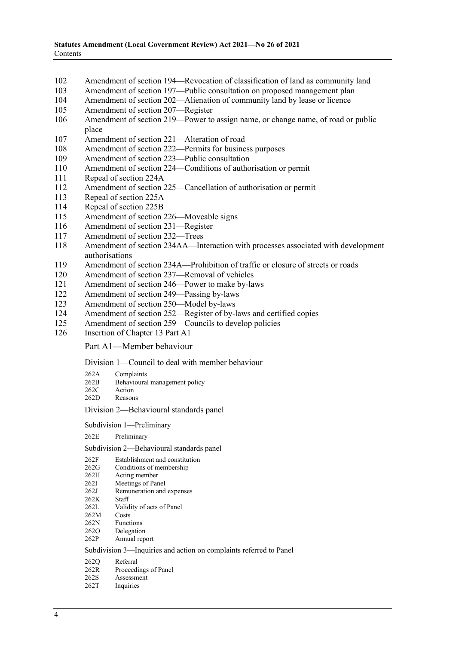- 102 [Amendment of section 194—Revocation of classification of land as community land](#page-56-0)<br>103 Amendment of section 197—Public consultation on proposed management plan
- 103 Amendment of section [197—Public consultation on proposed management plan](#page-56-1)<br>104 Amendment of section 202—Alienation of community land by lease or licence
- [Amendment of section 202—Alienation of community land by lease or licence](#page-56-2)
- 105 [Amendment of section 207—Register](#page-56-3)
- 106 [Amendment of section 219—Power to assign name, or change name, of road or public](#page-56-4)  [place](#page-56-4)
- 107 [Amendment of section 221—Alteration of road](#page-56-5)
- 108 [Amendment of section 222—Permits for business purposes](#page-57-0)<br>109 Amendment of section 223—Public consultation
- [Amendment of section 223—Public consultation](#page-57-1)
- 110 [Amendment of section 224—Conditions of authorisation or permit](#page-57-2)
- 111 [Repeal of section 224A](#page-57-3)
- 112 [Amendment of section 225—Cancellation of authorisation or permit](#page-58-0)<br>113 Repeal of section 225A
- 113 [Repeal of section 225A](#page-58-1)<br>114 Repeal of section 225B
- [Repeal of section 225B](#page-58-2)
- 115 [Amendment of section 226—Moveable signs](#page-58-3)
- 116 [Amendment of section 231—Register](#page-58-4)
- 117 [Amendment of section 232—Trees](#page-58-5)
- 118 [Amendment of section 234AA—Interaction with processes associated with development](#page-58-6)  [authorisations](#page-58-6)
- 119 [Amendment of section 234A—Prohibition of traffic or closure of streets or roads](#page-59-0)<br>120 Amendment of section 237—Removal of vehicles
- [Amendment of section 237—Removal of vehicles](#page-59-1)
- 121 [Amendment of section 246—Power to make by-laws](#page-59-2)
- 122 [Amendment of section 249—Passing by-laws](#page-59-3)
- 123 [Amendment of section 250—Model by-laws](#page-59-4)
- 124 [Amendment of section 252—Register of by-laws and certified copies](#page-59-5)
- 125 [Amendment of section 259—Councils to develop policies](#page-60-0)
- 126 [Insertion of Chapter 13 Part A1](#page-60-1)

#### Part A1—Member behaviour

#### Division 1—Council to deal with member behaviour

| 262A          | Complaints                    |
|---------------|-------------------------------|
| 262B          | Behavioural management policy |
| $\sim$ $\sim$ |                               |

- 262C Action<br>262D Reasor Reasons
- 

#### Division 2—Behavioural standards panel

#### Subdivision 1—Preliminary

262E Preliminary

#### Subdivision 2—Behavioural standards panel

- 262F Establishment and constitution<br>262G Conditions of membership
- 262G Conditions of membership<br>262H Acting member
- Acting member
- 262I Meetings of Panel<br>262I Remuneration and
- Remuneration and expenses<br>Staff
- $262K$ <br> $262L$
- Validity of acts of Panel
- 262M Costs<br>262N Funct
- 262N Functions<br>262O Delegation Delegation
- 262P Annual report

#### Subdivision 3—Inquiries and action on complaints referred to Panel

- 262Q Referral
- 262R Proceedings of Panel
- 262S Assessment<br>262T Inquiries
- Inquiries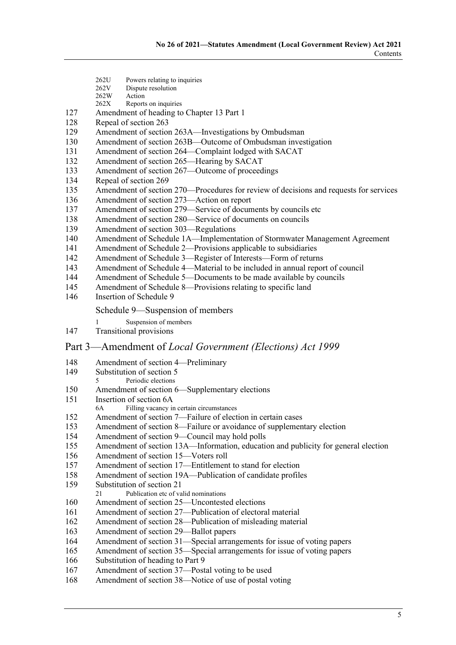- 262U Powers relating to inquiries<br>262V Dispute resolution
- 262V Dispute resolution<br>262W Action
- 262W Action<br>262X Reports
- Reports on inquiries
- [Amendment of heading to Chapter 13 Part 1](#page-73-0)
- [Repeal of section 263](#page-73-1)<br>129 Amendment of section
- [Amendment of section 263A—Investigations by Ombudsman](#page-73-2)
- [Amendment of section 263B—Outcome of Ombudsman investigation](#page-73-3)<br>131 Amendment of section 264—Complaint lodged with SACAT
- [Amendment of section 264—Complaint lodged with SACAT](#page-74-0)
- [Amendment of section 265—Hearing by SACAT](#page-75-0)
- [Amendment of section 267—Outcome of proceedings](#page-75-1)<br>134 Repeal of section 269
- [Repeal of section 269](#page-75-2)<br>135 Amendment of section
- [Amendment of section 270—Procedures for review of decisions and requests for services](#page-75-3)
- [Amendment of section 273—Action on report](#page-76-0)<br>137 Amendment of section 279—Service of docum
- [Amendment of section 279—Service of documents by councils etc](#page-76-1)
- [Amendment of section 280—Service of documents on councils](#page-76-2)
- [Amendment of section 303—Regulations](#page-77-0)
- [Amendment of Schedule 1A—Implementation of Stormwater Management Agreement](#page-77-1) 141 Amendment of Schedule 2—Provisions applicable to subsidiaries
- [Amendment of Schedule 2—Provisions applicable to subsidiaries](#page-77-2)
- [Amendment of Schedule 3—Register of Interests—Form of returns](#page-77-3)<br>143 Amendment of Schedule 4—Material to be included in annual repor
- [Amendment of Schedule 4—Material to be included in annual report of council](#page-79-0)
- [Amendment of Schedule 5—Documents to be made available by councils](#page-79-1)
- [Amendment of Schedule 8—Provisions relating to specific land](#page-79-2)
- [Insertion of Schedule 9](#page-80-0)

#### Schedule 9—Suspension of members

- Suspension of members
- [Transitional provisions](#page-81-0)

#### Part 3—Amendment of *[Local Government \(Elections\) Act](#page-82-0) 1999*

- [Amendment of section 4—Preliminary](#page-82-1)
- [Substitution of section 5](#page-82-2)<br>5 Periodic elections
- Periodic elections [Amendment of section 6—Supplementary elections](#page-82-3)<br>151 Insertion of section 6A
- - [Insertion of section 6A](#page-84-0)<br>6A Filling vacancy in Filling vacancy in certain circumstances
- [Amendment of section 7—Failure of election in certain cases](#page-85-0)
- [Amendment of section 8—Failure or avoidance of supplementary election](#page-86-0)
- [Amendment of section 9—Council may hold polls](#page-86-1)
- [Amendment of section 13A—Information, education and publicity for general election](#page-86-2)
- [Amendment of section 15—Voters roll](#page-86-3)
- [Amendment of section 17—Entitlement to stand for election](#page-87-0)
- [Amendment of section 19A—Publication of candidate profiles](#page-87-1)
- [Substitution of section 21](#page-88-0)<br> $\frac{21}{21}$  Publication etc of va
- Publication etc of valid nominations
- [Amendment of section 25—Uncontested elections](#page-88-1)
- [Amendment of section 27—Publication of electoral material](#page-89-0)
- [Amendment of section 28—Publication of misleading material](#page-90-0)
- [Amendment of section 29—Ballot papers](#page-90-1)
- [Amendment of section 31—Special arrangements for issue of voting papers](#page-90-2)
- [Amendment of section 35—Special arrangements for issue of voting papers](#page-90-3)
- [Substitution of heading to Part 9](#page-91-0)
- [Amendment of section 37—Postal voting to be used](#page-91-1)
- [Amendment of section 38—Notice of use of postal voting](#page-91-2)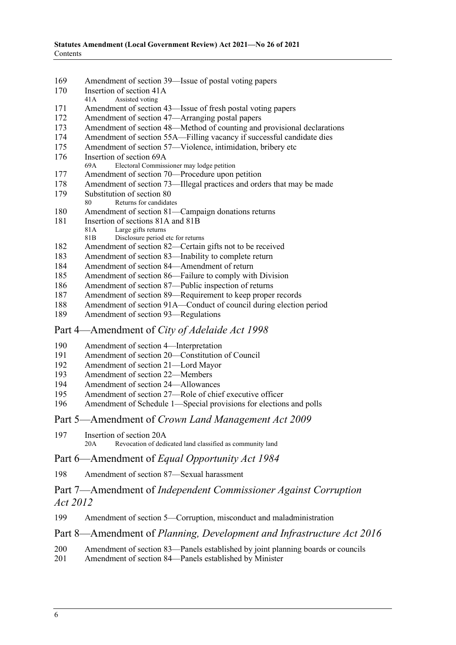- 169 [Amendment of section 39—Issue of postal voting papers](#page-91-3)<br>170 Insertion of section 41A
- [Insertion of section 41A](#page-92-0)<br>41A Assisted voting
- Assisted voting
- 171 [Amendment of section 43—Issue of fresh postal voting papers](#page-93-0)
- 172 [Amendment of section 47—Arranging postal papers](#page-93-1)
- 173 [Amendment of section 48—Method of counting and provisional declarations](#page-94-0)
- 174 [Amendment of section 55A—Filling vacancy if successful candidate dies](#page-95-0)<br>175 Amendment of section 57—Violence, intimidation, bribery etc
- [Amendment of section 57—Violence, intimidation, bribery etc](#page-96-0)
- 176 [Insertion of section 69A](#page-96-1)<br>69A Electoral Commiss
- Electoral Commissioner may lodge petition
- 177 [Amendment of section 70—Procedure upon petition](#page-96-2)<br>178 Amendment of section 73—Illegal practices and order
- [Amendment of section 73—Illegal practices and orders that may be made](#page-96-3)
- 179 [Substitution of section 80](#page-97-0)<br>80 Returns for candidate
- Returns for candidates
- 180 [Amendment of section 81—Campaign donations returns](#page-97-1)
- 181 [Insertion of sections 81A and 81B](#page-98-0)<br>81A I are gifts returns
	- 81A Large gifts returns<br>81B Disclosure period
	- Disclosure period etc for returns
- 182 [Amendment of section 82—Certain gifts not to be received](#page-99-0)
- 183 [Amendment of section 83—Inability to complete return](#page-99-1)<br>184 Amendment of section 84—Amendment of return
- [Amendment of section 84—Amendment of return](#page-99-2)
- 185 [Amendment of section 86—Failure to comply with Division](#page-100-0)
- 186 [Amendment of section 87—Public inspection of returns](#page-100-1)
- 187 [Amendment of section 89—Requirement to keep proper records](#page-100-2)
- 188 [Amendment of section 91A—Conduct of council during election period](#page-101-0)<br>189 Amendment of section 93—Regulations
- [Amendment of section 93—Regulations](#page-101-1)

## Part 4—Amendment of *[City of Adelaide Act](#page-101-2) 1998*

- 190 [Amendment of section 4—Interpretation](#page-101-3)
- 191 [Amendment of section 20—Constitution of Council](#page-101-4)<br>192 Amendment of section 21—Lord Mayor
- 192 [Amendment of section 21—Lord Mayor](#page-102-0)<br>193 Amendment of section 22—Members
- 193 [Amendment of section 22—Members](#page-102-1)<br>194 Amendment of section 24—Allowanc
- [Amendment of section 24—Allowances](#page-103-0)
- 195 [Amendment of section 27—Role of chief executive officer](#page-103-1)
- 196 [Amendment of Schedule 1—Special provisions for elections and polls](#page-104-0)
- Part 5—Amendment of *[Crown Land Management Act](#page-111-0) 2009*
- 197 [Insertion of section 20A](#page-111-1)<br>20A<br>Revocation of dedi Revocation of dedicated land classified as community land

## Part 6—Amendment of *[Equal Opportunity Act](#page-112-0) 1984*

198 [Amendment of section 87—Sexual harassment](#page-112-1)

# Part 7—Amendment of *[Independent Commissioner Against Corruption](#page-112-2)  Act [2012](#page-112-2)*

## 199 [Amendment of section 5—Corruption, misconduct and maladministration](#page-112-3)

# Part 8—Amendment of *[Planning, Development and Infrastructure Act](#page-113-0) 2016*

- 200 [Amendment of section 83—Panels established by joint planning boards or councils](#page-113-1)<br>201 Amendment of section 84—Panels established by Minister
- [Amendment of section 84—Panels established by Minister](#page-113-2)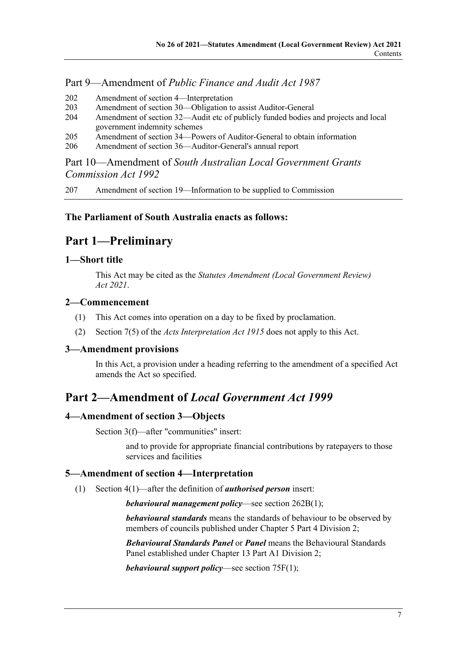# Part 9—Amendment of *[Public Finance and Audit Act](#page-113-3) 1987*

- 202 [Amendment of section 4—Interpretation](#page-113-4)
- 203 [Amendment of section 30—Obligation to assist Auditor-General](#page-113-5)<br>204 Amendment of section 32—Audit etc of publicly funded bodies a
- Amendment of section 32—Audit etc of publicly funded bodies and projects and local [government indemnity schemes](#page-113-6)
- 205 [Amendment of section 34—Powers of Auditor-General to obtain information](#page-115-0)<br>206 Amendment of section 36—Auditor-General's annual report
- [Amendment of section 36—Auditor-General's annual report](#page-116-0)

Part 10—Amendment of *[South Australian Local Government Grants](#page-116-1)  [Commission Act](#page-116-1) 1992*

207 [Amendment of section 19—Information to be supplied to Commission](#page-116-2)

## <span id="page-6-0"></span>**The Parliament of South Australia enacts as follows:**

# **Part 1—Preliminary**

## <span id="page-6-1"></span>**1—Short title**

This Act may be cited as the *Statutes Amendment (Local Government Review) Act 2021*.

## <span id="page-6-2"></span>**2—Commencement**

- (1) This Act comes into operation on a day to be fixed by proclamation.
- (2) Section 7(5) of the *[Acts Interpretation Act](http://www.legislation.sa.gov.au/index.aspx?action=legref&type=act&legtitle=Acts%20Interpretation%20Act%201915) 1915* does not apply to this Act.

#### <span id="page-6-3"></span>**3—Amendment provisions**

In this Act, a provision under a heading referring to the amendment of a specified Act amends the Act so specified.

# <span id="page-6-4"></span>**Part 2—Amendment of** *Local Government Act 1999*

## <span id="page-6-5"></span>**4—Amendment of section 3—Objects**

Section 3(f)—after "communities" insert:

and to provide for appropriate financial contributions by ratepayers to those services and facilities

## <span id="page-6-6"></span>**5—Amendment of section 4—Interpretation**

(1) Section 4(1)—after the definition of *authorised person* insert:

*behavioural management policy*—see section 262B(1);

*behavioural standards* means the standards of behaviour to be observed by members of councils published under Chapter 5 Part 4 Division 2;

*Behavioural Standards Panel* or *Panel* means the Behavioural Standards Panel established under Chapter 13 Part A1 Division 2;

*behavioural support policy*—see section 75F(1);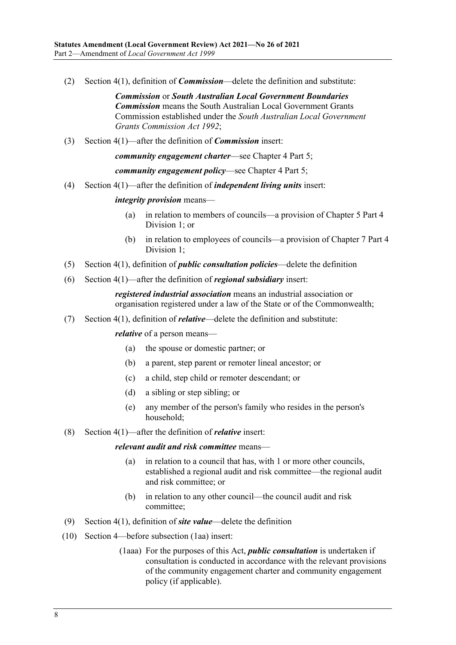(2) Section 4(1), definition of *Commission*—delete the definition and substitute:

*Commission* or *South Australian Local Government Boundaries Commission* means the South Australian Local Government Grants Commission established under the *[South Australian Local Government](http://www.legislation.sa.gov.au/index.aspx?action=legref&type=act&legtitle=South%20Australian%20Local%20Government%20Grants%20Commission%20Act%201992)  [Grants Commission Act](http://www.legislation.sa.gov.au/index.aspx?action=legref&type=act&legtitle=South%20Australian%20Local%20Government%20Grants%20Commission%20Act%201992) 1992*;

(3) Section 4(1)—after the definition of *Commission* insert:

*community engagement charter*—see Chapter 4 Part 5;

*community engagement policy*—see Chapter 4 Part 5;

(4) Section 4(1)—after the definition of *independent living units* insert:

#### *integrity provision* means—

- (a) in relation to members of councils—a provision of Chapter 5 Part 4 Division 1; or
- (b) in relation to employees of councils—a provision of Chapter 7 Part 4 Division 1:
- (5) Section 4(1), definition of *public consultation policies*—delete the definition
- (6) Section 4(1)—after the definition of *regional subsidiary* insert:

*registered industrial association* means an industrial association or organisation registered under a law of the State or of the Commonwealth;

(7) Section 4(1), definition of *relative*—delete the definition and substitute:

*relative* of a person means—

- (a) the spouse or domestic partner; or
- (b) a parent, step parent or remoter lineal ancestor; or
- (c) a child, step child or remoter descendant; or
- (d) a sibling or step sibling; or
- (e) any member of the person's family who resides in the person's household;
- (8) Section 4(1)—after the definition of *relative* insert:

#### *relevant audit and risk committee* means—

- (a) in relation to a council that has, with 1 or more other councils, established a regional audit and risk committee—the regional audit and risk committee; or
- (b) in relation to any other council—the council audit and risk committee;
- (9) Section 4(1), definition of *site value*—delete the definition
- (10) Section 4—before subsection (1aa) insert:
	- (1aaa) For the purposes of this Act, *public consultation* is undertaken if consultation is conducted in accordance with the relevant provisions of the community engagement charter and community engagement policy (if applicable).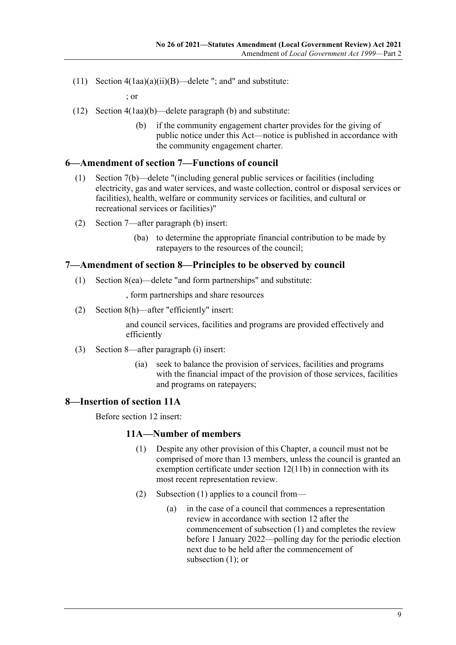(11) Section  $4(1aa)(a)(ii)(B)$ —delete "; and" and substitute:

; or

- (12) Section 4(1aa)(b)—delete paragraph (b) and substitute:
	- (b) if the community engagement charter provides for the giving of public notice under this Act—notice is published in accordance with the community engagement charter.

## <span id="page-8-0"></span>**6—Amendment of section 7—Functions of council**

- (1) Section 7(b)—delete "(including general public services or facilities (including electricity, gas and water services, and waste collection, control or disposal services or facilities), health, welfare or community services or facilities, and cultural or recreational services or facilities)"
- (2) Section 7—after paragraph (b) insert:
	- (ba) to determine the appropriate financial contribution to be made by ratepayers to the resources of the council;

#### <span id="page-8-1"></span>**7—Amendment of section 8—Principles to be observed by council**

(1) Section 8(ea)—delete "and form partnerships" and substitute:

, form partnerships and share resources

(2) Section 8(h)—after "efficiently" insert:

and council services, facilities and programs are provided effectively and efficiently

- (3) Section 8—after paragraph (i) insert:
	- (ia) seek to balance the provision of services, facilities and programs with the financial impact of the provision of those services, facilities and programs on ratepayers;

## <span id="page-8-2"></span>**8—Insertion of section 11A**

<span id="page-8-3"></span>Before section 12 insert:

## **11A—Number of members**

- (1) Despite any other provision of this Chapter, a council must not be comprised of more than 13 members, unless the council is granted an exemption certificate under section 12(11b) in connection with its most recent representation review.
- <span id="page-8-4"></span>(2) [Subsection](#page-8-3) (1) applies to a council from—
	- (a) in the case of a council that commences a representation review in accordance with section 12 after the commencement of [subsection](#page-8-3) (1) and completes the review before 1 January 2022—polling day for the periodic election next due to be held after the commencement of [subsection](#page-8-3) (1); or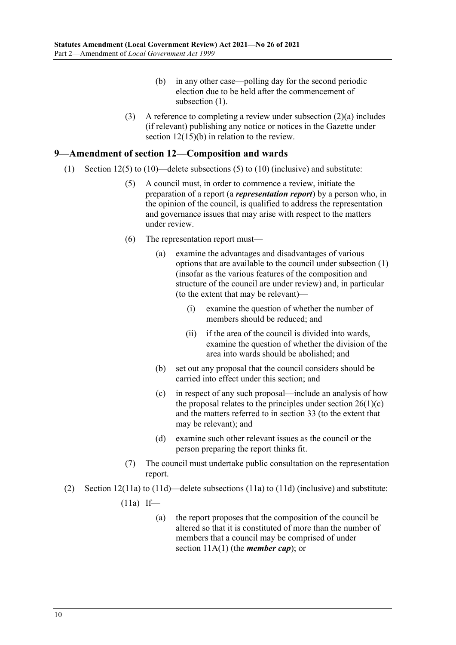- (b) in any other case—polling day for the second periodic election due to be held after the commencement of [subsection](#page-8-3)  $(1)$ .
- (3) A reference to completing a review under [subsection](#page-8-4) (2)(a) includes (if relevant) publishing any notice or notices in the Gazette under section 12(15)(b) in relation to the review.

## <span id="page-9-0"></span>**9—Amendment of section 12—Composition and wards**

- (1) Section  $12(5)$  to  $(10)$ —delete subsections  $(5)$  to  $(10)$  (inclusive) and substitute:
	- (5) A council must, in order to commence a review, initiate the preparation of a report (a *representation report*) by a person who, in the opinion of the council, is qualified to address the representation and governance issues that may arise with respect to the matters under review.
	- (6) The representation report must—
		- (a) examine the advantages and disadvantages of various options that are available to the council under subsection (1) (insofar as the various features of the composition and structure of the council are under review) and, in particular (to the extent that may be relevant)—
			- (i) examine the question of whether the number of members should be reduced; and
			- (ii) if the area of the council is divided into wards, examine the question of whether the division of the area into wards should be abolished; and
		- (b) set out any proposal that the council considers should be carried into effect under this section; and
		- (c) in respect of any such proposal—include an analysis of how the proposal relates to the principles under section  $26(1)(c)$ and the matters referred to in section 33 (to the extent that may be relevant); and
		- (d) examine such other relevant issues as the council or the person preparing the report thinks fit.
	- (7) The council must undertake public consultation on the representation report.
- <span id="page-9-1"></span>(2) Section 12(11a) to (11d)—delete subsections (11a) to (11d) (inclusive) and substitute:
	- $(11a)$  If—
		- (a) the report proposes that the composition of the council be altered so that it is constituted of more than the number of members that a council may be comprised of under section 11A(1) (the *member cap*); or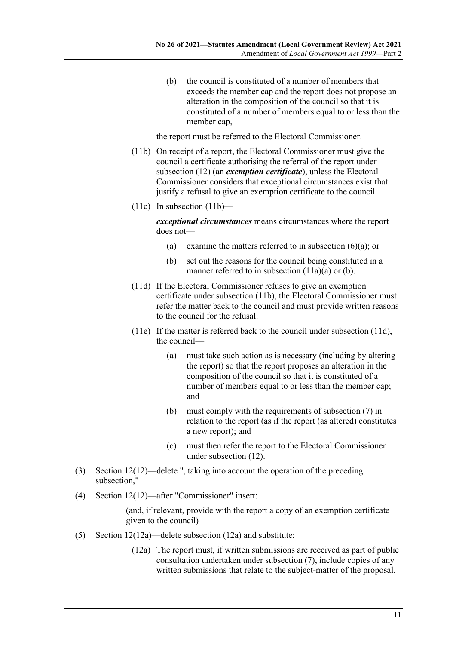(b) the council is constituted of a number of members that exceeds the member cap and the report does not propose an alteration in the composition of the council so that it is constituted of a number of members equal to or less than the member cap,

the report must be referred to the Electoral Commissioner.

- <span id="page-10-1"></span><span id="page-10-0"></span>(11b) On receipt of a report, the Electoral Commissioner must give the council a certificate authorising the referral of the report under subsection (12) (an *exemption certificate*), unless the Electoral Commissioner considers that exceptional circumstances exist that justify a refusal to give an exemption certificate to the council.
- $(11c)$  In [subsection](#page-10-0)  $(11b)$ —

*exceptional circumstances* means circumstances where the report does not—

- (a) examine the matters referred to in subsection  $(6)(a)$ ; or
- (b) set out the reasons for the council being constituted in a manner referred to in [subsection](#page-9-1)  $(11a)(a)$  or [\(b\).](#page-10-1)
- <span id="page-10-2"></span>(11d) If the Electoral Commissioner refuses to give an exemption certificate under [subsection](#page-10-0) (11b), the Electoral Commissioner must refer the matter back to the council and must provide written reasons to the council for the refusal.
- (11e) If the matter is referred back to the council under [subsection](#page-10-2) (11d), the council—
	- (a) must take such action as is necessary (including by altering the report) so that the report proposes an alteration in the composition of the council so that it is constituted of a number of members equal to or less than the member cap; and
	- (b) must comply with the requirements of subsection (7) in relation to the report (as if the report (as altered) constitutes a new report); and
	- (c) must then refer the report to the Electoral Commissioner under subsection (12).
- (3) Section 12(12)—delete ", taking into account the operation of the preceding subsection,"
- (4) Section 12(12)—after "Commissioner" insert:

(and, if relevant, provide with the report a copy of an exemption certificate given to the council)

- (5) Section 12(12a)—delete subsection (12a) and substitute:
	- (12a) The report must, if written submissions are received as part of public consultation undertaken under subsection (7), include copies of any written submissions that relate to the subject-matter of the proposal.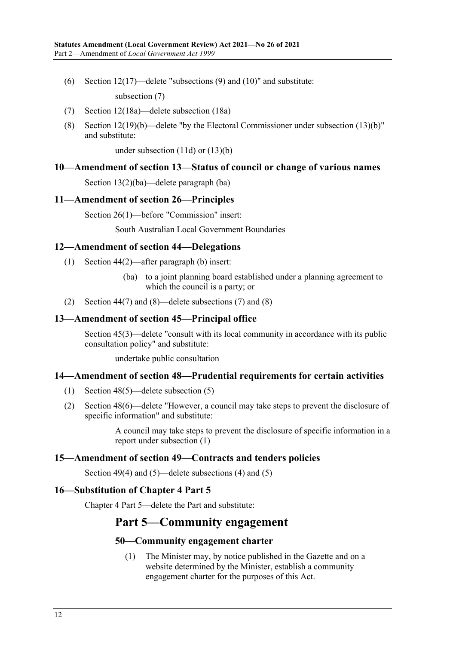- (6) Section 12(17)—delete "subsections (9) and (10)" and substitute: subsection (7)
- (7) Section 12(18a)—delete subsection (18a)
- (8) Section 12(19)(b)—delete "by the Electoral Commissioner under subsection (13)(b)" and substitute:

under subsection (11d) or (13)(b)

## <span id="page-11-0"></span>**10—Amendment of section 13—Status of council or change of various names**

Section 13(2)(ba)—delete paragraph (ba)

## <span id="page-11-1"></span>**11—Amendment of section 26—Principles**

Section 26(1)—before "Commission" insert:

South Australian Local Government Boundaries

## <span id="page-11-2"></span>**12—Amendment of section 44—Delegations**

- (1) Section 44(2)—after paragraph (b) insert:
	- (ba) to a joint planning board established under a planning agreement to which the council is a party; or
- (2) Section 44(7) and (8)—delete subsections (7) and (8)

## <span id="page-11-3"></span>**13—Amendment of section 45—Principal office**

Section 45(3)—delete "consult with its local community in accordance with its public consultation policy" and substitute:

undertake public consultation

#### <span id="page-11-4"></span>**14—Amendment of section 48—Prudential requirements for certain activities**

- (1) Section 48(5)—delete subsection (5)
- (2) Section 48(6)—delete "However, a council may take steps to prevent the disclosure of specific information" and substitute:

A council may take steps to prevent the disclosure of specific information in a report under subsection (1)

#### <span id="page-11-5"></span>**15—Amendment of section 49—Contracts and tenders policies**

Section 49(4) and (5)—delete subsections (4) and (5)

#### <span id="page-11-6"></span>**16—Substitution of Chapter 4 Part 5**

<span id="page-11-7"></span>Chapter 4 Part 5—delete the Part and substitute:

# **Part 5—Community engagement**

#### **50—Community engagement charter**

(1) The Minister may, by notice published in the Gazette and on a website determined by the Minister, establish a community engagement charter for the purposes of this Act.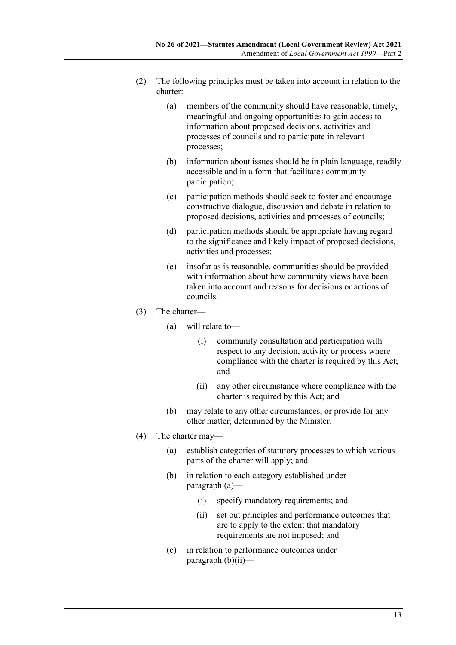- (2) The following principles must be taken into account in relation to the charter:
	- (a) members of the community should have reasonable, timely, meaningful and ongoing opportunities to gain access to information about proposed decisions, activities and processes of councils and to participate in relevant processes;
	- (b) information about issues should be in plain language, readily accessible and in a form that facilitates community participation;
	- (c) participation methods should seek to foster and encourage constructive dialogue, discussion and debate in relation to proposed decisions, activities and processes of councils;
	- (d) participation methods should be appropriate having regard to the significance and likely impact of proposed decisions, activities and processes;
	- (e) insofar as is reasonable, communities should be provided with information about how community views have been taken into account and reasons for decisions or actions of councils.
- (3) The charter—
	- (a) will relate to—
		- (i) community consultation and participation with respect to any decision, activity or process where compliance with the charter is required by this Act; and
		- (ii) any other circumstance where compliance with the charter is required by this Act; and
	- (b) may relate to any other circumstances, or provide for any other matter, determined by the Minister.
- <span id="page-12-1"></span><span id="page-12-0"></span>(4) The charter may—
	- (a) establish categories of statutory processes to which various parts of the charter will apply; and
	- (b) in relation to each category established under [paragraph](#page-12-0) (a)—
		- (i) specify mandatory requirements; and
		- (ii) set out principles and performance outcomes that are to apply to the extent that mandatory requirements are not imposed; and
	- (c) in relation to performance outcomes under [paragraph](#page-12-1) (b)(ii)—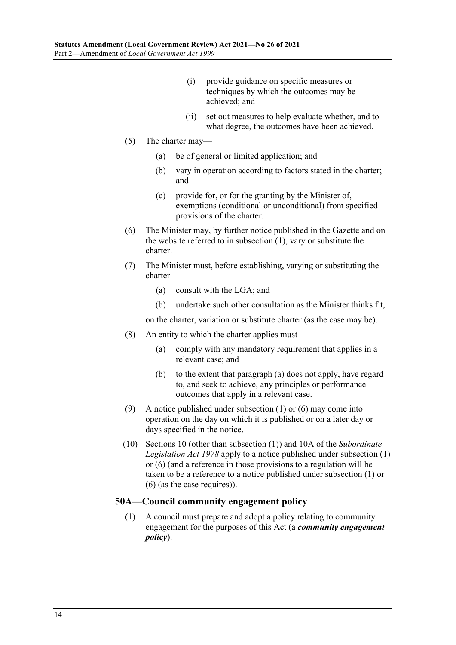- (i) provide guidance on specific measures or techniques by which the outcomes may be achieved; and
- (ii) set out measures to help evaluate whether, and to what degree, the outcomes have been achieved.
- (5) The charter may—
	- (a) be of general or limited application; and
	- (b) vary in operation according to factors stated in the charter; and
	- (c) provide for, or for the granting by the Minister of, exemptions (conditional or unconditional) from specified provisions of the charter.
- <span id="page-13-1"></span>(6) The Minister may, by further notice published in the Gazette and on the website referred to in [subsection](#page-11-7) (1), vary or substitute the charter.
- (7) The Minister must, before establishing, varying or substituting the charter—
	- (a) consult with the LGA; and
	- (b) undertake such other consultation as the Minister thinks fit,

on the charter, variation or substitute charter (as the case may be).

- <span id="page-13-0"></span>(8) An entity to which the charter applies must—
	- (a) comply with any mandatory requirement that applies in a relevant case; and
	- (b) to the extent that [paragraph](#page-13-0) (a) does not apply, have regard to, and seek to achieve, any principles or performance outcomes that apply in a relevant case.
- (9) A notice published under [subsection](#page-11-7) (1) or [\(6\)](#page-13-1) may come into operation on the day on which it is published or on a later day or days specified in the notice.
- (10) Sections 10 (other than subsection (1)) and 10A of the *[Subordinate](http://www.legislation.sa.gov.au/index.aspx?action=legref&type=act&legtitle=Subordinate%20Legislation%20Act%201978)  [Legislation Act](http://www.legislation.sa.gov.au/index.aspx?action=legref&type=act&legtitle=Subordinate%20Legislation%20Act%201978) 1978* apply to a notice published under [subsection](#page-11-7) (1) or [\(6\)](#page-13-1) (and a reference in those provisions to a regulation will be taken to be a reference to a notice published under [subsection](#page-11-7) (1) or [\(6\)](#page-13-1) (as the case requires)).

## **50A—Council community engagement policy**

(1) A council must prepare and adopt a policy relating to community engagement for the purposes of this Act (a *community engagement policy*).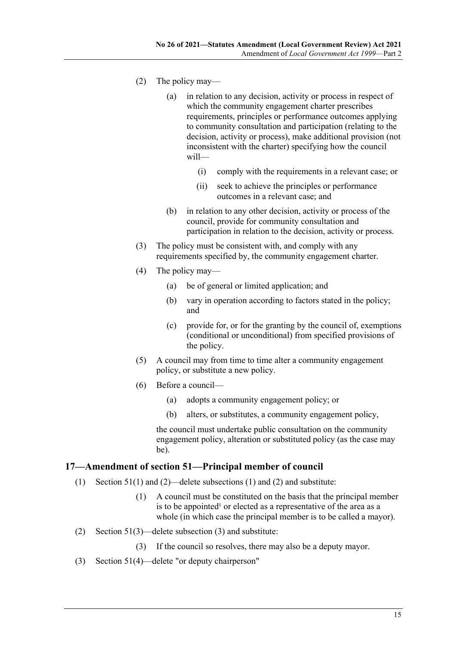- (2) The policy may—
	- (a) in relation to any decision, activity or process in respect of which the community engagement charter prescribes requirements, principles or performance outcomes applying to community consultation and participation (relating to the decision, activity or process), make additional provision (not inconsistent with the charter) specifying how the council will—
		- (i) comply with the requirements in a relevant case; or
		- (ii) seek to achieve the principles or performance outcomes in a relevant case; and
	- (b) in relation to any other decision, activity or process of the council, provide for community consultation and participation in relation to the decision, activity or process.
- (3) The policy must be consistent with, and comply with any requirements specified by, the community engagement charter.
- (4) The policy may—
	- (a) be of general or limited application; and
	- (b) vary in operation according to factors stated in the policy; and
	- (c) provide for, or for the granting by the council of, exemptions (conditional or unconditional) from specified provisions of the policy.
- (5) A council may from time to time alter a community engagement policy, or substitute a new policy.
- (6) Before a council—
	- (a) adopts a community engagement policy; or
	- (b) alters, or substitutes, a community engagement policy,

the council must undertake public consultation on the community engagement policy, alteration or substituted policy (as the case may be).

#### <span id="page-14-0"></span>**17—Amendment of section 51—Principal member of council**

- (1) Section 51(1) and (2)—delete subsections (1) and (2) and substitute:
	- (1) A council must be constituted on the basis that the principal member is to be appointed<sup>1</sup> or elected as a representative of the area as a whole (in which case the principal member is to be called a mayor).
- (2) Section 51(3)—delete subsection (3) and substitute:
	- (3) If the council so resolves, there may also be a deputy mayor.
- (3) Section 51(4)—delete "or deputy chairperson"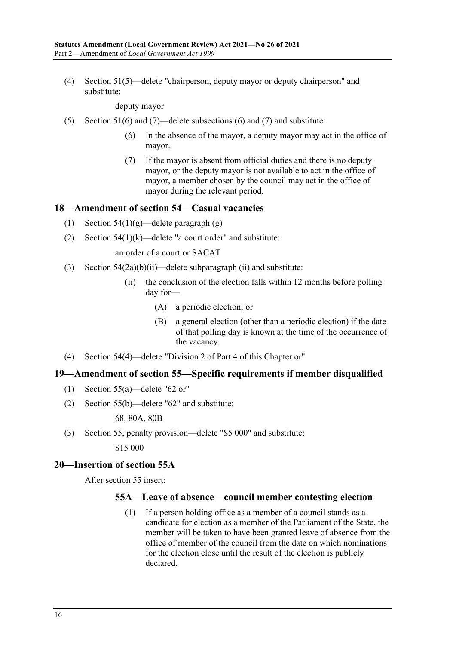(4) Section 51(5)—delete "chairperson, deputy mayor or deputy chairperson" and substitute:

deputy mayor

- (5) Section 51(6) and (7)—delete subsections (6) and (7) and substitute:
	- (6) In the absence of the mayor, a deputy mayor may act in the office of mayor.
	- (7) If the mayor is absent from official duties and there is no deputy mayor, or the deputy mayor is not available to act in the office of mayor, a member chosen by the council may act in the office of mayor during the relevant period.

#### <span id="page-15-0"></span>**18—Amendment of section 54—Casual vacancies**

- (1) Section  $54(1)(g)$ —delete paragraph (g)
- (2) Section  $54(1)(k)$ —delete "a court order" and substitute:

an order of a court or SACAT

- (3) Section  $54(2a)(b)(ii)$ —delete subparagraph (ii) and substitute:
	- (ii) the conclusion of the election falls within 12 months before polling day for—
		- (A) a periodic election; or
		- (B) a general election (other than a periodic election) if the date of that polling day is known at the time of the occurrence of the vacancy.
- (4) Section 54(4)—delete "Division 2 of Part 4 of this Chapter or"

#### <span id="page-15-1"></span>**19—Amendment of section 55—Specific requirements if member disqualified**

- (1) Section 55(a)—delete "62 or"
- (2) Section 55(b)—delete "62" and substitute:

68, 80A, 80B

(3) Section 55, penalty provision—delete "\$5 000" and substitute:

\$15 000

#### <span id="page-15-2"></span>**20—Insertion of section 55A**

<span id="page-15-3"></span>After section 55 insert:

#### **55A—Leave of absence—council member contesting election**

(1) If a person holding office as a member of a council stands as a candidate for election as a member of the Parliament of the State, the member will be taken to have been granted leave of absence from the office of member of the council from the date on which nominations for the election close until the result of the election is publicly declared.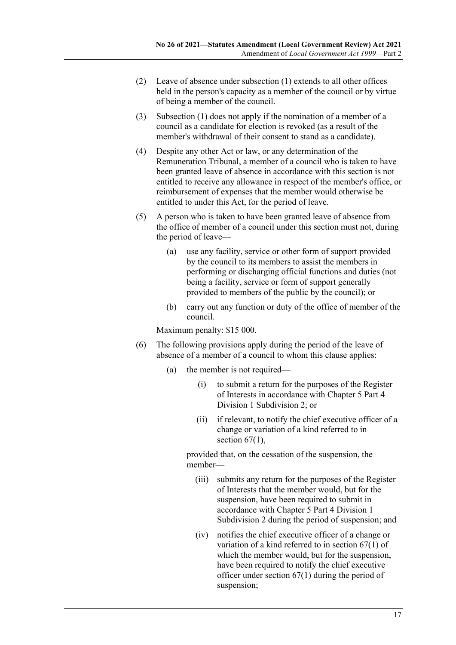- (2) Leave of absence under [subsection](#page-15-3) (1) extends to all other offices held in the person's capacity as a member of the council or by virtue of being a member of the council.
- (3) [Subsection](#page-15-3) (1) does not apply if the nomination of a member of a council as a candidate for election is revoked (as a result of the member's withdrawal of their consent to stand as a candidate).
- (4) Despite any other Act or law, or any determination of the Remuneration Tribunal, a member of a council who is taken to have been granted leave of absence in accordance with this section is not entitled to receive any allowance in respect of the member's office, or reimbursement of expenses that the member would otherwise be entitled to under this Act, for the period of leave.
- (5) A person who is taken to have been granted leave of absence from the office of member of a council under this section must not, during the period of leave—
	- (a) use any facility, service or other form of support provided by the council to its members to assist the members in performing or discharging official functions and duties (not being a facility, service or form of support generally provided to members of the public by the council); or
	- (b) carry out any function or duty of the office of member of the council.

Maximum penalty: \$15 000.

- (6) The following provisions apply during the period of the leave of absence of a member of a council to whom this clause applies:
	- (a) the member is not required—
		- (i) to submit a return for the purposes of the Register of Interests in accordance with Chapter 5 Part 4 Division 1 Subdivision 2; or
		- (ii) if relevant, to notify the chief executive officer of a change or variation of a kind referred to in section  $67(1)$ ,

provided that, on the cessation of the suspension, the member—

- (iii) submits any return for the purposes of the Register of Interests that the member would, but for the suspension, have been required to submit in accordance with Chapter 5 Part 4 Division 1 Subdivision 2 during the period of suspension; and
- (iv) notifies the chief executive officer of a change or variation of a kind referred to in section 67(1) of which the member would, but for the suspension, have been required to notify the chief executive officer under section 67(1) during the period of suspension;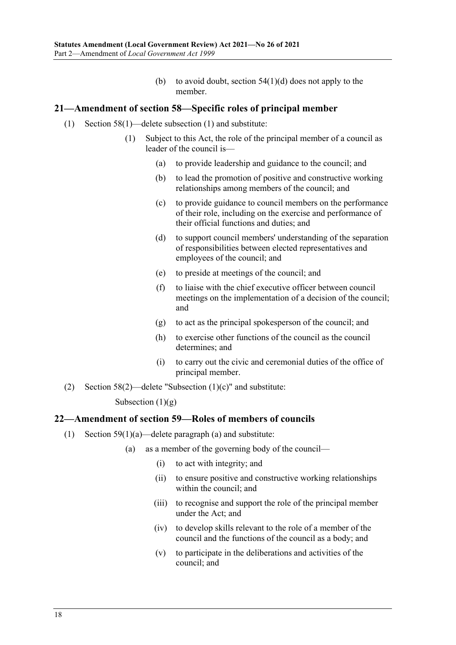(b) to avoid doubt, section  $54(1)(d)$  does not apply to the member.

## <span id="page-17-0"></span>**21—Amendment of section 58—Specific roles of principal member**

- (1) Section 58(1)—delete subsection (1) and substitute:
	- (1) Subject to this Act, the role of the principal member of a council as leader of the council is—
		- (a) to provide leadership and guidance to the council; and
		- (b) to lead the promotion of positive and constructive working relationships among members of the council; and
		- (c) to provide guidance to council members on the performance of their role, including on the exercise and performance of their official functions and duties; and
		- (d) to support council members' understanding of the separation of responsibilities between elected representatives and employees of the council; and
		- (e) to preside at meetings of the council; and
		- (f) to liaise with the chief executive officer between council meetings on the implementation of a decision of the council; and
		- (g) to act as the principal spokesperson of the council; and
		- (h) to exercise other functions of the council as the council determines; and
		- (i) to carry out the civic and ceremonial duties of the office of principal member.
- (2) Section  $58(2)$ —delete "Subsection  $(1)(c)$ " and substitute:

Subsection  $(1)(g)$ 

#### <span id="page-17-1"></span>**22—Amendment of section 59—Roles of members of councils**

- (1) Section 59(1)(a)—delete paragraph (a) and substitute:
	- (a) as a member of the governing body of the council—
		- (i) to act with integrity; and
		- (ii) to ensure positive and constructive working relationships within the council; and
		- (iii) to recognise and support the role of the principal member under the Act; and
		- (iv) to develop skills relevant to the role of a member of the council and the functions of the council as a body; and
		- (v) to participate in the deliberations and activities of the council; and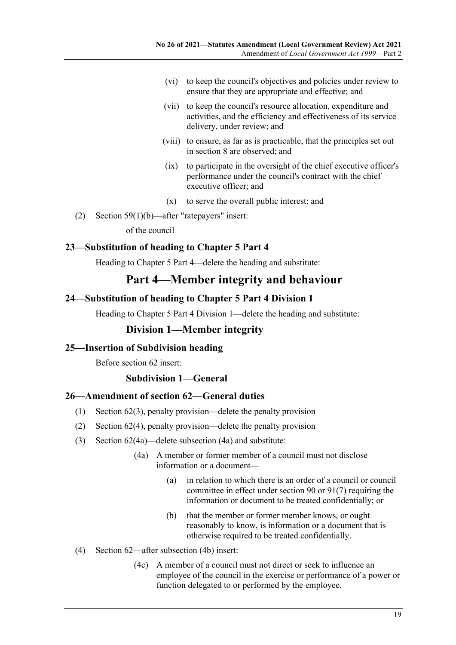- (vi) to keep the council's objectives and policies under review to ensure that they are appropriate and effective; and
- (vii) to keep the council's resource allocation, expenditure and activities, and the efficiency and effectiveness of its service delivery, under review; and
- (viii) to ensure, as far as is practicable, that the principles set out in section 8 are observed; and
- (ix) to participate in the oversight of the chief executive officer's performance under the council's contract with the chief executive officer; and
- (x) to serve the overall public interest; and
- (2) Section 59(1)(b)—after "ratepayers" insert:

of the council

## <span id="page-18-0"></span>**23—Substitution of heading to Chapter 5 Part 4**

Heading to Chapter 5 Part 4—delete the heading and substitute:

# **Part 4—Member integrity and behaviour**

## <span id="page-18-1"></span>**24—Substitution of heading to Chapter 5 Part 4 Division 1**

Heading to Chapter 5 Part 4 Division 1—delete the heading and substitute:

## **Division 1—Member integrity**

#### <span id="page-18-2"></span>**25—Insertion of Subdivision heading**

Before section 62 insert:

#### **Subdivision 1—General**

#### <span id="page-18-3"></span>**26—Amendment of section 62—General duties**

- (1) Section 62(3), penalty provision—delete the penalty provision
- (2) Section 62(4), penalty provision—delete the penalty provision
- (3) Section 62(4a)—delete subsection (4a) and substitute:
	- (4a) A member or former member of a council must not disclose information or a document—
		- (a) in relation to which there is an order of a council or council committee in effect under section 90 or 91(7) requiring the information or document to be treated confidentially; or
		- (b) that the member or former member knows, or ought reasonably to know, is information or a document that is otherwise required to be treated confidentially.
- (4) Section 62—after subsection (4b) insert:
	- (4c) A member of a council must not direct or seek to influence an employee of the council in the exercise or performance of a power or function delegated to or performed by the employee.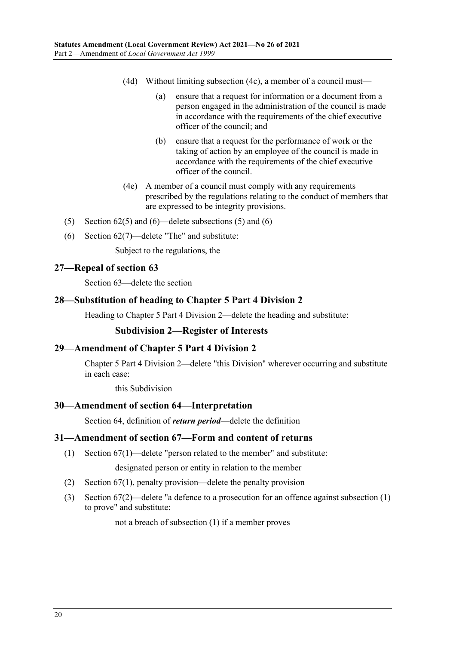- (4d) Without limiting subsection (4c), a member of a council must—
	- (a) ensure that a request for information or a document from a person engaged in the administration of the council is made in accordance with the requirements of the chief executive officer of the council; and
	- (b) ensure that a request for the performance of work or the taking of action by an employee of the council is made in accordance with the requirements of the chief executive officer of the council.
- (4e) A member of a council must comply with any requirements prescribed by the regulations relating to the conduct of members that are expressed to be integrity provisions.
- (5) Section  $62(5)$  and  $(6)$ —delete subsections (5) and (6)
- (6) Section 62(7)—delete "The" and substitute:

Subject to the regulations, the

## <span id="page-19-0"></span>**27—Repeal of section 63**

Section 63—delete the section

## <span id="page-19-1"></span>**28—Substitution of heading to Chapter 5 Part 4 Division 2**

Heading to Chapter 5 Part 4 Division 2—delete the heading and substitute:

#### **Subdivision 2—Register of Interests**

#### <span id="page-19-2"></span>**29—Amendment of Chapter 5 Part 4 Division 2**

Chapter 5 Part 4 Division 2—delete "this Division" wherever occurring and substitute in each case:

this Subdivision

#### <span id="page-19-3"></span>**30—Amendment of section 64—Interpretation**

Section 64, definition of *return period*—delete the definition

#### <span id="page-19-4"></span>**31—Amendment of section 67—Form and content of returns**

(1) Section 67(1)—delete "person related to the member" and substitute:

designated person or entity in relation to the member

- (2) Section 67(1), penalty provision—delete the penalty provision
- (3) Section 67(2)—delete "a defence to a prosecution for an offence against subsection (1) to prove" and substitute:

not a breach of subsection (1) if a member proves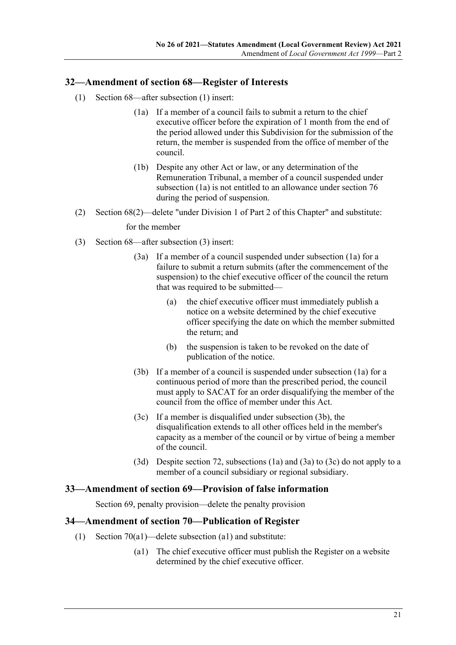## <span id="page-20-0"></span>**32—Amendment of section 68—Register of Interests**

- <span id="page-20-3"></span>(1) Section 68—after subsection (1) insert:
	- (1a) If a member of a council fails to submit a return to the chief executive officer before the expiration of 1 month from the end of the period allowed under this Subdivision for the submission of the return, the member is suspended from the office of member of the council.
	- (1b) Despite any other Act or law, or any determination of the Remuneration Tribunal, a member of a council suspended under [subsection](#page-20-3) (1a) is not entitled to an allowance under section 76 during the period of suspension.
- (2) Section 68(2)—delete "under Division 1 of Part 2 of this Chapter" and substitute:

for the member

- (3) Section 68—after subsection (3) insert:
	- (3a) If a member of a council suspended under subsection (1a) for a failure to submit a return submits (after the commencement of the suspension) to the chief executive officer of the council the return that was required to be submitted—
		- (a) the chief executive officer must immediately publish a notice on a website determined by the chief executive officer specifying the date on which the member submitted the return; and
		- (b) the suspension is taken to be revoked on the date of publication of the notice.
	- (3b) If a member of a council is suspended under subsection (1a) for a continuous period of more than the prescribed period, the council must apply to SACAT for an order disqualifying the member of the council from the office of member under this Act.
	- (3c) If a member is disqualified under [subsection](#page-20-4) (3b), the disqualification extends to all other offices held in the member's capacity as a member of the council or by virtue of being a member of the council.
	- (3d) Despite section 72, subsections (1a) and (3a) to (3c) do not apply to a member of a council subsidiary or regional subsidiary.

## <span id="page-20-4"></span><span id="page-20-1"></span>**33—Amendment of section 69—Provision of false information**

Section 69, penalty provision—delete the penalty provision

#### <span id="page-20-2"></span>**34—Amendment of section 70—Publication of Register**

- <span id="page-20-5"></span>(1) Section 70(a1)—delete subsection (a1) and substitute:
	- (a1) The chief executive officer must publish the Register on a website determined by the chief executive officer.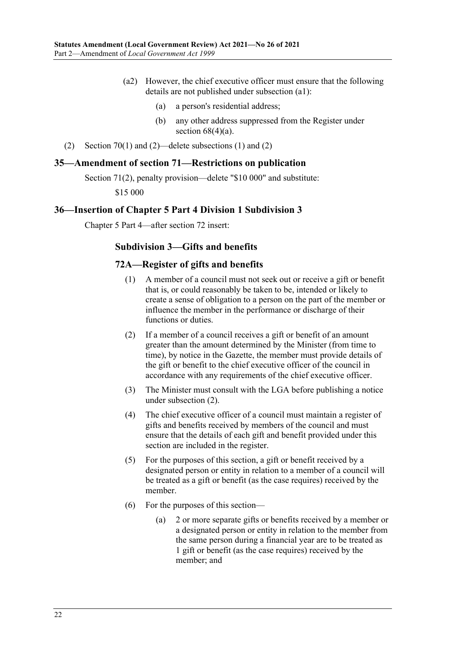- (a2) However, the chief executive officer must ensure that the following details are not published under [subsection](#page-20-5) (a1):
	- (a) a person's residential address;
	- (b) any other address suppressed from the Register under section  $68(4)(a)$ .
- (2) Section 70(1) and (2)—delete subsections (1) and (2)

## <span id="page-21-0"></span>**35—Amendment of section 71—Restrictions on publication**

Section 71(2), penalty provision—delete "\$10 000" and substitute:

\$15 000

#### <span id="page-21-1"></span>**36—Insertion of Chapter 5 Part 4 Division 1 Subdivision 3**

Chapter 5 Part 4—after section 72 insert:

#### **Subdivision 3—Gifts and benefits**

#### **72A—Register of gifts and benefits**

- (1) A member of a council must not seek out or receive a gift or benefit that is, or could reasonably be taken to be, intended or likely to create a sense of obligation to a person on the part of the member or influence the member in the performance or discharge of their functions or duties.
- <span id="page-21-2"></span>(2) If a member of a council receives a gift or benefit of an amount greater than the amount determined by the Minister (from time to time), by notice in the Gazette, the member must provide details of the gift or benefit to the chief executive officer of the council in accordance with any requirements of the chief executive officer.
- (3) The Minister must consult with the LGA before publishing a notice under [subsection](#page-21-2) (2).
- (4) The chief executive officer of a council must maintain a register of gifts and benefits received by members of the council and must ensure that the details of each gift and benefit provided under this section are included in the register.
- (5) For the purposes of this section, a gift or benefit received by a designated person or entity in relation to a member of a council will be treated as a gift or benefit (as the case requires) received by the member.
- (6) For the purposes of this section—
	- (a) 2 or more separate gifts or benefits received by a member or a designated person or entity in relation to the member from the same person during a financial year are to be treated as 1 gift or benefit (as the case requires) received by the member; and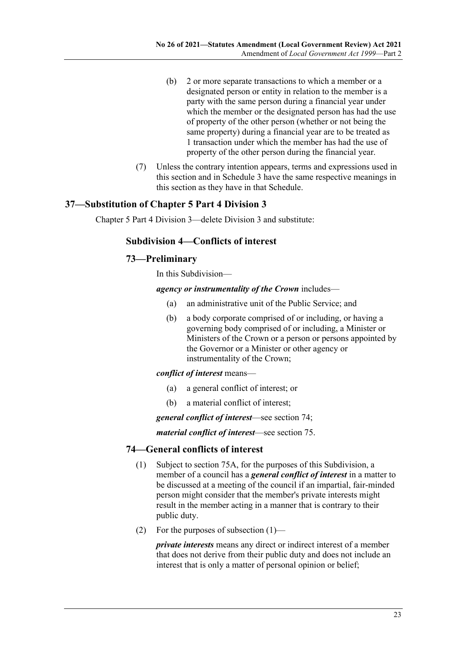- (b) 2 or more separate transactions to which a member or a designated person or entity in relation to the member is a party with the same person during a financial year under which the member or the designated person has had the use of property of the other person (whether or not being the same property) during a financial year are to be treated as 1 transaction under which the member has had the use of property of the other person during the financial year.
- (7) Unless the contrary intention appears, terms and expressions used in this section and in Schedule 3 have the same respective meanings in this section as they have in that Schedule.

## <span id="page-22-0"></span>**37—Substitution of Chapter 5 Part 4 Division 3**

Chapter 5 Part 4 Division 3—delete Division 3 and substitute:

## **Subdivision 4—Conflicts of interest**

## **73—Preliminary**

In this Subdivision—

#### *agency or instrumentality of the Crown* includes—

- (a) an administrative unit of the Public Service; and
- (b) a body corporate comprised of or including, or having a governing body comprised of or including, a Minister or Ministers of the Crown or a person or persons appointed by the Governor or a Minister or other agency or instrumentality of the Crown;

#### *conflict of interest* means—

- (a) a general conflict of interest; or
- (b) a material conflict of interest;

*general conflict of interest*—see section 74;

*material conflict of interest*—see section 75.

## <span id="page-22-1"></span>**74—General conflicts of interest**

- (1) Subject to section 75A, for the purposes of this Subdivision, a member of a council has a *general conflict of interest* in a matter to be discussed at a meeting of the council if an impartial, fair-minded person might consider that the member's private interests might result in the member acting in a manner that is contrary to their public duty.
- (2) For the purposes of [subsection](#page-22-1) (1)—

*private interests* means any direct or indirect interest of a member that does not derive from their public duty and does not include an interest that is only a matter of personal opinion or belief;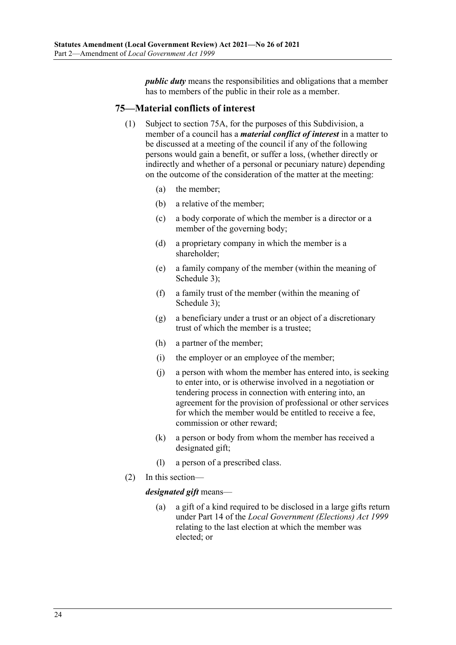*public duty* means the responsibilities and obligations that a member has to members of the public in their role as a member.

## **75—Material conflicts of interest**

- (1) Subject to section 75A, for the purposes of this Subdivision, a member of a council has a *material conflict of interest* in a matter to be discussed at a meeting of the council if any of the following persons would gain a benefit, or suffer a loss, (whether directly or indirectly and whether of a personal or pecuniary nature) depending on the outcome of the consideration of the matter at the meeting:
	- (a) the member;
	- (b) a relative of the member;
	- (c) a body corporate of which the member is a director or a member of the governing body;
	- (d) a proprietary company in which the member is a shareholder;
	- (e) a family company of the member (within the meaning of Schedule 3);
	- (f) a family trust of the member (within the meaning of Schedule 3);
	- (g) a beneficiary under a trust or an object of a discretionary trust of which the member is a trustee;
	- (h) a partner of the member;
	- (i) the employer or an employee of the member;
	- (j) a person with whom the member has entered into, is seeking to enter into, or is otherwise involved in a negotiation or tendering process in connection with entering into, an agreement for the provision of professional or other services for which the member would be entitled to receive a fee, commission or other reward;
	- (k) a person or body from whom the member has received a designated gift;
	- (l) a person of a prescribed class.
- (2) In this section—

*designated gift* means—

(a) a gift of a kind required to be disclosed in a large gifts return under Part 14 of the *[Local Government \(Elections\) Act](http://www.legislation.sa.gov.au/index.aspx?action=legref&type=act&legtitle=Local%20Government%20(Elections)%20Act%201999) 1999* relating to the last election at which the member was elected; or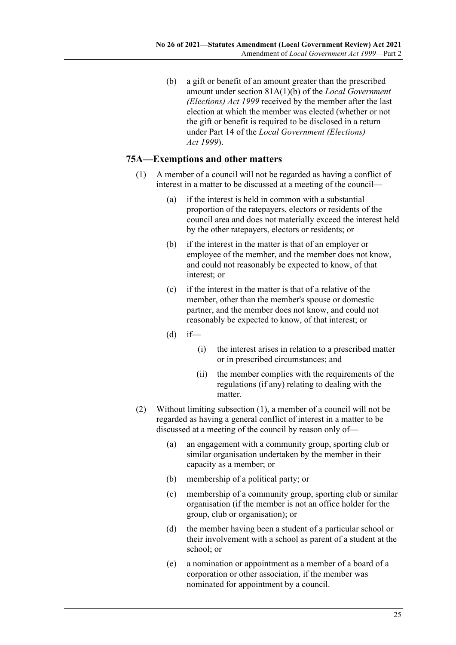(b) a gift or benefit of an amount greater than the prescribed amount under section 81A(1)(b) of the *[Local Government](http://www.legislation.sa.gov.au/index.aspx?action=legref&type=act&legtitle=Local%20Government%20(Elections)%20Act%201999)  [\(Elections\) Act](http://www.legislation.sa.gov.au/index.aspx?action=legref&type=act&legtitle=Local%20Government%20(Elections)%20Act%201999) 1999* received by the member after the last election at which the member was elected (whether or not the gift or benefit is required to be disclosed in a return under Part 14 of the *[Local Government \(Elections\)](http://www.legislation.sa.gov.au/index.aspx?action=legref&type=act&legtitle=Local%20Government%20(Elections)%20Act%201999)  Act [1999](http://www.legislation.sa.gov.au/index.aspx?action=legref&type=act&legtitle=Local%20Government%20(Elections)%20Act%201999)*).

## <span id="page-24-0"></span>**75A—Exemptions and other matters**

- (1) A member of a council will not be regarded as having a conflict of interest in a matter to be discussed at a meeting of the council—
	- (a) if the interest is held in common with a substantial proportion of the ratepayers, electors or residents of the council area and does not materially exceed the interest held by the other ratepayers, electors or residents; or
	- (b) if the interest in the matter is that of an employer or employee of the member, and the member does not know, and could not reasonably be expected to know, of that interest; or
	- (c) if the interest in the matter is that of a relative of the member, other than the member's spouse or domestic partner, and the member does not know, and could not reasonably be expected to know, of that interest; or
	- $(d)$  if—
		- (i) the interest arises in relation to a prescribed matter or in prescribed circumstances; and
		- (ii) the member complies with the requirements of the regulations (if any) relating to dealing with the matter.
- <span id="page-24-1"></span>(2) Without limiting [subsection](#page-24-0) (1), a member of a council will not be regarded as having a general conflict of interest in a matter to be discussed at a meeting of the council by reason only of—
	- (a) an engagement with a community group, sporting club or similar organisation undertaken by the member in their capacity as a member; or
	- (b) membership of a political party; or
	- (c) membership of a community group, sporting club or similar organisation (if the member is not an office holder for the group, club or organisation); or
	- (d) the member having been a student of a particular school or their involvement with a school as parent of a student at the school; or
	- (e) a nomination or appointment as a member of a board of a corporation or other association, if the member was nominated for appointment by a council.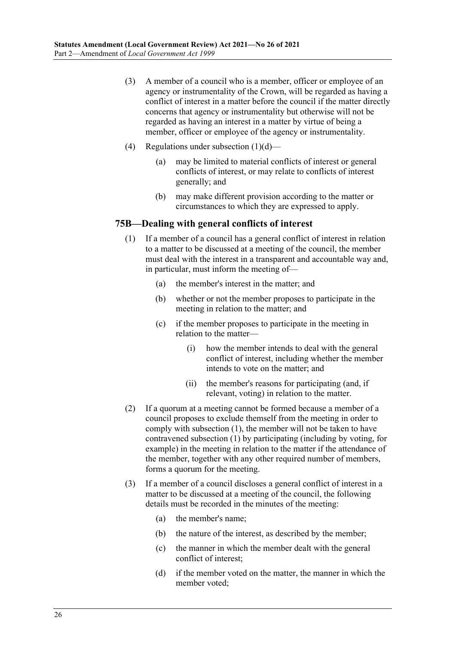- (3) A member of a council who is a member, officer or employee of an agency or instrumentality of the Crown, will be regarded as having a conflict of interest in a matter before the council if the matter directly concerns that agency or instrumentality but otherwise will not be regarded as having an interest in a matter by virtue of being a member, officer or employee of the agency or instrumentality.
- (4) Regulations under [subsection](#page-24-1) (1)(d)
	- may be limited to material conflicts of interest or general conflicts of interest, or may relate to conflicts of interest generally; and
	- (b) may make different provision according to the matter or circumstances to which they are expressed to apply.

## <span id="page-25-0"></span>**75B—Dealing with general conflicts of interest**

- (1) If a member of a council has a general conflict of interest in relation to a matter to be discussed at a meeting of the council, the member must deal with the interest in a transparent and accountable way and, in particular, must inform the meeting of—
	- (a) the member's interest in the matter; and
	- (b) whether or not the member proposes to participate in the meeting in relation to the matter; and
	- (c) if the member proposes to participate in the meeting in relation to the matter—
		- (i) how the member intends to deal with the general conflict of interest, including whether the member intends to vote on the matter; and
		- (ii) the member's reasons for participating (and, if relevant, voting) in relation to the matter.
- (2) If a quorum at a meeting cannot be formed because a member of a council proposes to exclude themself from the meeting in order to comply wit[h subsection](#page-25-0) (1), the member will not be taken to have contravened [subsection](#page-25-0) (1) by participating (including by voting, for example) in the meeting in relation to the matter if the attendance of the member, together with any other required number of members, forms a quorum for the meeting.
- (3) If a member of a council discloses a general conflict of interest in a matter to be discussed at a meeting of the council, the following details must be recorded in the minutes of the meeting:
	- (a) the member's name;
	- (b) the nature of the interest, as described by the member;
	- (c) the manner in which the member dealt with the general conflict of interest;
	- (d) if the member voted on the matter, the manner in which the member voted;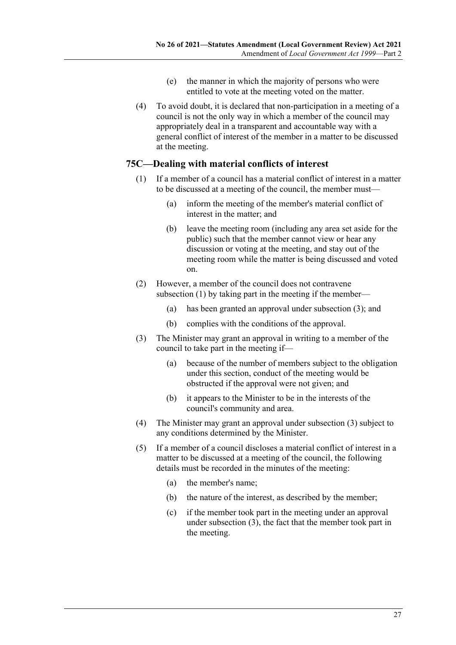- (e) the manner in which the majority of persons who were entitled to vote at the meeting voted on the matter.
- (4) To avoid doubt, it is declared that non-participation in a meeting of a council is not the only way in which a member of the council may appropriately deal in a transparent and accountable way with a general conflict of interest of the member in a matter to be discussed at the meeting.

### <span id="page-26-0"></span>**75C—Dealing with material conflicts of interest**

- (1) If a member of a council has a material conflict of interest in a matter to be discussed at a meeting of the council, the member must—
	- (a) inform the meeting of the member's material conflict of interest in the matter; and
	- (b) leave the meeting room (including any area set aside for the public) such that the member cannot view or hear any discussion or voting at the meeting, and stay out of the meeting room while the matter is being discussed and voted on.
- (2) However, a member of the council does not contravene [subsection](#page-26-0) (1) by taking part in the meeting if the member—
	- (a) has been granted an approval under [subsection](#page-26-1) (3); and
	- (b) complies with the conditions of the approval.
- <span id="page-26-1"></span>(3) The Minister may grant an approval in writing to a member of the council to take part in the meeting if—
	- (a) because of the number of members subject to the obligation under this section, conduct of the meeting would be obstructed if the approval were not given; and
	- (b) it appears to the Minister to be in the interests of the council's community and area.
- (4) The Minister may grant an approval under [subsection](#page-26-1) (3) subject to any conditions determined by the Minister.
- (5) If a member of a council discloses a material conflict of interest in a matter to be discussed at a meeting of the council, the following details must be recorded in the minutes of the meeting:
	- (a) the member's name;
	- (b) the nature of the interest, as described by the member;
	- (c) if the member took part in the meeting under an approval under [subsection](#page-26-1) (3), the fact that the member took part in the meeting.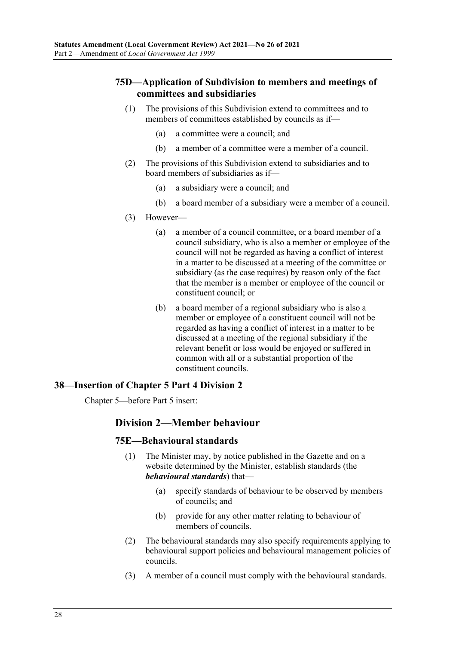## **75D—Application of Subdivision to members and meetings of committees and subsidiaries**

- (1) The provisions of this Subdivision extend to committees and to members of committees established by councils as if—
	- (a) a committee were a council; and
	- (b) a member of a committee were a member of a council.
- (2) The provisions of this Subdivision extend to subsidiaries and to board members of subsidiaries as if—
	- (a) a subsidiary were a council; and
	- (b) a board member of a subsidiary were a member of a council.
- (3) However—
	- (a) a member of a council committee, or a board member of a council subsidiary, who is also a member or employee of the council will not be regarded as having a conflict of interest in a matter to be discussed at a meeting of the committee or subsidiary (as the case requires) by reason only of the fact that the member is a member or employee of the council or constituent council; or
	- (b) a board member of a regional subsidiary who is also a member or employee of a constituent council will not be regarded as having a conflict of interest in a matter to be discussed at a meeting of the regional subsidiary if the relevant benefit or loss would be enjoyed or suffered in common with all or a substantial proportion of the constituent councils.

#### <span id="page-27-0"></span>**38—Insertion of Chapter 5 Part 4 Division 2**

<span id="page-27-1"></span>Chapter 5—before Part 5 insert:

#### **Division 2—Member behaviour**

#### **75E—Behavioural standards**

- (1) The Minister may, by notice published in the Gazette and on a website determined by the Minister, establish standards (the *behavioural standards*) that—
	- (a) specify standards of behaviour to be observed by members of councils; and
	- (b) provide for any other matter relating to behaviour of members of councils.
- (2) The behavioural standards may also specify requirements applying to behavioural support policies and behavioural management policies of councils.
- (3) A member of a council must comply with the behavioural standards.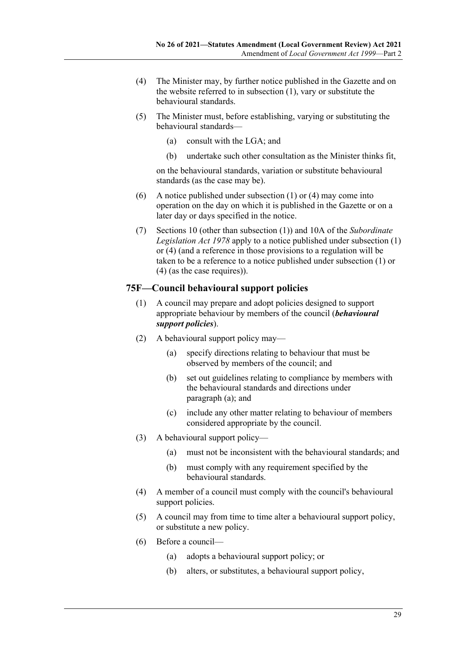- <span id="page-28-0"></span>(4) The Minister may, by further notice published in the Gazette and on the website referred to in [subsection](#page-27-1) (1), vary or substitute the behavioural standards.
- (5) The Minister must, before establishing, varying or substituting the behavioural standards—
	- (a) consult with the LGA; and
	- (b) undertake such other consultation as the Minister thinks fit,

on the behavioural standards, variation or substitute behavioural standards (as the case may be).

- (6) A notice published under [subsection](#page-27-1) (1) or [\(4\)](#page-28-0) may come into operation on the day on which it is published in the Gazette or on a later day or days specified in the notice.
- (7) Sections 10 (other than subsection (1)) and 10A of the *[Subordinate](http://www.legislation.sa.gov.au/index.aspx?action=legref&type=act&legtitle=Subordinate%20Legislation%20Act%201978)  [Legislation Act](http://www.legislation.sa.gov.au/index.aspx?action=legref&type=act&legtitle=Subordinate%20Legislation%20Act%201978) 1978* apply to a notice published under [subsection](#page-27-1) (1) or [\(4\)](#page-28-0) (and a reference in those provisions to a regulation will be taken to be a reference to a notice published under [subsection](#page-27-1) (1) or [\(4\)](#page-28-0) (as the case requires)).

## **75F—Council behavioural support policies**

- (1) A council may prepare and adopt policies designed to support appropriate behaviour by members of the council (*behavioural support policies*).
- <span id="page-28-1"></span>(2) A behavioural support policy may—
	- (a) specify directions relating to behaviour that must be observed by members of the council; and
	- (b) set out guidelines relating to compliance by members with the behavioural standards and directions under [paragraph](#page-28-1) (a); and
	- (c) include any other matter relating to behaviour of members considered appropriate by the council.
- (3) A behavioural support policy—
	- (a) must not be inconsistent with the behavioural standards; and
	- (b) must comply with any requirement specified by the behavioural standards.
- (4) A member of a council must comply with the council's behavioural support policies.
- (5) A council may from time to time alter a behavioural support policy, or substitute a new policy.
- (6) Before a council—
	- (a) adopts a behavioural support policy; or
	- (b) alters, or substitutes, a behavioural support policy,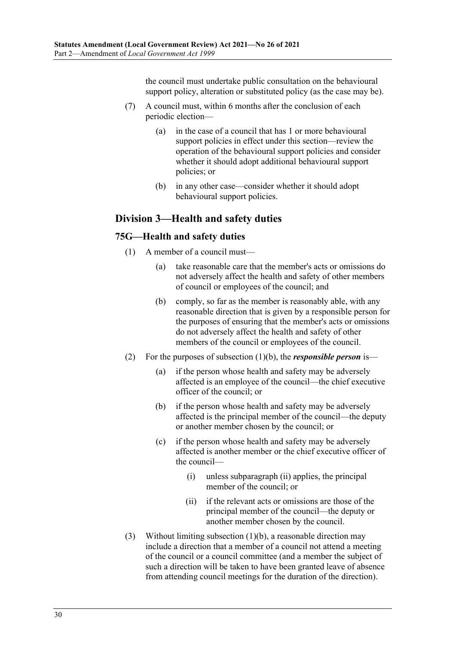the council must undertake public consultation on the behavioural support policy, alteration or substituted policy (as the case may be).

- (7) A council must, within 6 months after the conclusion of each periodic election—
	- (a) in the case of a council that has 1 or more behavioural support policies in effect under this section—review the operation of the behavioural support policies and consider whether it should adopt additional behavioural support policies; or
	- (b) in any other case—consider whether it should adopt behavioural support policies.

# **Division 3—Health and safety duties**

## **75G—Health and safety duties**

- <span id="page-29-0"></span>(1) A member of a council must
	- take reasonable care that the member's acts or omissions do not adversely affect the health and safety of other members of council or employees of the council; and
	- (b) comply, so far as the member is reasonably able, with any reasonable direction that is given by a responsible person for the purposes of ensuring that the member's acts or omissions do not adversely affect the health and safety of other members of the council or employees of the council.
- (2) For the purposes of [subsection](#page-29-0) (1)(b), the *responsible person* is—
	- (a) if the person whose health and safety may be adversely affected is an employee of the council—the chief executive officer of the council; or
	- (b) if the person whose health and safety may be adversely affected is the principal member of the council—the deputy or another member chosen by the council; or
	- (c) if the person whose health and safety may be adversely affected is another member or the chief executive officer of the council—
		- (i) unless [subparagraph](#page-29-1) (ii) applies, the principal member of the council; or
		- (ii) if the relevant acts or omissions are those of the principal member of the council—the deputy or another member chosen by the council.
- <span id="page-29-1"></span>(3) Without limiting [subsection](#page-29-0) (1)(b), a reasonable direction may include a direction that a member of a council not attend a meeting of the council or a council committee (and a member the subject of such a direction will be taken to have been granted leave of absence from attending council meetings for the duration of the direction).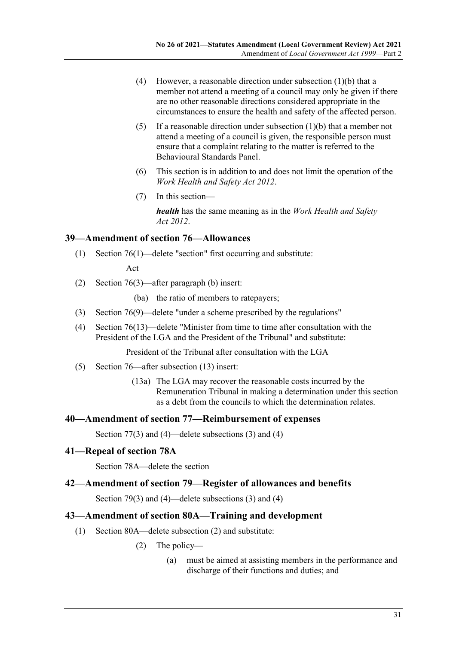- (4) However, a reasonable direction under [subsection](#page-29-0) (1)(b) that a member not attend a meeting of a council may only be given if there are no other reasonable directions considered appropriate in the circumstances to ensure the health and safety of the affected person.
- (5) If a reasonable direction under [subsection](#page-29-0)  $(1)(b)$  that a member not attend a meeting of a council is given, the responsible person must ensure that a complaint relating to the matter is referred to the Behavioural Standards Panel.
- (6) This section is in addition to and does not limit the operation of the *[Work Health and Safety Act](http://www.legislation.sa.gov.au/index.aspx?action=legref&type=act&legtitle=Work%20Health%20and%20Safety%20Act%202012) 2012*.
- (7) In this section—

*health* has the same meaning as in the *[Work Health and Safety](http://www.legislation.sa.gov.au/index.aspx?action=legref&type=act&legtitle=Work%20Health%20and%20Safety%20Act%202012)  Act [2012](http://www.legislation.sa.gov.au/index.aspx?action=legref&type=act&legtitle=Work%20Health%20and%20Safety%20Act%202012)*.

## <span id="page-30-0"></span>**39—Amendment of section 76—Allowances**

(1) Section 76(1)—delete "section" first occurring and substitute:

Act

- (2) Section 76(3)—after paragraph (b) insert:
	- (ba) the ratio of members to ratepayers;
- (3) Section 76(9)—delete "under a scheme prescribed by the regulations"
- (4) Section 76(13)—delete "Minister from time to time after consultation with the President of the LGA and the President of the Tribunal" and substitute:

President of the Tribunal after consultation with the LGA

- (5) Section 76—after subsection (13) insert:
	- (13a) The LGA may recover the reasonable costs incurred by the Remuneration Tribunal in making a determination under this section as a debt from the councils to which the determination relates.

#### <span id="page-30-1"></span>**40—Amendment of section 77—Reimbursement of expenses**

Section 77(3) and (4)—delete subsections (3) and (4)

#### <span id="page-30-2"></span>**41—Repeal of section 78A**

Section 78A—delete the section

### <span id="page-30-3"></span>**42—Amendment of section 79—Register of allowances and benefits**

Section 79(3) and (4)—delete subsections (3) and (4)

### <span id="page-30-4"></span>**43—Amendment of section 80A—Training and development**

- (1) Section 80A—delete subsection (2) and substitute:
	- (2) The policy—
		- (a) must be aimed at assisting members in the performance and discharge of their functions and duties; and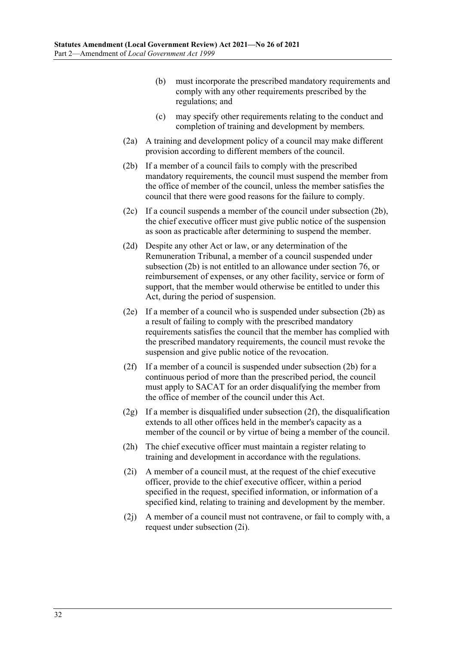- (b) must incorporate the prescribed mandatory requirements and comply with any other requirements prescribed by the regulations; and
- (c) may specify other requirements relating to the conduct and completion of training and development by members.
- (2a) A training and development policy of a council may make different provision according to different members of the council.
- <span id="page-31-0"></span>(2b) If a member of a council fails to comply with the prescribed mandatory requirements, the council must suspend the member from the office of member of the council, unless the member satisfies the council that there were good reasons for the failure to comply.
- (2c) If a council suspends a member of the council under [subsection](#page-31-0) (2b), the chief executive officer must give public notice of the suspension as soon as practicable after determining to suspend the member.
- (2d) Despite any other Act or law, or any determination of the Remuneration Tribunal, a member of a council suspended under [subsection](#page-31-0) (2b) is not entitled to an allowance under section 76, or reimbursement of expenses, or any other facility, service or form of support, that the member would otherwise be entitled to under this Act, during the period of suspension.
- (2e) If a member of a council who is suspended under [subsection](#page-31-0) (2b) as a result of failing to comply with the prescribed mandatory requirements satisfies the council that the member has complied with the prescribed mandatory requirements, the council must revoke the suspension and give public notice of the revocation.
- <span id="page-31-1"></span>(2f) If a member of a council is suspended under [subsection](#page-31-0) (2b) for a continuous period of more than the prescribed period, the council must apply to SACAT for an order disqualifying the member from the office of member of the council under this Act.
- $(2g)$  If a member is disqualified under [subsection](#page-31-1)  $(2f)$ , the disqualification extends to all other offices held in the member's capacity as a member of the council or by virtue of being a member of the council.
- (2h) The chief executive officer must maintain a register relating to training and development in accordance with the regulations.
- <span id="page-31-2"></span>(2i) A member of a council must, at the request of the chief executive officer, provide to the chief executive officer, within a period specified in the request, specified information, or information of a specified kind, relating to training and development by the member.
- (2j) A member of a council must not contravene, or fail to comply with, a request under [subsection](#page-31-2) (2i).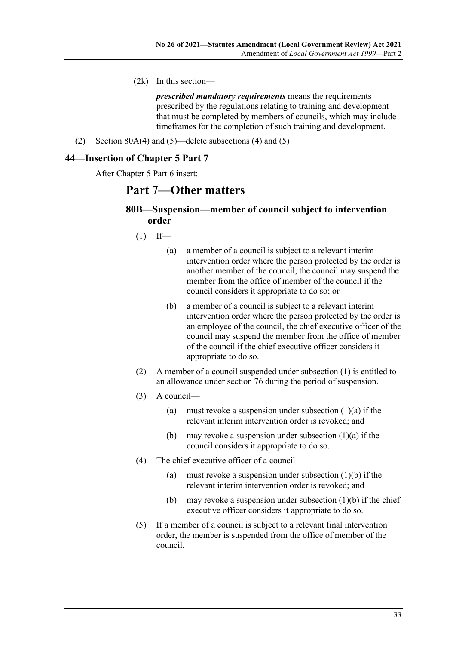(2k) In this section—

*prescribed mandatory requirements* means the requirements prescribed by the regulations relating to training and development that must be completed by members of councils, which may include timeframes for the completion of such training and development.

(2) Section 80A(4) and (5)—delete subsections (4) and (5)

## <span id="page-32-0"></span>**44—Insertion of Chapter 5 Part 7**

<span id="page-32-1"></span>After Chapter 5 Part 6 insert:

# **Part 7—Other matters**

## **80B—Suspension—member of council subject to intervention order**

- <span id="page-32-3"></span><span id="page-32-2"></span> $(1)$  If—
	- (a) a member of a council is subject to a relevant interim intervention order where the person protected by the order is another member of the council, the council may suspend the member from the office of member of the council if the council considers it appropriate to do so; or
	- (b) a member of a council is subject to a relevant interim intervention order where the person protected by the order is an employee of the council, the chief executive officer of the council may suspend the member from the office of member of the council if the chief executive officer considers it appropriate to do so.
- (2) A member of a council suspended under [subsection](#page-32-1) (1) is entitled to an allowance under section 76 during the period of suspension.
- (3) A council
	- (a) must revoke a suspension under [subsection](#page-32-2)  $(1)(a)$  if the relevant interim intervention order is revoked; and
	- (b) may revoke a suspension under [subsection](#page-32-2)  $(1)(a)$  if the council considers it appropriate to do so.
- (4) The chief executive officer of a council
	- (a) must revoke a suspension under [subsection](#page-32-3)  $(1)(b)$  if the relevant interim intervention order is revoked; and
	- (b) may revoke a suspension under [subsection](#page-32-3)  $(1)(b)$  if the chief executive officer considers it appropriate to do so.
- <span id="page-32-4"></span>(5) If a member of a council is subject to a relevant final intervention order, the member is suspended from the office of member of the council.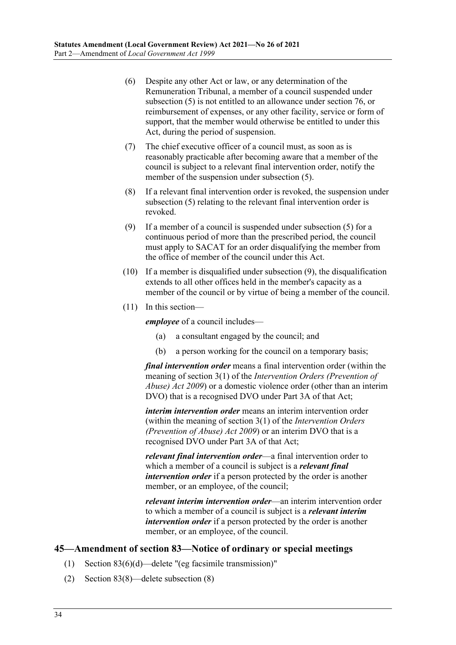- (6) Despite any other Act or law, or any determination of the Remuneration Tribunal, a member of a council suspended under [subsection](#page-32-4) (5) is not entitled to an allowance under section 76, or reimbursement of expenses, or any other facility, service or form of support, that the member would otherwise be entitled to under this Act, during the period of suspension.
- (7) The chief executive officer of a council must, as soon as is reasonably practicable after becoming aware that a member of the council is subject to a relevant final intervention order, notify the member of the suspension under [subsection](#page-32-4) (5).
- (8) If a relevant final intervention order is revoked, the suspension under [subsection](#page-32-4) (5) relating to the relevant final intervention order is revoked.
- <span id="page-33-1"></span>(9) If a member of a council is suspended under [subsection](#page-32-4) (5) for a continuous period of more than the prescribed period, the council must apply to SACAT for an order disqualifying the member from the office of member of the council under this Act.
- (10) If a member is disqualified under [subsection](#page-33-1) (9), the disqualification extends to all other offices held in the member's capacity as a member of the council or by virtue of being a member of the council.
- (11) In this section—

*employee* of a council includes—

- (a) a consultant engaged by the council; and
- (b) a person working for the council on a temporary basis;

*final intervention order* means a final intervention order (within the meaning of section 3(1) of the *[Intervention Orders \(Prevention of](http://www.legislation.sa.gov.au/index.aspx?action=legref&type=act&legtitle=Intervention%20Orders%20(Prevention%20of%20Abuse)%20Act%202009)  [Abuse\) Act](http://www.legislation.sa.gov.au/index.aspx?action=legref&type=act&legtitle=Intervention%20Orders%20(Prevention%20of%20Abuse)%20Act%202009) 2009*) or a domestic violence order (other than an interim DVO) that is a recognised DVO under Part 3A of that Act;

*interim intervention order* means an interim intervention order (within the meaning of section 3(1) of the *[Intervention Orders](http://www.legislation.sa.gov.au/index.aspx?action=legref&type=act&legtitle=Intervention%20Orders%20(Prevention%20of%20Abuse)%20Act%202009)  [\(Prevention of Abuse\) Act](http://www.legislation.sa.gov.au/index.aspx?action=legref&type=act&legtitle=Intervention%20Orders%20(Prevention%20of%20Abuse)%20Act%202009) 2009*) or an interim DVO that is a recognised DVO under Part 3A of that Act;

*relevant final intervention order*—a final intervention order to which a member of a council is subject is a *relevant final intervention order* if a person protected by the order is another member, or an employee, of the council;

*relevant interim intervention order*—an interim intervention order to which a member of a council is subject is a *relevant interim intervention order* if a person protected by the order is another member, or an employee, of the council.

## <span id="page-33-0"></span>**45—Amendment of section 83—Notice of ordinary or special meetings**

- (1) Section 83(6)(d)—delete "(eg facsimile transmission)"
- (2) Section 83(8)—delete subsection (8)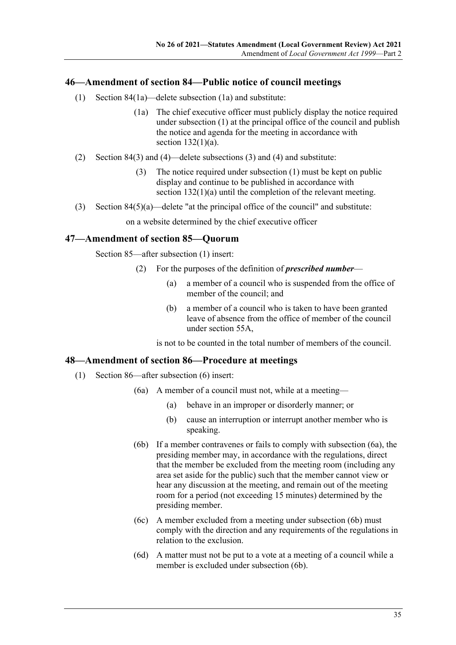## <span id="page-34-0"></span>**46—Amendment of section 84—Public notice of council meetings**

- (1) Section 84(1a)—delete subsection (1a) and substitute:
	- (1a) The chief executive officer must publicly display the notice required under subsection (1) at the principal office of the council and publish the notice and agenda for the meeting in accordance with section  $132(1)(a)$ .
- (2) Section 84(3) and (4)—delete subsections (3) and (4) and substitute:
	- (3) The notice required under subsection (1) must be kept on public display and continue to be published in accordance with section 132(1)(a) until the completion of the relevant meeting.
- (3) Section  $84(5)(a)$ —delete "at the principal office of the council" and substitute:

on a website determined by the chief executive officer

## <span id="page-34-1"></span>**47—Amendment of section 85—Quorum**

Section 85—after subsection (1) insert:

- (2) For the purposes of the definition of *prescribed number*
	- (a) a member of a council who is suspended from the office of member of the council; and
	- (b) a member of a council who is taken to have been granted leave of absence from the office of member of the council under section 55A,

is not to be counted in the total number of members of the council.

## <span id="page-34-2"></span>**48—Amendment of section 86—Procedure at meetings**

- <span id="page-34-5"></span><span id="page-34-4"></span><span id="page-34-3"></span>(1) Section 86—after subsection (6) insert:
	- (6a) A member of a council must not, while at a meeting—
		- (a) behave in an improper or disorderly manner; or
		- (b) cause an interruption or interrupt another member who is speaking.
	- (6b) If a member contravenes or fails to comply with [subsection](#page-34-3) (6a), the presiding member may, in accordance with the regulations, direct that the member be excluded from the meeting room (including any area set aside for the public) such that the member cannot view or hear any discussion at the meeting, and remain out of the meeting room for a period (not exceeding 15 minutes) determined by the presiding member.
	- (6c) A member excluded from a meeting under [subsection](#page-34-4) (6b) must comply with the direction and any requirements of the regulations in relation to the exclusion.
	- (6d) A matter must not be put to a vote at a meeting of a council while a member is excluded unde[r subsection](#page-34-4) (6b).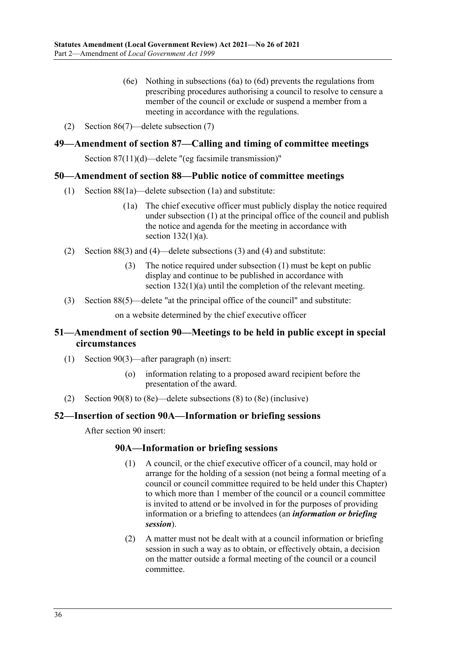- (6e) Nothing in [subsections](#page-34-3) (6a) to [\(6d\)](#page-34-5) prevents the regulations from prescribing procedures authorising a council to resolve to censure a member of the council or exclude or suspend a member from a meeting in accordance with the regulations.
- (2) Section 86(7)—delete subsection (7)

## <span id="page-35-0"></span>**49—Amendment of section 87—Calling and timing of committee meetings**

Section 87(11)(d)—delete "(eg facsimile transmission)"

#### <span id="page-35-1"></span>**50—Amendment of section 88—Public notice of committee meetings**

- (1) Section 88(1a)—delete subsection (1a) and substitute:
	- (1a) The chief executive officer must publicly display the notice required under subsection (1) at the principal office of the council and publish the notice and agenda for the meeting in accordance with section  $132(1)(a)$ .
- (2) Section 88(3) and (4)—delete subsections (3) and (4) and substitute:
	- (3) The notice required under subsection (1) must be kept on public display and continue to be published in accordance with section 132(1)(a) until the completion of the relevant meeting.
- (3) Section 88(5)—delete "at the principal office of the council" and substitute:

on a website determined by the chief executive officer

## <span id="page-35-2"></span>**51—Amendment of section 90—Meetings to be held in public except in special circumstances**

- (1) Section 90(3)—after paragraph (n) insert:
	- (o) information relating to a proposed award recipient before the presentation of the award.
- (2) Section 90(8) to (8e)—delete subsections (8) to (8e) (inclusive)

#### <span id="page-35-3"></span>**52—Insertion of section 90A—Information or briefing sessions**

After section 90 insert:

#### **90A—Information or briefing sessions**

- (1) A council, or the chief executive officer of a council, may hold or arrange for the holding of a session (not being a formal meeting of a council or council committee required to be held under this Chapter) to which more than 1 member of the council or a council committee is invited to attend or be involved in for the purposes of providing information or a briefing to attendees (an *information or briefing session*).
- (2) A matter must not be dealt with at a council information or briefing session in such a way as to obtain, or effectively obtain, a decision on the matter outside a formal meeting of the council or a council committee.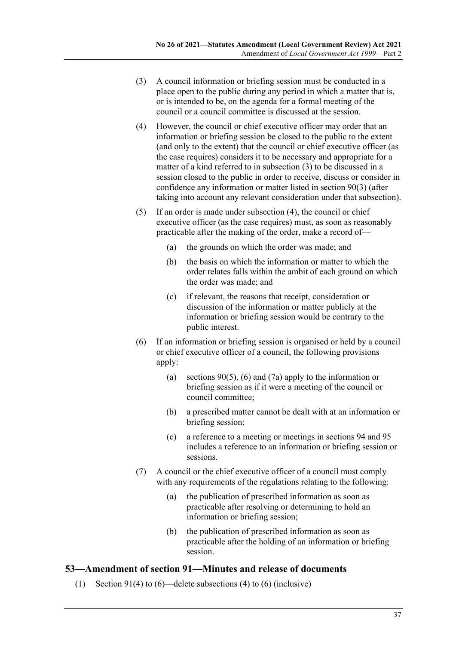- <span id="page-36-0"></span>(3) A council information or briefing session must be conducted in a place open to the public during any period in which a matter that is, or is intended to be, on the agenda for a formal meeting of the council or a council committee is discussed at the session.
- <span id="page-36-1"></span>(4) However, the council or chief executive officer may order that an information or briefing session be closed to the public to the extent (and only to the extent) that the council or chief executive officer (as the case requires) considers it to be necessary and appropriate for a matter of a kind referred to in [subsection](#page-36-0) (3) to be discussed in a session closed to the public in order to receive, discuss or consider in confidence any information or matter listed in section 90(3) (after taking into account any relevant consideration under that subsection).
- (5) If an order is made under [subsection](#page-36-1) (4), the council or chief executive officer (as the case requires) must, as soon as reasonably practicable after the making of the order, make a record of—
	- (a) the grounds on which the order was made; and
	- (b) the basis on which the information or matter to which the order relates falls within the ambit of each ground on which the order was made; and
	- (c) if relevant, the reasons that receipt, consideration or discussion of the information or matter publicly at the information or briefing session would be contrary to the public interest.
- (6) If an information or briefing session is organised or held by a council or chief executive officer of a council, the following provisions apply:
	- (a) sections 90(5), (6) and (7a) apply to the information or briefing session as if it were a meeting of the council or council committee;
	- (b) a prescribed matter cannot be dealt with at an information or briefing session;
	- (c) a reference to a meeting or meetings in sections 94 and 95 includes a reference to an information or briefing session or sessions.
- (7) A council or the chief executive officer of a council must comply with any requirements of the regulations relating to the following:
	- (a) the publication of prescribed information as soon as practicable after resolving or determining to hold an information or briefing session;
	- (b) the publication of prescribed information as soon as practicable after the holding of an information or briefing session.

### **53—Amendment of section 91—Minutes and release of documents**

(1) Section 91(4) to (6)—delete subsections (4) to (6) (inclusive)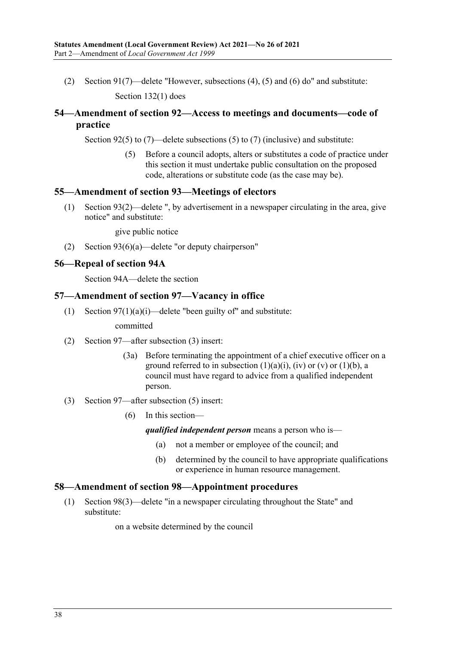(2) Section 91(7)—delete "However, subsections (4), (5) and (6) do" and substitute: Section 132(1) does

# **54—Amendment of section 92—Access to meetings and documents—code of practice**

Section 92(5) to (7)—delete subsections (5) to (7) (inclusive) and substitute:

(5) Before a council adopts, alters or substitutes a code of practice under this section it must undertake public consultation on the proposed code, alterations or substitute code (as the case may be).

### **55—Amendment of section 93—Meetings of electors**

(1) Section 93(2)—delete ", by advertisement in a newspaper circulating in the area, give notice" and substitute:

give public notice

(2) Section 93(6)(a)—delete "or deputy chairperson"

### **56—Repeal of section 94A**

Section 94A—delete the section

#### **57—Amendment of section 97—Vacancy in office**

(1) Section  $97(1)(a)(i)$ —delete "been guilty of" and substitute:

committed

- (2) Section 97—after subsection (3) insert:
	- (3a) Before terminating the appointment of a chief executive officer on a ground referred to in subsection  $(1)(a)(i)$ ,  $(iv)$  or  $(v)$  or  $(1)(b)$ , a council must have regard to advice from a qualified independent person.
- (3) Section 97—after subsection (5) insert:
	- (6) In this section—

*qualified independent person* means a person who is—

- (a) not a member or employee of the council; and
- (b) determined by the council to have appropriate qualifications or experience in human resource management.

### **58—Amendment of section 98—Appointment procedures**

(1) Section 98(3)—delete "in a newspaper circulating throughout the State" and substitute:

on a website determined by the council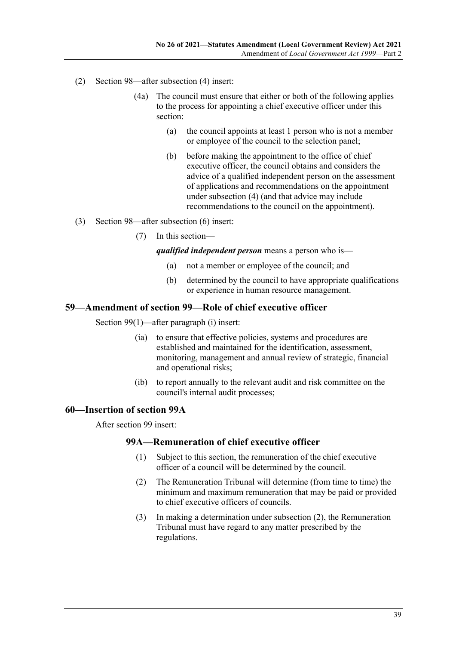- (2) Section 98—after subsection (4) insert:
	- (4a) The council must ensure that either or both of the following applies to the process for appointing a chief executive officer under this section:
		- (a) the council appoints at least 1 person who is not a member or employee of the council to the selection panel;
		- (b) before making the appointment to the office of chief executive officer, the council obtains and considers the advice of a qualified independent person on the assessment of applications and recommendations on the appointment under subsection (4) (and that advice may include recommendations to the council on the appointment).
- (3) Section 98—after subsection (6) insert:
	- (7) In this section—

*qualified independent person* means a person who is—

- (a) not a member or employee of the council; and
- (b) determined by the council to have appropriate qualifications or experience in human resource management.

### **59—Amendment of section 99—Role of chief executive officer**

Section 99(1)—after paragraph (i) insert:

- (ia) to ensure that effective policies, systems and procedures are established and maintained for the identification, assessment, monitoring, management and annual review of strategic, financial and operational risks;
- (ib) to report annually to the relevant audit and risk committee on the council's internal audit processes;

#### **60—Insertion of section 99A**

<span id="page-38-0"></span>After section 99 insert:

#### **99A—Remuneration of chief executive officer**

- (1) Subject to this section, the remuneration of the chief executive officer of a council will be determined by the council.
- (2) The Remuneration Tribunal will determine (from time to time) the minimum and maximum remuneration that may be paid or provided to chief executive officers of councils.
- (3) In making a determination under [subsection](#page-38-0) (2), the Remuneration Tribunal must have regard to any matter prescribed by the regulations.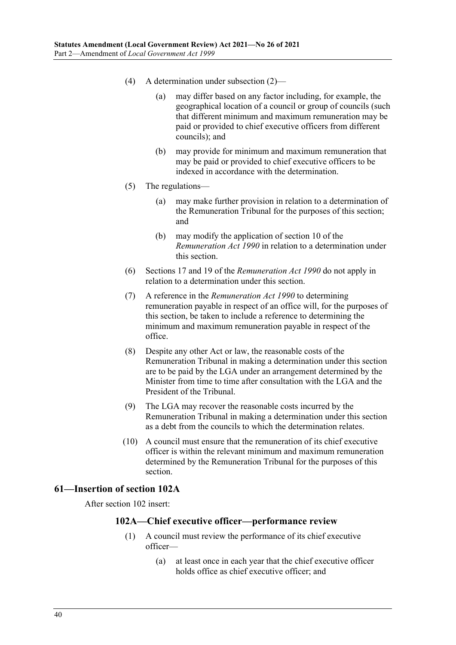- (4) A determination under [subsection](#page-38-0) (2)—
	- (a) may differ based on any factor including, for example, the geographical location of a council or group of councils (such that different minimum and maximum remuneration may be paid or provided to chief executive officers from different councils); and
	- (b) may provide for minimum and maximum remuneration that may be paid or provided to chief executive officers to be indexed in accordance with the determination.
- (5) The regulations—
	- (a) may make further provision in relation to a determination of the Remuneration Tribunal for the purposes of this section; and
	- (b) may modify the application of section 10 of the *[Remuneration Act](http://www.legislation.sa.gov.au/index.aspx?action=legref&type=act&legtitle=Remuneration%20Act%201990) 1990* in relation to a determination under this section.
- (6) Sections 17 and 19 of the *[Remuneration Act](http://www.legislation.sa.gov.au/index.aspx?action=legref&type=act&legtitle=Remuneration%20Act%201990) 1990* do not apply in relation to a determination under this section.
- (7) A reference in the *[Remuneration Act](http://www.legislation.sa.gov.au/index.aspx?action=legref&type=act&legtitle=Remuneration%20Act%201990) 1990* to determining remuneration payable in respect of an office will, for the purposes of this section, be taken to include a reference to determining the minimum and maximum remuneration payable in respect of the office.
- (8) Despite any other Act or law, the reasonable costs of the Remuneration Tribunal in making a determination under this section are to be paid by the LGA under an arrangement determined by the Minister from time to time after consultation with the LGA and the President of the Tribunal.
- (9) The LGA may recover the reasonable costs incurred by the Remuneration Tribunal in making a determination under this section as a debt from the councils to which the determination relates.
- (10) A council must ensure that the remuneration of its chief executive officer is within the relevant minimum and maximum remuneration determined by the Remuneration Tribunal for the purposes of this section.

#### **61—Insertion of section 102A**

<span id="page-39-0"></span>After section 102 insert:

### **102A—Chief executive officer—performance review**

- (1) A council must review the performance of its chief executive officer—
	- (a) at least once in each year that the chief executive officer holds office as chief executive officer; and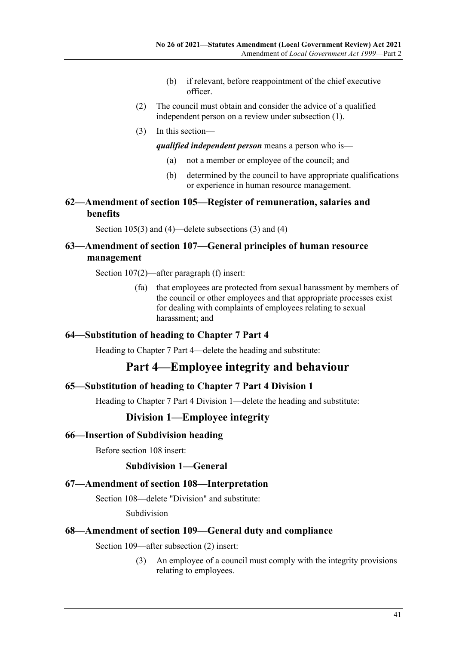- (b) if relevant, before reappointment of the chief executive officer.
- (2) The council must obtain and consider the advice of a qualified independent person on a review under [subsection](#page-39-0) (1).
- (3) In this section—

*qualified independent person* means a person who is—

- (a) not a member or employee of the council; and
- (b) determined by the council to have appropriate qualifications or experience in human resource management.

# **62—Amendment of section 105—Register of remuneration, salaries and benefits**

Section 105(3) and (4)—delete subsections (3) and (4)

# **63—Amendment of section 107—General principles of human resource management**

Section 107(2)—after paragraph (f) insert:

(fa) that employees are protected from sexual harassment by members of the council or other employees and that appropriate processes exist for dealing with complaints of employees relating to sexual harassment; and

### **64—Substitution of heading to Chapter 7 Part 4**

Heading to Chapter 7 Part 4—delete the heading and substitute:

# **Part 4—Employee integrity and behaviour**

### **65—Substitution of heading to Chapter 7 Part 4 Division 1**

Heading to Chapter 7 Part 4 Division 1—delete the heading and substitute:

### **Division 1—Employee integrity**

#### **66—Insertion of Subdivision heading**

Before section 108 insert:

### **Subdivision 1—General**

#### **67—Amendment of section 108—Interpretation**

Section 108—delete "Division" and substitute:

Subdivision

### **68—Amendment of section 109—General duty and compliance**

Section 109—after subsection (2) insert:

(3) An employee of a council must comply with the integrity provisions relating to employees.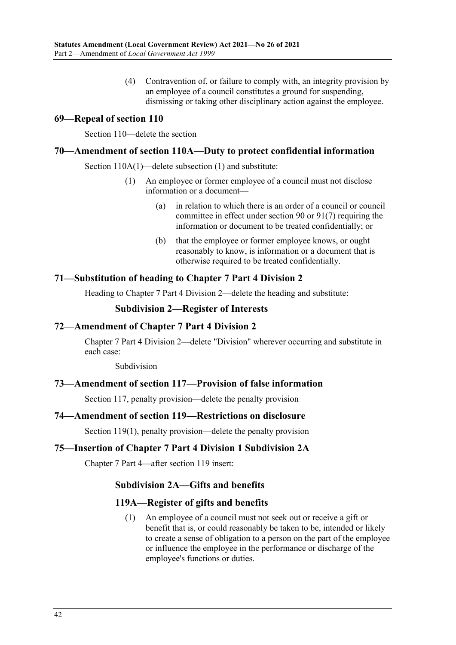(4) Contravention of, or failure to comply with, an integrity provision by an employee of a council constitutes a ground for suspending, dismissing or taking other disciplinary action against the employee.

### **69—Repeal of section 110**

Section 110—delete the section

### **70—Amendment of section 110A—Duty to protect confidential information**

Section 110A(1)—delete subsection (1) and substitute:

- (1) An employee or former employee of a council must not disclose information or a document—
	- (a) in relation to which there is an order of a council or council committee in effect under section 90 or 91(7) requiring the information or document to be treated confidentially; or
	- (b) that the employee or former employee knows, or ought reasonably to know, is information or a document that is otherwise required to be treated confidentially.

### **71—Substitution of heading to Chapter 7 Part 4 Division 2**

Heading to Chapter 7 Part 4 Division 2—delete the heading and substitute:

### **Subdivision 2—Register of Interests**

### **72—Amendment of Chapter 7 Part 4 Division 2**

Chapter 7 Part 4 Division 2—delete "Division" wherever occurring and substitute in each case:

Subdivision

#### **73—Amendment of section 117—Provision of false information**

Section 117, penalty provision—delete the penalty provision

### **74—Amendment of section 119—Restrictions on disclosure**

Section 119(1), penalty provision—delete the penalty provision

#### **75—Insertion of Chapter 7 Part 4 Division 1 Subdivision 2A**

Chapter 7 Part 4—after section 119 insert:

### **Subdivision 2A—Gifts and benefits**

#### **119A—Register of gifts and benefits**

(1) An employee of a council must not seek out or receive a gift or benefit that is, or could reasonably be taken to be, intended or likely to create a sense of obligation to a person on the part of the employee or influence the employee in the performance or discharge of the employee's functions or duties.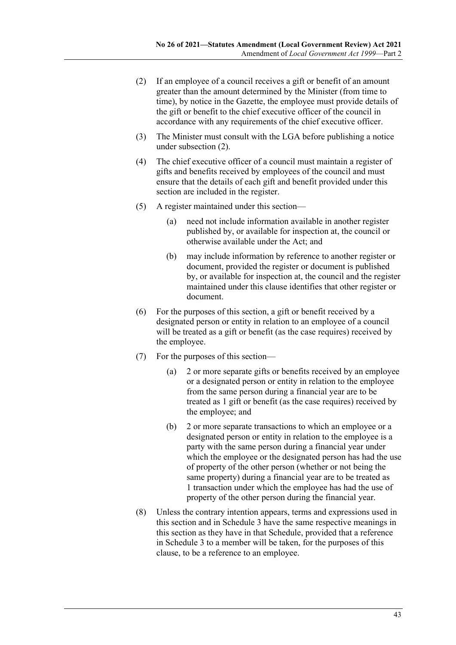- <span id="page-42-0"></span>(2) If an employee of a council receives a gift or benefit of an amount greater than the amount determined by the Minister (from time to time), by notice in the Gazette, the employee must provide details of the gift or benefit to the chief executive officer of the council in accordance with any requirements of the chief executive officer.
- (3) The Minister must consult with the LGA before publishing a notice under [subsection](#page-42-0) (2).
- (4) The chief executive officer of a council must maintain a register of gifts and benefits received by employees of the council and must ensure that the details of each gift and benefit provided under this section are included in the register.
- (5) A register maintained under this section—
	- (a) need not include information available in another register published by, or available for inspection at, the council or otherwise available under the Act; and
	- (b) may include information by reference to another register or document, provided the register or document is published by, or available for inspection at, the council and the register maintained under this clause identifies that other register or document.
- (6) For the purposes of this section, a gift or benefit received by a designated person or entity in relation to an employee of a council will be treated as a gift or benefit (as the case requires) received by the employee.
- (7) For the purposes of this section—
	- (a) 2 or more separate gifts or benefits received by an employee or a designated person or entity in relation to the employee from the same person during a financial year are to be treated as 1 gift or benefit (as the case requires) received by the employee; and
	- (b) 2 or more separate transactions to which an employee or a designated person or entity in relation to the employee is a party with the same person during a financial year under which the employee or the designated person has had the use of property of the other person (whether or not being the same property) during a financial year are to be treated as 1 transaction under which the employee has had the use of property of the other person during the financial year.
- (8) Unless the contrary intention appears, terms and expressions used in this section and in Schedule 3 have the same respective meanings in this section as they have in that Schedule, provided that a reference in Schedule 3 to a member will be taken, for the purposes of this clause, to be a reference to an employee.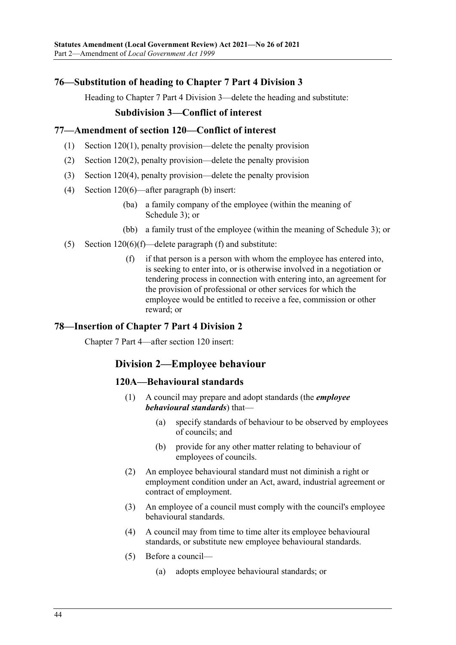# **76—Substitution of heading to Chapter 7 Part 4 Division 3**

Heading to Chapter 7 Part 4 Division 3—delete the heading and substitute:

### **Subdivision 3—Conflict of interest**

### **77—Amendment of section 120—Conflict of interest**

- (1) Section 120(1), penalty provision—delete the penalty provision
- (2) Section 120(2), penalty provision—delete the penalty provision
- (3) Section 120(4), penalty provision—delete the penalty provision
- (4) Section 120(6)—after paragraph (b) insert:
	- (ba) a family company of the employee (within the meaning of Schedule 3); or
	- (bb) a family trust of the employee (within the meaning of Schedule 3); or
- (5) Section  $120(6)$ (f)—delete paragraph (f) and substitute:
	- (f) if that person is a person with whom the employee has entered into, is seeking to enter into, or is otherwise involved in a negotiation or tendering process in connection with entering into, an agreement for the provision of professional or other services for which the employee would be entitled to receive a fee, commission or other reward; or

### **78—Insertion of Chapter 7 Part 4 Division 2**

Chapter 7 Part 4—after section 120 insert:

# **Division 2—Employee behaviour**

### **120A—Behavioural standards**

- (1) A council may prepare and adopt standards (the *employee behavioural standards*) that—
	- (a) specify standards of behaviour to be observed by employees of councils; and
	- (b) provide for any other matter relating to behaviour of employees of councils.
- (2) An employee behavioural standard must not diminish a right or employment condition under an Act, award, industrial agreement or contract of employment.
- (3) An employee of a council must comply with the council's employee behavioural standards.
- (4) A council may from time to time alter its employee behavioural standards, or substitute new employee behavioural standards.
- (5) Before a council—
	- (a) adopts employee behavioural standards; or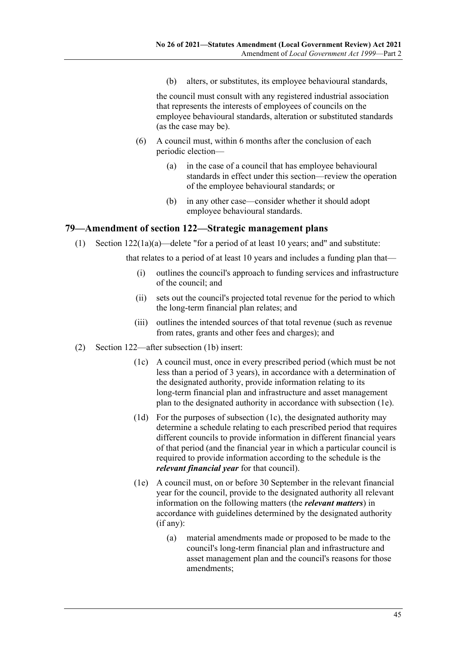(b) alters, or substitutes, its employee behavioural standards,

the council must consult with any registered industrial association that represents the interests of employees of councils on the employee behavioural standards, alteration or substituted standards (as the case may be).

- (6) A council must, within 6 months after the conclusion of each periodic election—
	- (a) in the case of a council that has employee behavioural standards in effect under this section—review the operation of the employee behavioural standards; or
	- (b) in any other case—consider whether it should adopt employee behavioural standards.

### **79—Amendment of section 122—Strategic management plans**

(1) Section 122(1a)(a)—delete "for a period of at least 10 years; and" and substitute:

that relates to a period of at least 10 years and includes a funding plan that—

- (i) outlines the council's approach to funding services and infrastructure of the council; and
- (ii) sets out the council's projected total revenue for the period to which the long-term financial plan relates; and
- (iii) outlines the intended sources of that total revenue (such as revenue from rates, grants and other fees and charges); and
- <span id="page-44-2"></span><span id="page-44-1"></span><span id="page-44-0"></span>(2) Section 122—after subsection (1b) insert:
	- (1c) A council must, once in every prescribed period (which must be not less than a period of 3 years), in accordance with a determination of the designated authority, provide information relating to its long-term financial plan and infrastructure and asset management plan to the designated authority in accordance with [subsection](#page-44-0) (1e).
	- (1d) For the purposes of [subsection](#page-44-1) (1c), the designated authority may determine a schedule relating to each prescribed period that requires different councils to provide information in different financial years of that period (and the financial year in which a particular council is required to provide information according to the schedule is the *relevant financial year* for that council).
	- (1e) A council must, on or before 30 September in the relevant financial year for the council, provide to the designated authority all relevant information on the following matters (the *relevant matters*) in accordance with guidelines determined by the designated authority (if any):
		- (a) material amendments made or proposed to be made to the council's long-term financial plan and infrastructure and asset management plan and the council's reasons for those amendments;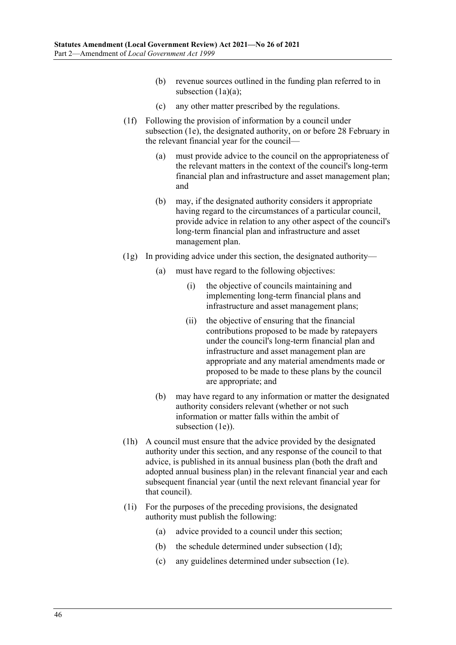- (b) revenue sources outlined in the funding plan referred to in subsection (1a)(a);
- (c) any other matter prescribed by the regulations.
- (1f) Following the provision of information by a council under [subsection](#page-44-0) (1e), the designated authority, on or before 28 February in the relevant financial year for the council—
	- (a) must provide advice to the council on the appropriateness of the relevant matters in the context of the council's long-term financial plan and infrastructure and asset management plan; and
	- (b) may, if the designated authority considers it appropriate having regard to the circumstances of a particular council, provide advice in relation to any other aspect of the council's long-term financial plan and infrastructure and asset management plan.
- $(1g)$  In providing advice under this section, the designated authority—
	- (a) must have regard to the following objectives:
		- (i) the objective of councils maintaining and implementing long-term financial plans and infrastructure and asset management plans;
		- (ii) the objective of ensuring that the financial contributions proposed to be made by ratepayers under the council's long-term financial plan and infrastructure and asset management plan are appropriate and any material amendments made or proposed to be made to these plans by the council are appropriate; and
	- (b) may have regard to any information or matter the designated authority considers relevant (whether or not such information or matter falls within the ambit of [subsection](#page-44-0) (1e)).
- (1h) A council must ensure that the advice provided by the designated authority under this section, and any response of the council to that advice, is published in its annual business plan (both the draft and adopted annual business plan) in the relevant financial year and each subsequent financial year (until the next relevant financial year for that council).
- (1i) For the purposes of the preceding provisions, the designated authority must publish the following:
	- (a) advice provided to a council under this section;
	- (b) the schedule determined under [subsection](#page-44-2) (1d);
	- (c) any guidelines determined under [subsection](#page-44-0) (1e).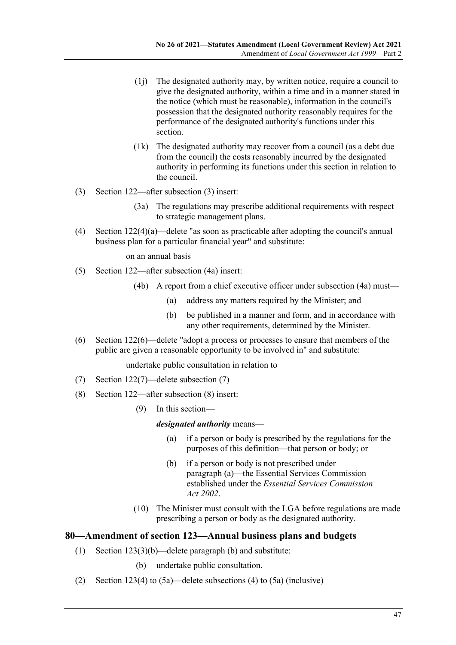- (1j) The designated authority may, by written notice, require a council to give the designated authority, within a time and in a manner stated in the notice (which must be reasonable), information in the council's possession that the designated authority reasonably requires for the performance of the designated authority's functions under this section.
- (1k) The designated authority may recover from a council (as a debt due from the council) the costs reasonably incurred by the designated authority in performing its functions under this section in relation to the council.
- (3) Section 122—after subsection (3) insert:
	- (3a) The regulations may prescribe additional requirements with respect to strategic management plans.
- (4) Section 122(4)(a)—delete "as soon as practicable after adopting the council's annual business plan for a particular financial year" and substitute:

on an annual basis

- (5) Section 122—after subsection (4a) insert:
	- (4b) A report from a chief executive officer under subsection (4a) must—
		- (a) address any matters required by the Minister; and
		- (b) be published in a manner and form, and in accordance with any other requirements, determined by the Minister.
- (6) Section 122(6)—delete "adopt a process or processes to ensure that members of the public are given a reasonable opportunity to be involved in" and substitute:

undertake public consultation in relation to

- (7) Section 122(7)—delete subsection (7)
- <span id="page-46-0"></span>(8) Section 122—after subsection (8) insert:
	- (9) In this section—

#### *designated authority* means—

- (a) if a person or body is prescribed by the regulations for the purposes of this definition—that person or body; or
- (b) if a person or body is not prescribed under [paragraph](#page-46-0) (a)—the Essential Services Commission established under the *[Essential Services Commission](http://www.legislation.sa.gov.au/index.aspx?action=legref&type=act&legtitle=Essential%20Services%20Commission%20Act%202002)  Act [2002](http://www.legislation.sa.gov.au/index.aspx?action=legref&type=act&legtitle=Essential%20Services%20Commission%20Act%202002)*.
- (10) The Minister must consult with the LGA before regulations are made prescribing a person or body as the designated authority.

### **80—Amendment of section 123—Annual business plans and budgets**

- (1) Section 123(3)(b)—delete paragraph (b) and substitute:
	- (b) undertake public consultation.
- (2) Section 123(4) to (5a)—delete subsections (4) to (5a) (inclusive)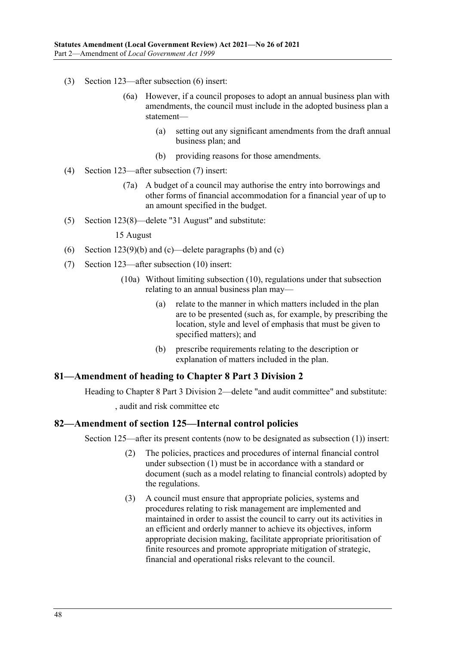- (3) Section 123—after subsection (6) insert:
	- (6a) However, if a council proposes to adopt an annual business plan with amendments, the council must include in the adopted business plan a statement—
		- (a) setting out any significant amendments from the draft annual business plan; and
		- (b) providing reasons for those amendments.
- (4) Section 123—after subsection (7) insert:
	- (7a) A budget of a council may authorise the entry into borrowings and other forms of financial accommodation for a financial year of up to an amount specified in the budget.
- (5) Section 123(8)—delete "31 August" and substitute:

#### 15 August

- (6) Section 123(9)(b) and (c)—delete paragraphs (b) and (c)
- (7) Section 123—after subsection (10) insert:
	- (10a) Without limiting subsection (10), regulations under that subsection relating to an annual business plan may—
		- (a) relate to the manner in which matters included in the plan are to be presented (such as, for example, by prescribing the location, style and level of emphasis that must be given to specified matters); and
		- (b) prescribe requirements relating to the description or explanation of matters included in the plan.

#### **81—Amendment of heading to Chapter 8 Part 3 Division 2**

Heading to Chapter 8 Part 3 Division 2—delete "and audit committee" and substitute: , audit and risk committee etc

#### **82—Amendment of section 125—Internal control policies**

Section 125—after its present contents (now to be designated as subsection (1)) insert:

- (2) The policies, practices and procedures of internal financial control under subsection (1) must be in accordance with a standard or document (such as a model relating to financial controls) adopted by the regulations.
- (3) A council must ensure that appropriate policies, systems and procedures relating to risk management are implemented and maintained in order to assist the council to carry out its activities in an efficient and orderly manner to achieve its objectives, inform appropriate decision making, facilitate appropriate prioritisation of finite resources and promote appropriate mitigation of strategic, financial and operational risks relevant to the council.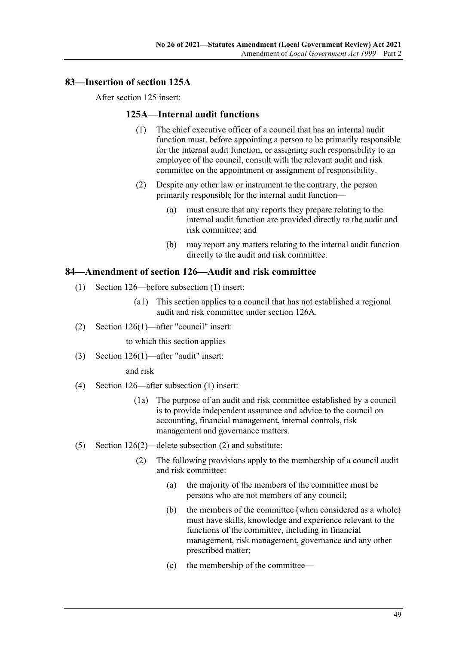# **83—Insertion of section 125A**

After section 125 insert:

### **125A—Internal audit functions**

- (1) The chief executive officer of a council that has an internal audit function must, before appointing a person to be primarily responsible for the internal audit function, or assigning such responsibility to an employee of the council, consult with the relevant audit and risk committee on the appointment or assignment of responsibility.
- (2) Despite any other law or instrument to the contrary, the person primarily responsible for the internal audit function—
	- (a) must ensure that any reports they prepare relating to the internal audit function are provided directly to the audit and risk committee; and
	- (b) may report any matters relating to the internal audit function directly to the audit and risk committee.

### **84—Amendment of section 126—Audit and risk committee**

- (1) Section 126—before subsection (1) insert:
	- (a1) This section applies to a council that has not established a regional audit and risk committee under section 126A.
- (2) Section 126(1)—after "council" insert:

to which this section applies

(3) Section 126(1)—after "audit" insert:

and risk

- (4) Section 126—after subsection (1) insert:
	- (1a) The purpose of an audit and risk committee established by a council is to provide independent assurance and advice to the council on accounting, financial management, internal controls, risk management and governance matters.
- (5) Section 126(2)—delete subsection (2) and substitute:
	- (2) The following provisions apply to the membership of a council audit and risk committee:
		- (a) the majority of the members of the committee must be persons who are not members of any council;
		- (b) the members of the committee (when considered as a whole) must have skills, knowledge and experience relevant to the functions of the committee, including in financial management, risk management, governance and any other prescribed matter;
		- (c) the membership of the committee—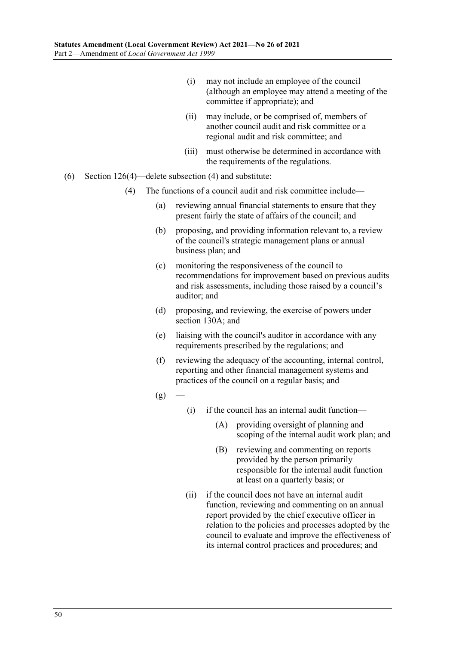- (i) may not include an employee of the council (although an employee may attend a meeting of the committee if appropriate); and
- (ii) may include, or be comprised of, members of another council audit and risk committee or a regional audit and risk committee; and
- (iii) must otherwise be determined in accordance with the requirements of the regulations.
- (6) Section 126(4)—delete subsection (4) and substitute:
	- (4) The functions of a council audit and risk committee include—
		- (a) reviewing annual financial statements to ensure that they present fairly the state of affairs of the council; and
		- (b) proposing, and providing information relevant to, a review of the council's strategic management plans or annual business plan; and
		- (c) monitoring the responsiveness of the council to recommendations for improvement based on previous audits and risk assessments, including those raised by a council's auditor; and
		- (d) proposing, and reviewing, the exercise of powers under section 130A; and
		- (e) liaising with the council's auditor in accordance with any requirements prescribed by the regulations; and
		- (f) reviewing the adequacy of the accounting, internal control, reporting and other financial management systems and practices of the council on a regular basis; and
		- $(g)$
- (i) if the council has an internal audit function—
	- (A) providing oversight of planning and scoping of the internal audit work plan; and
	- (B) reviewing and commenting on reports provided by the person primarily responsible for the internal audit function at least on a quarterly basis; or
- (ii) if the council does not have an internal audit function, reviewing and commenting on an annual report provided by the chief executive officer in relation to the policies and processes adopted by the council to evaluate and improve the effectiveness of its internal control practices and procedures; and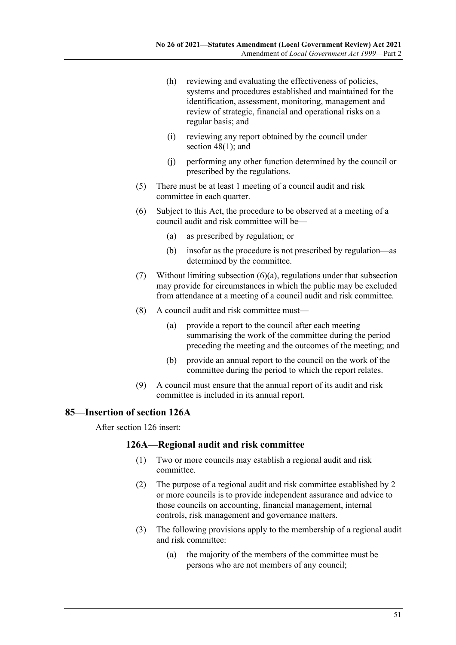- (h) reviewing and evaluating the effectiveness of policies, systems and procedures established and maintained for the identification, assessment, monitoring, management and review of strategic, financial and operational risks on a regular basis; and
- (i) reviewing any report obtained by the council under section  $48(1)$ ; and
- (j) performing any other function determined by the council or prescribed by the regulations.
- (5) There must be at least 1 meeting of a council audit and risk committee in each quarter.
- <span id="page-50-0"></span>(6) Subject to this Act, the procedure to be observed at a meeting of a council audit and risk committee will be—
	- (a) as prescribed by regulation; or
	- (b) insofar as the procedure is not prescribed by regulation—as determined by the committee.
- (7) Without limiting [subsection](#page-50-0) (6)(a), regulations under that subsection may provide for circumstances in which the public may be excluded from attendance at a meeting of a council audit and risk committee.
- (8) A council audit and risk committee must—
	- (a) provide a report to the council after each meeting summarising the work of the committee during the period preceding the meeting and the outcomes of the meeting; and
	- (b) provide an annual report to the council on the work of the committee during the period to which the report relates.
- (9) A council must ensure that the annual report of its audit and risk committee is included in its annual report.

### **85—Insertion of section 126A**

After section 126 insert:

#### **126A—Regional audit and risk committee**

- (1) Two or more councils may establish a regional audit and risk committee.
- (2) The purpose of a regional audit and risk committee established by 2 or more councils is to provide independent assurance and advice to those councils on accounting, financial management, internal controls, risk management and governance matters.
- (3) The following provisions apply to the membership of a regional audit and risk committee:
	- (a) the majority of the members of the committee must be persons who are not members of any council;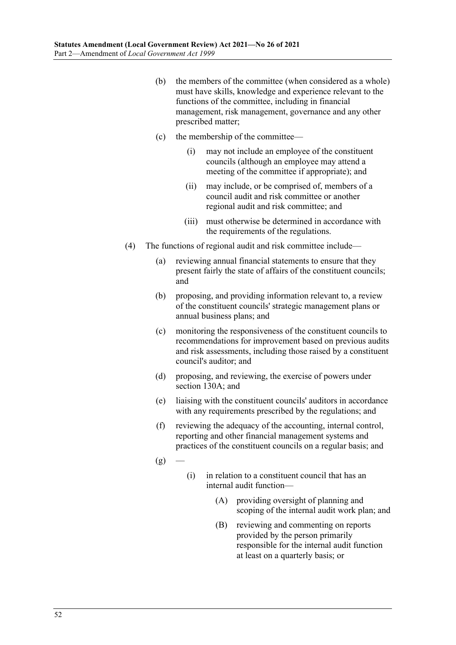- (b) the members of the committee (when considered as a whole) must have skills, knowledge and experience relevant to the functions of the committee, including in financial management, risk management, governance and any other prescribed matter;
- (c) the membership of the committee—
	- (i) may not include an employee of the constituent councils (although an employee may attend a meeting of the committee if appropriate); and
	- (ii) may include, or be comprised of, members of a council audit and risk committee or another regional audit and risk committee; and
	- (iii) must otherwise be determined in accordance with the requirements of the regulations.
- (4) The functions of regional audit and risk committee include—
	- (a) reviewing annual financial statements to ensure that they present fairly the state of affairs of the constituent councils; and
	- (b) proposing, and providing information relevant to, a review of the constituent councils' strategic management plans or annual business plans; and
	- (c) monitoring the responsiveness of the constituent councils to recommendations for improvement based on previous audits and risk assessments, including those raised by a constituent council's auditor; and
	- (d) proposing, and reviewing, the exercise of powers under section 130A; and
	- (e) liaising with the constituent councils' auditors in accordance with any requirements prescribed by the regulations; and
	- (f) reviewing the adequacy of the accounting, internal control, reporting and other financial management systems and practices of the constituent councils on a regular basis; and
	- $(g)$
- (i) in relation to a constituent council that has an internal audit function—
	- (A) providing oversight of planning and scoping of the internal audit work plan; and
	- (B) reviewing and commenting on reports provided by the person primarily responsible for the internal audit function at least on a quarterly basis; or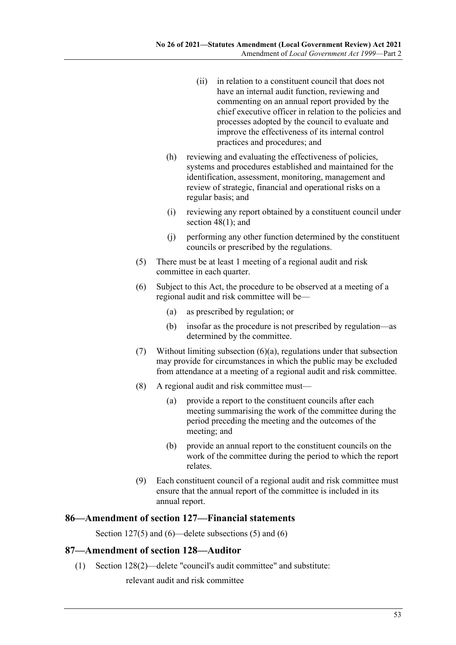- (ii) in relation to a constituent council that does not have an internal audit function, reviewing and commenting on an annual report provided by the chief executive officer in relation to the policies and processes adopted by the council to evaluate and improve the effectiveness of its internal control practices and procedures; and
- (h) reviewing and evaluating the effectiveness of policies, systems and procedures established and maintained for the identification, assessment, monitoring, management and review of strategic, financial and operational risks on a regular basis; and
- (i) reviewing any report obtained by a constituent council under section 48(1); and
- (j) performing any other function determined by the constituent councils or prescribed by the regulations.
- (5) There must be at least 1 meeting of a regional audit and risk committee in each quarter.
- <span id="page-52-0"></span>(6) Subject to this Act, the procedure to be observed at a meeting of a regional audit and risk committee will be—
	- (a) as prescribed by regulation; or
	- (b) insofar as the procedure is not prescribed by regulation—as determined by the committee.
- (7) Without limiting [subsection](#page-52-0) (6)(a), regulations under that subsection may provide for circumstances in which the public may be excluded from attendance at a meeting of a regional audit and risk committee.
- (8) A regional audit and risk committee must—
	- (a) provide a report to the constituent councils after each meeting summarising the work of the committee during the period preceding the meeting and the outcomes of the meeting; and
	- (b) provide an annual report to the constituent councils on the work of the committee during the period to which the report relates.
- (9) Each constituent council of a regional audit and risk committee must ensure that the annual report of the committee is included in its annual report.

### **86—Amendment of section 127—Financial statements**

Section 127(5) and (6)—delete subsections (5) and (6)

#### **87—Amendment of section 128—Auditor**

(1) Section 128(2)—delete "council's audit committee" and substitute:

relevant audit and risk committee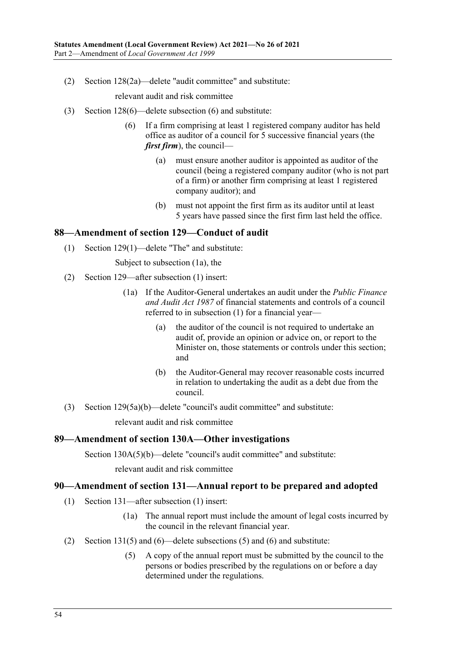(2) Section 128(2a)—delete "audit committee" and substitute:

relevant audit and risk committee

- (3) Section 128(6)—delete subsection (6) and substitute:
	- (6) If a firm comprising at least 1 registered company auditor has held office as auditor of a council for 5 successive financial years (the *first firm*), the council—
		- (a) must ensure another auditor is appointed as auditor of the council (being a registered company auditor (who is not part of a firm) or another firm comprising at least 1 registered company auditor); and
		- (b) must not appoint the first firm as its auditor until at least 5 years have passed since the first firm last held the office.

#### **88—Amendment of section 129—Conduct of audit**

(1) Section 129(1)—delete "The" and substitute:

Subject to subsection (1a), the

- (2) Section 129—after subsection (1) insert:
	- (1a) If the Auditor-General undertakes an audit under the *[Public Finance](http://www.legislation.sa.gov.au/index.aspx?action=legref&type=act&legtitle=Public%20Finance%20and%20Audit%20Act%201987)  [and Audit Act](http://www.legislation.sa.gov.au/index.aspx?action=legref&type=act&legtitle=Public%20Finance%20and%20Audit%20Act%201987) 1987* of financial statements and controls of a council referred to in subsection (1) for a financial year—
		- (a) the auditor of the council is not required to undertake an audit of, provide an opinion or advice on, or report to the Minister on, those statements or controls under this section; and
		- (b) the Auditor-General may recover reasonable costs incurred in relation to undertaking the audit as a debt due from the council.
- (3) Section 129(5a)(b)—delete "council's audit committee" and substitute:

relevant audit and risk committee

#### **89—Amendment of section 130A—Other investigations**

Section 130A(5)(b)—delete "council's audit committee" and substitute:

relevant audit and risk committee

#### **90—Amendment of section 131—Annual report to be prepared and adopted**

- (1) Section 131—after subsection (1) insert:
	- (1a) The annual report must include the amount of legal costs incurred by the council in the relevant financial year.
- (2) Section 131(5) and (6)—delete subsections (5) and (6) and substitute:
	- (5) A copy of the annual report must be submitted by the council to the persons or bodies prescribed by the regulations on or before a day determined under the regulations.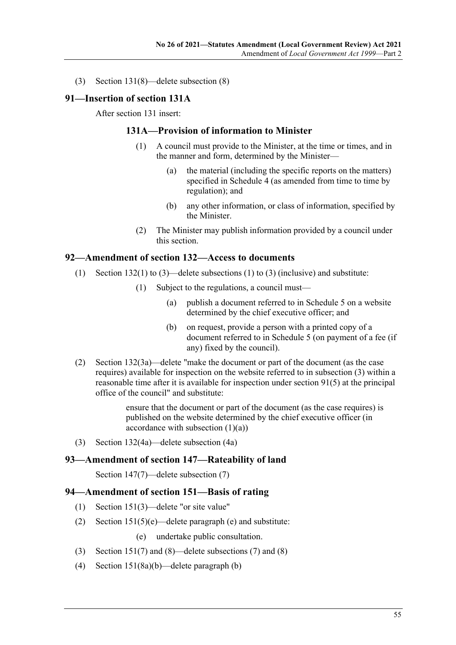(3) Section 131(8)—delete subsection (8)

#### **91—Insertion of section 131A**

After section 131 insert:

### **131A—Provision of information to Minister**

- (1) A council must provide to the Minister, at the time or times, and in the manner and form, determined by the Minister—
	- (a) the material (including the specific reports on the matters) specified in Schedule 4 (as amended from time to time by regulation); and
	- (b) any other information, or class of information, specified by the Minister.
- (2) The Minister may publish information provided by a council under this section.

### **92—Amendment of section 132—Access to documents**

- (1) Section 132(1) to (3)—delete subsections (1) to (3) (inclusive) and substitute:
	- (1) Subject to the regulations, a council must—
		- (a) publish a document referred to in Schedule 5 on a website determined by the chief executive officer; and
		- (b) on request, provide a person with a printed copy of a document referred to in Schedule 5 (on payment of a fee (if any) fixed by the council).
- (2) Section 132(3a)—delete "make the document or part of the document (as the case requires) available for inspection on the website referred to in subsection (3) within a reasonable time after it is available for inspection under section 91(5) at the principal office of the council" and substitute:

ensure that the document or part of the document (as the case requires) is published on the website determined by the chief executive officer (in accordance with subsection  $(1)(a)$ )

(3) Section 132(4a)—delete subsection (4a)

#### **93—Amendment of section 147—Rateability of land**

Section 147(7)—delete subsection (7)

### **94—Amendment of section 151—Basis of rating**

- (1) Section 151(3)—delete "or site value"
- (2) Section 151(5)(e)—delete paragraph (e) and substitute:
	- (e) undertake public consultation.
- (3) Section 151(7) and (8)—delete subsections (7) and (8)
- (4) Section 151(8a)(b)—delete paragraph (b)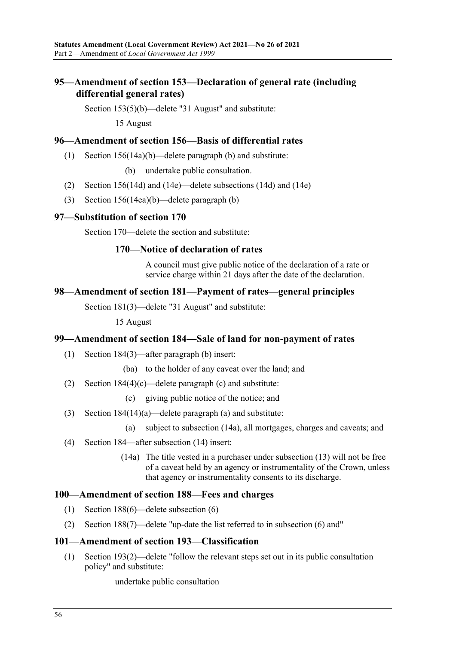# **95—Amendment of section 153—Declaration of general rate (including differential general rates)**

Section 153(5)(b)—delete "31 August" and substitute:

15 August

### **96—Amendment of section 156—Basis of differential rates**

(1) Section 156(14a)(b)—delete paragraph (b) and substitute:

(b) undertake public consultation.

- (2) Section 156(14d) and (14e)—delete subsections (14d) and (14e)
- (3) Section 156(14ea)(b)—delete paragraph (b)

### **97—Substitution of section 170**

Section 170—delete the section and substitute:

### **170—Notice of declaration of rates**

A council must give public notice of the declaration of a rate or service charge within 21 days after the date of the declaration.

# **98—Amendment of section 181—Payment of rates—general principles**

Section 181(3)—delete "31 August" and substitute:

15 August

#### **99—Amendment of section 184—Sale of land for non-payment of rates**

- (1) Section 184(3)—after paragraph (b) insert:
	- (ba) to the holder of any caveat over the land; and
- (2) Section 184(4)(c)—delete paragraph (c) and substitute:
	- (c) giving public notice of the notice; and
- (3) Section 184(14)(a)—delete paragraph (a) and substitute:
	- (a) subject to subsection (14a), all mortgages, charges and caveats; and
- (4) Section 184—after subsection (14) insert:
	- (14a) The title vested in a purchaser under subsection (13) will not be free of a caveat held by an agency or instrumentality of the Crown, unless that agency or instrumentality consents to its discharge.

#### **100—Amendment of section 188—Fees and charges**

- (1) Section 188(6)—delete subsection (6)
- (2) Section 188(7)—delete "up-date the list referred to in subsection (6) and"

#### **101—Amendment of section 193—Classification**

(1) Section 193(2)—delete "follow the relevant steps set out in its public consultation policy" and substitute:

undertake public consultation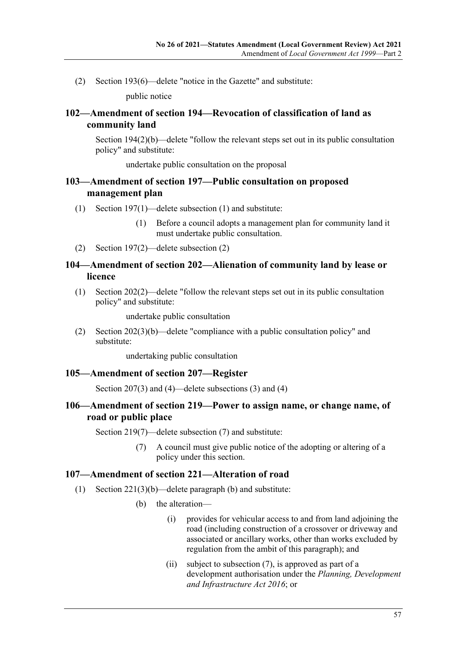(2) Section 193(6)—delete "notice in the Gazette" and substitute:

public notice

### **102—Amendment of section 194—Revocation of classification of land as community land**

Section 194(2)(b)—delete "follow the relevant steps set out in its public consultation policy" and substitute:

undertake public consultation on the proposal

### **103—Amendment of section 197—Public consultation on proposed management plan**

- (1) Section 197(1)—delete subsection (1) and substitute:
	- (1) Before a council adopts a management plan for community land it must undertake public consultation.
- (2) Section 197(2)—delete subsection (2)

### **104—Amendment of section 202—Alienation of community land by lease or licence**

(1) Section 202(2)—delete "follow the relevant steps set out in its public consultation policy" and substitute:

undertake public consultation

(2) Section 202(3)(b)—delete "compliance with a public consultation policy" and substitute:

undertaking public consultation

#### **105—Amendment of section 207—Register**

Section 207(3) and (4)—delete subsections (3) and (4)

### **106—Amendment of section 219—Power to assign name, or change name, of road or public place**

Section 219(7)—delete subsection (7) and substitute:

(7) A council must give public notice of the adopting or altering of a policy under this section.

#### **107—Amendment of section 221—Alteration of road**

- (1) Section 221(3)(b)—delete paragraph (b) and substitute:
	- (b) the alteration—
		- (i) provides for vehicular access to and from land adjoining the road (including construction of a crossover or driveway and associated or ancillary works, other than works excluded by regulation from the ambit of this paragraph); and
		- (ii) subject to subsection (7), is approved as part of a development authorisation under the *[Planning, Development](http://www.legislation.sa.gov.au/index.aspx?action=legref&type=act&legtitle=Planning%20Development%20and%20Infrastructure%20Act%202016)  [and Infrastructure Act](http://www.legislation.sa.gov.au/index.aspx?action=legref&type=act&legtitle=Planning%20Development%20and%20Infrastructure%20Act%202016) 2016*; or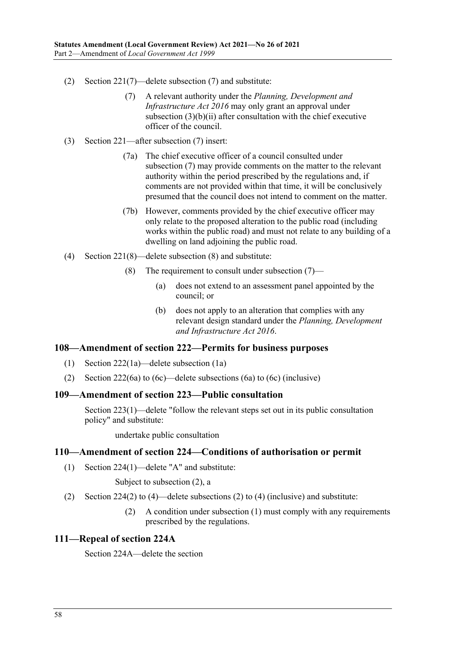- (2) Section 221(7)—delete subsection (7) and substitute:
	- (7) A relevant authority under the *[Planning, Development and](http://www.legislation.sa.gov.au/index.aspx?action=legref&type=act&legtitle=Planning%20Development%20and%20Infrastructure%20Act%202016)  [Infrastructure Act](http://www.legislation.sa.gov.au/index.aspx?action=legref&type=act&legtitle=Planning%20Development%20and%20Infrastructure%20Act%202016) 2016* may only grant an approval under subsection (3)(b)(ii) after consultation with the chief executive officer of the council.
- (3) Section 221—after subsection (7) insert:
	- (7a) The chief executive officer of a council consulted under subsection (7) may provide comments on the matter to the relevant authority within the period prescribed by the regulations and, if comments are not provided within that time, it will be conclusively presumed that the council does not intend to comment on the matter.
	- (7b) However, comments provided by the chief executive officer may only relate to the proposed alteration to the public road (including works within the public road) and must not relate to any building of a dwelling on land adjoining the public road.
- (4) Section 221(8)—delete subsection (8) and substitute:
	- (8) The requirement to consult under subsection (7)—
		- (a) does not extend to an assessment panel appointed by the council; or
		- (b) does not apply to an alteration that complies with any relevant design standard under the *[Planning, Development](http://www.legislation.sa.gov.au/index.aspx?action=legref&type=act&legtitle=Planning%20Development%20and%20Infrastructure%20Act%202016)  [and Infrastructure Act](http://www.legislation.sa.gov.au/index.aspx?action=legref&type=act&legtitle=Planning%20Development%20and%20Infrastructure%20Act%202016) 2016*.

#### **108—Amendment of section 222—Permits for business purposes**

- (1) Section 222(1a)—delete subsection (1a)
- (2) Section 222(6a) to (6c)—delete subsections (6a) to (6c) (inclusive)

### **109—Amendment of section 223—Public consultation**

Section 223(1)—delete "follow the relevant steps set out in its public consultation policy" and substitute:

undertake public consultation

#### **110—Amendment of section 224—Conditions of authorisation or permit**

(1) Section 224(1)—delete "A" and substitute:

Subject to subsection (2), a

- (2) Section 224(2) to (4)—delete subsections (2) to (4) (inclusive) and substitute:
	- (2) A condition under subsection (1) must comply with any requirements prescribed by the regulations.

#### **111—Repeal of section 224A**

Section 224A—delete the section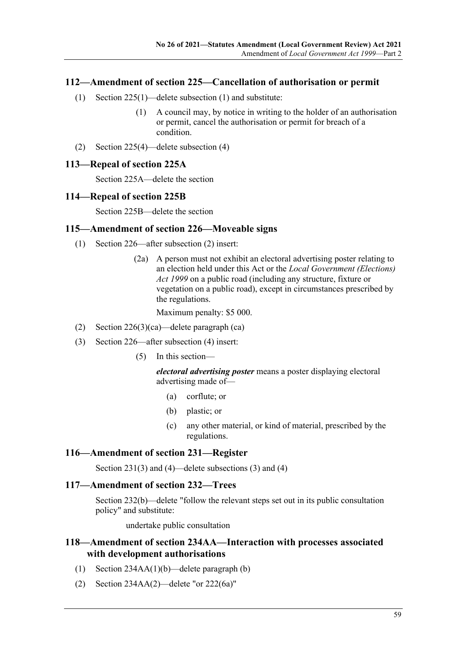### **112—Amendment of section 225—Cancellation of authorisation or permit**

- (1) Section 225(1)—delete subsection (1) and substitute:
	- (1) A council may, by notice in writing to the holder of an authorisation or permit, cancel the authorisation or permit for breach of a condition.
- (2) Section 225(4)—delete subsection (4)

#### **113—Repeal of section 225A**

Section 225A—delete the section

#### **114—Repeal of section 225B**

Section 225B—delete the section

#### **115—Amendment of section 226—Moveable signs**

- (1) Section 226—after subsection (2) insert:
	- (2a) A person must not exhibit an electoral advertising poster relating to an election held under this Act or the *[Local Government \(Elections\)](http://www.legislation.sa.gov.au/index.aspx?action=legref&type=act&legtitle=Local%20Government%20(Elections)%20Act%201999)  Act [1999](http://www.legislation.sa.gov.au/index.aspx?action=legref&type=act&legtitle=Local%20Government%20(Elections)%20Act%201999)* on a public road (including any structure, fixture or vegetation on a public road), except in circumstances prescribed by the regulations.

Maximum penalty: \$5 000.

- (2) Section 226(3)(ca)—delete paragraph (ca)
- (3) Section 226—after subsection (4) insert:
	- (5) In this section—

*electoral advertising poster* means a poster displaying electoral advertising made of—

- (a) corflute; or
- (b) plastic; or
- (c) any other material, or kind of material, prescribed by the regulations.

### **116—Amendment of section 231—Register**

Section 231(3) and (4)—delete subsections (3) and (4)

### **117—Amendment of section 232—Trees**

Section 232(b)—delete "follow the relevant steps set out in its public consultation policy" and substitute:

undertake public consultation

### **118—Amendment of section 234AA—Interaction with processes associated with development authorisations**

- (1) Section 234AA(1)(b)—delete paragraph (b)
- (2) Section 234AA(2)—delete "or 222(6a)"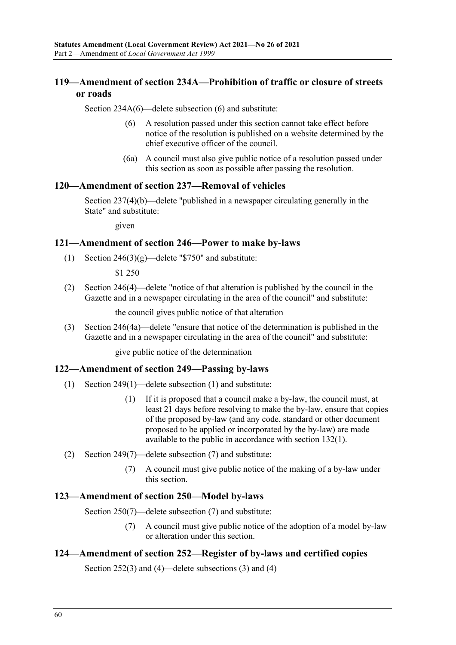# **119—Amendment of section 234A—Prohibition of traffic or closure of streets or roads**

Section 234A(6)—delete subsection (6) and substitute:

- (6) A resolution passed under this section cannot take effect before notice of the resolution is published on a website determined by the chief executive officer of the council.
- (6a) A council must also give public notice of a resolution passed under this section as soon as possible after passing the resolution.

#### **120—Amendment of section 237—Removal of vehicles**

Section 237(4)(b)—delete "published in a newspaper circulating generally in the State" and substitute:

given

### **121—Amendment of section 246—Power to make by-laws**

(1) Section  $246(3)(g)$ —delete "\$750" and substitute:

\$1 250

(2) Section 246(4)—delete "notice of that alteration is published by the council in the Gazette and in a newspaper circulating in the area of the council" and substitute:

the council gives public notice of that alteration

(3) Section 246(4a)—delete "ensure that notice of the determination is published in the Gazette and in a newspaper circulating in the area of the council" and substitute:

give public notice of the determination

#### **122—Amendment of section 249—Passing by-laws**

- (1) Section 249(1)—delete subsection (1) and substitute:
	- (1) If it is proposed that a council make a by-law, the council must, at least 21 days before resolving to make the by-law, ensure that copies of the proposed by-law (and any code, standard or other document proposed to be applied or incorporated by the by-law) are made available to the public in accordance with section 132(1).
- (2) Section 249(7)—delete subsection (7) and substitute:
	- (7) A council must give public notice of the making of a by-law under this section.

#### **123—Amendment of section 250—Model by-laws**

Section 250(7)—delete subsection (7) and substitute:

(7) A council must give public notice of the adoption of a model by-law or alteration under this section.

#### **124—Amendment of section 252—Register of by-laws and certified copies**

Section 252(3) and (4)—delete subsections (3) and (4)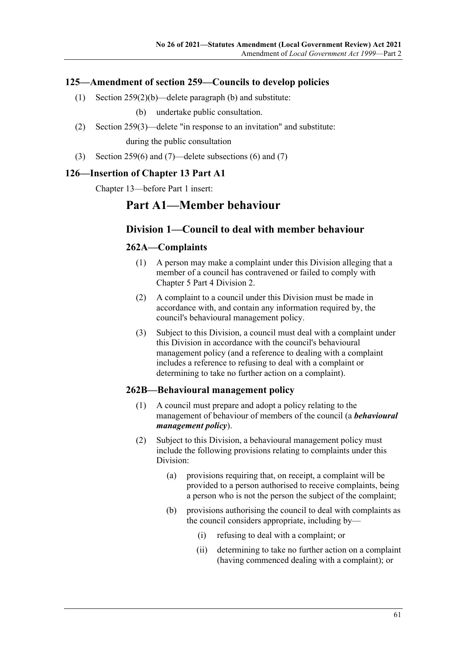### **125—Amendment of section 259—Councils to develop policies**

- (1) Section 259(2)(b)—delete paragraph (b) and substitute:
	- (b) undertake public consultation.
- (2) Section 259(3)—delete "in response to an invitation" and substitute: during the public consultation
- (3) Section 259(6) and (7)—delete subsections (6) and (7)

#### **126—Insertion of Chapter 13 Part A1**

Chapter 13—before Part 1 insert:

# **Part A1—Member behaviour**

### **Division 1—Council to deal with member behaviour**

### **262A—Complaints**

- (1) A person may make a complaint under this Division alleging that a member of a council has contravened or failed to comply with Chapter 5 Part 4 Division 2.
- (2) A complaint to a council under this Division must be made in accordance with, and contain any information required by, the council's behavioural management policy.
- (3) Subject to this Division, a council must deal with a complaint under this Division in accordance with the council's behavioural management policy (and a reference to dealing with a complaint includes a reference to refusing to deal with a complaint or determining to take no further action on a complaint).

#### **262B—Behavioural management policy**

- (1) A council must prepare and adopt a policy relating to the management of behaviour of members of the council (a *behavioural management policy*).
- <span id="page-60-0"></span>(2) Subject to this Division, a behavioural management policy must include the following provisions relating to complaints under this Division:
	- (a) provisions requiring that, on receipt, a complaint will be provided to a person authorised to receive complaints, being a person who is not the person the subject of the complaint;
	- (b) provisions authorising the council to deal with complaints as the council considers appropriate, including by—
		- (i) refusing to deal with a complaint; or
		- (ii) determining to take no further action on a complaint (having commenced dealing with a complaint); or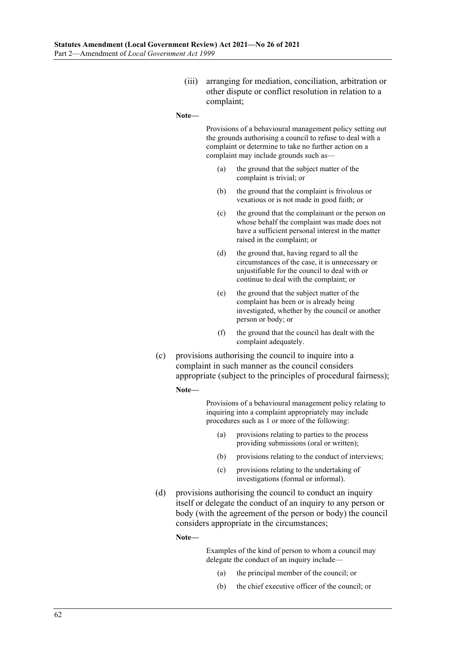(iii) arranging for mediation, conciliation, arbitration or other dispute or conflict resolution in relation to a complaint;

#### **Note—**

Provisions of a behavioural management policy setting out the grounds authorising a council to refuse to deal with a complaint or determine to take no further action on a complaint may include grounds such as—

- (a) the ground that the subject matter of the complaint is trivial; or
- (b) the ground that the complaint is frivolous or vexatious or is not made in good faith; or
- (c) the ground that the complainant or the person on whose behalf the complaint was made does not have a sufficient personal interest in the matter raised in the complaint; or
- (d) the ground that, having regard to all the circumstances of the case, it is unnecessary or unjustifiable for the council to deal with or continue to deal with the complaint; or
- (e) the ground that the subject matter of the complaint has been or is already being investigated, whether by the council or another person or body; or
- (f) the ground that the council has dealt with the complaint adequately.
- (c) provisions authorising the council to inquire into a complaint in such manner as the council considers appropriate (subject to the principles of procedural fairness);

#### **Note—**

Provisions of a behavioural management policy relating to inquiring into a complaint appropriately may include procedures such as 1 or more of the following:

- (a) provisions relating to parties to the process providing submissions (oral or written);
- (b) provisions relating to the conduct of interviews;
- (c) provisions relating to the undertaking of investigations (formal or informal).
- (d) provisions authorising the council to conduct an inquiry itself or delegate the conduct of an inquiry to any person or body (with the agreement of the person or body) the council considers appropriate in the circumstances;

**Note—**

Examples of the kind of person to whom a council may delegate the conduct of an inquiry include—

- (a) the principal member of the council; or
- (b) the chief executive officer of the council; or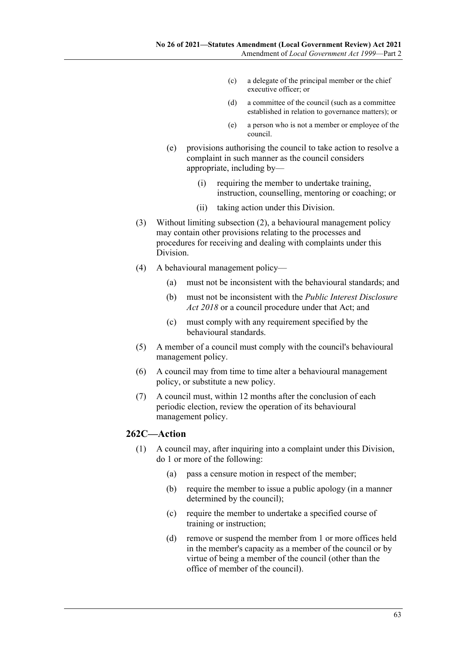- (c) a delegate of the principal member or the chief executive officer; or
- (d) a committee of the council (such as a committee established in relation to governance matters); or
- (e) a person who is not a member or employee of the council.
- (e) provisions authorising the council to take action to resolve a complaint in such manner as the council considers appropriate, including by—
	- (i) requiring the member to undertake training, instruction, counselling, mentoring or coaching; or
	- (ii) taking action under this Division.
- (3) Without limiting [subsection](#page-60-0) (2), a behavioural management policy may contain other provisions relating to the processes and procedures for receiving and dealing with complaints under this Division.
- (4) A behavioural management policy—
	- (a) must not be inconsistent with the behavioural standards; and
	- (b) must not be inconsistent with the *[Public Interest Disclosure](http://www.legislation.sa.gov.au/index.aspx?action=legref&type=act&legtitle=Public%20Interest%20Disclosure%20Act%202018)  Act [2018](http://www.legislation.sa.gov.au/index.aspx?action=legref&type=act&legtitle=Public%20Interest%20Disclosure%20Act%202018)* or a council procedure under that Act; and
	- (c) must comply with any requirement specified by the behavioural standards.
- (5) A member of a council must comply with the council's behavioural management policy.
- (6) A council may from time to time alter a behavioural management policy, or substitute a new policy.
- (7) A council must, within 12 months after the conclusion of each periodic election, review the operation of its behavioural management policy.

### <span id="page-62-0"></span>**262C—Action**

- (1) A council may, after inquiring into a complaint under this Division, do 1 or more of the following:
	- (a) pass a censure motion in respect of the member;
	- (b) require the member to issue a public apology (in a manner determined by the council);
	- (c) require the member to undertake a specified course of training or instruction;
	- (d) remove or suspend the member from 1 or more offices held in the member's capacity as a member of the council or by virtue of being a member of the council (other than the office of member of the council).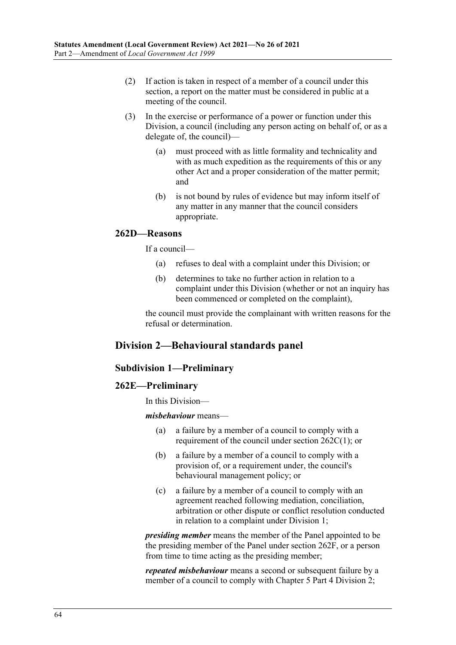- (2) If action is taken in respect of a member of a council under this section, a report on the matter must be considered in public at a meeting of the council.
- (3) In the exercise or performance of a power or function under this Division, a council (including any person acting on behalf of, or as a delegate of, the council)—
	- (a) must proceed with as little formality and technicality and with as much expedition as the requirements of this or any other Act and a proper consideration of the matter permit; and
	- (b) is not bound by rules of evidence but may inform itself of any matter in any manner that the council considers appropriate.

### **262D—Reasons**

If a council—

- (a) refuses to deal with a complaint under this Division; or
- (b) determines to take no further action in relation to a complaint under this Division (whether or not an inquiry has been commenced or completed on the complaint),

the council must provide the complainant with written reasons for the refusal or determination.

# **Division 2—Behavioural standards panel**

### **Subdivision 1—Preliminary**

### **262E—Preliminary**

In this Division—

*misbehaviour* means—

- (a) a failure by a member of a council to comply with a requirement of the council under section [262C\(1\);](#page-62-0) or
- (b) a failure by a member of a council to comply with a provision of, or a requirement under, the council's behavioural management policy; or
- (c) a failure by a member of a council to comply with an agreement reached following mediation, conciliation, arbitration or other dispute or conflict resolution conducted in relation to a complaint under Division 1;

*presiding member* means the member of the Panel appointed to be the presiding member of the Panel under section 262F, or a person from time to time acting as the presiding member;

*repeated misbehaviour* means a second or subsequent failure by a member of a council to comply with Chapter 5 Part 4 Division 2;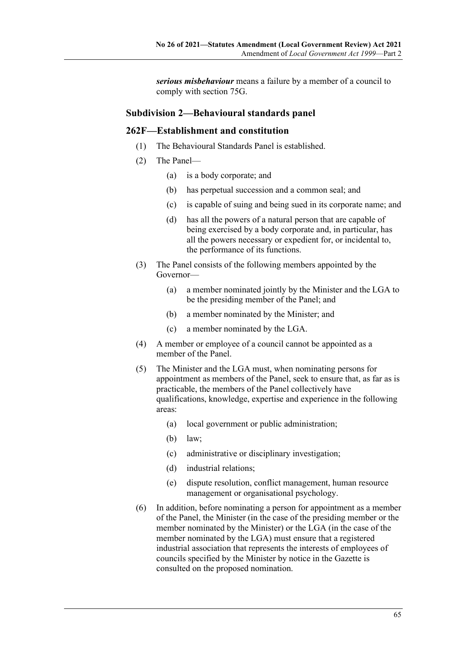*serious misbehaviour* means a failure by a member of a council to comply with section 75G.

### **Subdivision 2—Behavioural standards panel**

### **262F—Establishment and constitution**

- (1) The Behavioural Standards Panel is established.
- (2) The Panel—
	- (a) is a body corporate; and
	- (b) has perpetual succession and a common seal; and
	- (c) is capable of suing and being sued in its corporate name; and
	- (d) has all the powers of a natural person that are capable of being exercised by a body corporate and, in particular, has all the powers necessary or expedient for, or incidental to, the performance of its functions.
- (3) The Panel consists of the following members appointed by the Governor—
	- (a) a member nominated jointly by the Minister and the LGA to be the presiding member of the Panel; and
	- (b) a member nominated by the Minister; and
	- (c) a member nominated by the LGA.
- (4) A member or employee of a council cannot be appointed as a member of the Panel.
- (5) The Minister and the LGA must, when nominating persons for appointment as members of the Panel, seek to ensure that, as far as is practicable, the members of the Panel collectively have qualifications, knowledge, expertise and experience in the following areas:
	- (a) local government or public administration;
	- (b) law;
	- (c) administrative or disciplinary investigation;
	- (d) industrial relations;
	- (e) dispute resolution, conflict management, human resource management or organisational psychology.
- (6) In addition, before nominating a person for appointment as a member of the Panel, the Minister (in the case of the presiding member or the member nominated by the Minister) or the LGA (in the case of the member nominated by the LGA) must ensure that a registered industrial association that represents the interests of employees of councils specified by the Minister by notice in the Gazette is consulted on the proposed nomination.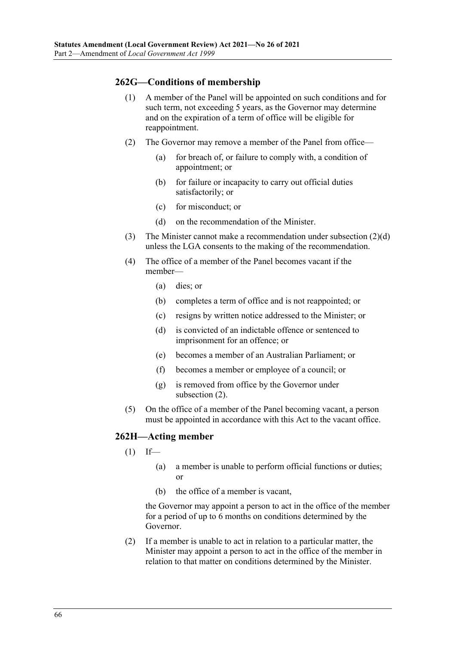### **262G—Conditions of membership**

- (1) A member of the Panel will be appointed on such conditions and for such term, not exceeding 5 years, as the Governor may determine and on the expiration of a term of office will be eligible for reappointment.
- <span id="page-65-1"></span>(2) The Governor may remove a member of the Panel from office—
	- (a) for breach of, or failure to comply with, a condition of appointment; or
	- (b) for failure or incapacity to carry out official duties satisfactorily; or
	- (c) for misconduct; or
	- (d) on the recommendation of the Minister.
- <span id="page-65-0"></span>(3) The Minister cannot make a recommendation under [subsection](#page-65-0) (2)(d) unless the LGA consents to the making of the recommendation.
- (4) The office of a member of the Panel becomes vacant if the member—
	- (a) dies; or
	- (b) completes a term of office and is not reappointed; or
	- (c) resigns by written notice addressed to the Minister; or
	- (d) is convicted of an indictable offence or sentenced to imprisonment for an offence; or
	- (e) becomes a member of an Australian Parliament; or
	- (f) becomes a member or employee of a council; or
	- (g) is removed from office by the Governor under [subsection](#page-65-1) (2).
- (5) On the office of a member of the Panel becoming vacant, a person must be appointed in accordance with this Act to the vacant office.

#### <span id="page-65-2"></span>**262H—Acting member**

- $(1)$  If—
	- (a) a member is unable to perform official functions or duties; or
	- (b) the office of a member is vacant,

the Governor may appoint a person to act in the office of the member for a period of up to 6 months on conditions determined by the Governor.

(2) If a member is unable to act in relation to a particular matter, the Minister may appoint a person to act in the office of the member in relation to that matter on conditions determined by the Minister.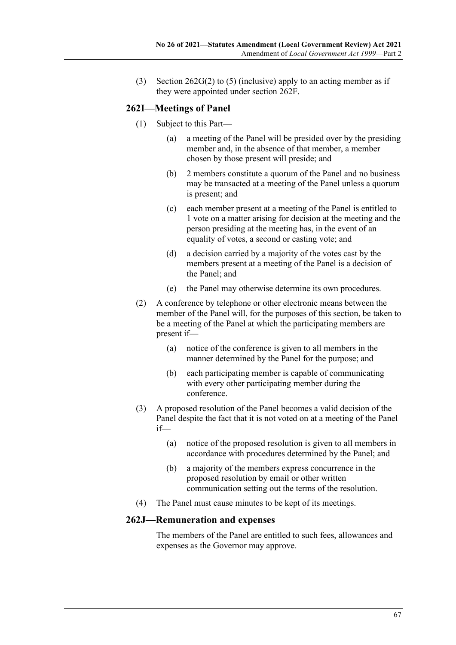(3) Section  $262G(2)$  to [\(5\)](#page-65-2) (inclusive) apply to an acting member as if they were appointed under section 262F.

### **262I—Meetings of Panel**

- (1) Subject to this Part—
	- (a) a meeting of the Panel will be presided over by the presiding member and, in the absence of that member, a member chosen by those present will preside; and
	- (b) 2 members constitute a quorum of the Panel and no business may be transacted at a meeting of the Panel unless a quorum is present; and
	- (c) each member present at a meeting of the Panel is entitled to 1 vote on a matter arising for decision at the meeting and the person presiding at the meeting has, in the event of an equality of votes, a second or casting vote; and
	- (d) a decision carried by a majority of the votes cast by the members present at a meeting of the Panel is a decision of the Panel; and
	- (e) the Panel may otherwise determine its own procedures.
- (2) A conference by telephone or other electronic means between the member of the Panel will, for the purposes of this section, be taken to be a meeting of the Panel at which the participating members are present if—
	- (a) notice of the conference is given to all members in the manner determined by the Panel for the purpose; and
	- (b) each participating member is capable of communicating with every other participating member during the conference.
- (3) A proposed resolution of the Panel becomes a valid decision of the Panel despite the fact that it is not voted on at a meeting of the Panel if—
	- (a) notice of the proposed resolution is given to all members in accordance with procedures determined by the Panel; and
	- (b) a majority of the members express concurrence in the proposed resolution by email or other written communication setting out the terms of the resolution.
- (4) The Panel must cause minutes to be kept of its meetings.

#### **262J—Remuneration and expenses**

The members of the Panel are entitled to such fees, allowances and expenses as the Governor may approve.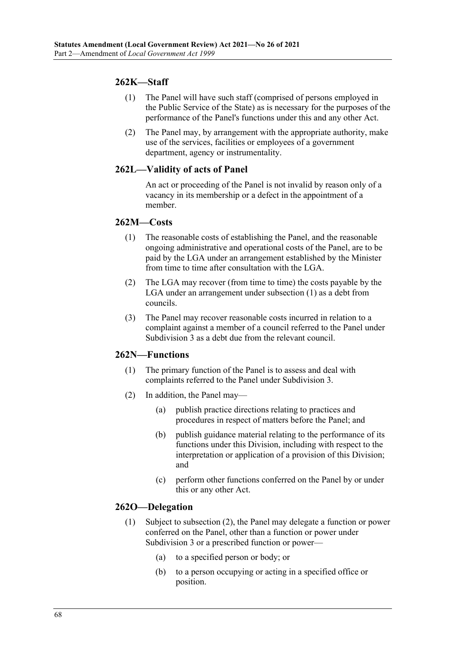# **262K—Staff**

- (1) The Panel will have such staff (comprised of persons employed in the Public Service of the State) as is necessary for the purposes of the performance of the Panel's functions under this and any other Act.
- (2) The Panel may, by arrangement with the appropriate authority, make use of the services, facilities or employees of a government department, agency or instrumentality.

# **262L—Validity of acts of Panel**

An act or proceeding of the Panel is not invalid by reason only of a vacancy in its membership or a defect in the appointment of a member.

#### <span id="page-67-0"></span>**262M—Costs**

- (1) The reasonable costs of establishing the Panel, and the reasonable ongoing administrative and operational costs of the Panel, are to be paid by the LGA under an arrangement established by the Minister from time to time after consultation with the LGA.
- (2) The LGA may recover (from time to time) the costs payable by the LGA under an arrangement unde[r subsection](#page-67-0) (1) as a debt from councils.
- (3) The Panel may recover reasonable costs incurred in relation to a complaint against a member of a council referred to the Panel under Subdivision 3 as a debt due from the relevant council.

#### **262N—Functions**

- (1) The primary function of the Panel is to assess and deal with complaints referred to the Panel under Subdivision 3.
- (2) In addition, the Panel may—
	- (a) publish practice directions relating to practices and procedures in respect of matters before the Panel; and
	- (b) publish guidance material relating to the performance of its functions under this Division, including with respect to the interpretation or application of a provision of this Division; and
	- (c) perform other functions conferred on the Panel by or under this or any other Act.

#### **262O—Delegation**

- (1) Subject to [subsection](#page-68-0) (2), the Panel may delegate a function or power conferred on the Panel, other than a function or power under Subdivision 3 or a prescribed function or power—
	- (a) to a specified person or body; or
	- (b) to a person occupying or acting in a specified office or position.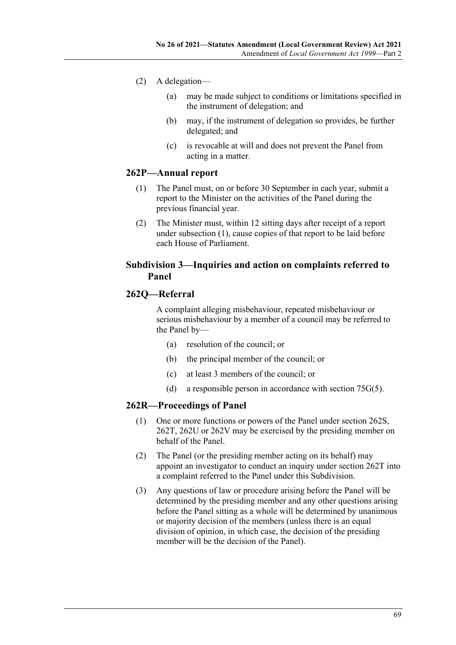- <span id="page-68-0"></span>(2) A delegation—
	- (a) may be made subject to conditions or limitations specified in the instrument of delegation; and
	- (b) may, if the instrument of delegation so provides, be further delegated; and
	- (c) is revocable at will and does not prevent the Panel from acting in a matter.

### <span id="page-68-1"></span>**262P—Annual report**

- (1) The Panel must, on or before 30 September in each year, submit a report to the Minister on the activities of the Panel during the previous financial year.
- (2) The Minister must, within 12 sitting days after receipt of a report under [subsection](#page-68-1) (1), cause copies of that report to be laid before each House of Parliament.

### **Subdivision 3—Inquiries and action on complaints referred to Panel**

### **262Q—Referral**

A complaint alleging misbehaviour, repeated misbehaviour or serious misbehaviour by a member of a council may be referred to the Panel by—

- (a) resolution of the council; or
- (b) the principal member of the council; or
- (c) at least 3 members of the council; or
- (d) a responsible person in accordance with section 75G(5).

### **262R—Proceedings of Panel**

- (1) One or more functions or powers of the Panel under section 262S, 262T, 262U or 262V may be exercised by the presiding member on behalf of the Panel.
- (2) The Panel (or the presiding member acting on its behalf) may appoint an investigator to conduct an inquiry under section 262T into a complaint referred to the Panel under this Subdivision.
- (3) Any questions of law or procedure arising before the Panel will be determined by the presiding member and any other questions arising before the Panel sitting as a whole will be determined by unanimous or majority decision of the members (unless there is an equal division of opinion, in which case, the decision of the presiding member will be the decision of the Panel).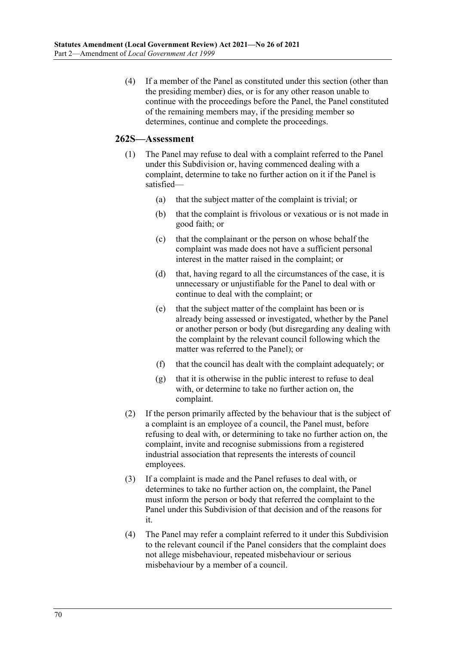(4) If a member of the Panel as constituted under this section (other than the presiding member) dies, or is for any other reason unable to continue with the proceedings before the Panel, the Panel constituted of the remaining members may, if the presiding member so determines, continue and complete the proceedings.

### **262S—Assessment**

- (1) The Panel may refuse to deal with a complaint referred to the Panel under this Subdivision or, having commenced dealing with a complaint, determine to take no further action on it if the Panel is satisfied—
	- (a) that the subject matter of the complaint is trivial; or
	- (b) that the complaint is frivolous or vexatious or is not made in good faith; or
	- (c) that the complainant or the person on whose behalf the complaint was made does not have a sufficient personal interest in the matter raised in the complaint; or
	- (d) that, having regard to all the circumstances of the case, it is unnecessary or unjustifiable for the Panel to deal with or continue to deal with the complaint; or
	- (e) that the subject matter of the complaint has been or is already being assessed or investigated, whether by the Panel or another person or body (but disregarding any dealing with the complaint by the relevant council following which the matter was referred to the Panel); or
	- (f) that the council has dealt with the complaint adequately; or
	- (g) that it is otherwise in the public interest to refuse to deal with, or determine to take no further action on, the complaint.
- (2) If the person primarily affected by the behaviour that is the subject of a complaint is an employee of a council, the Panel must, before refusing to deal with, or determining to take no further action on, the complaint, invite and recognise submissions from a registered industrial association that represents the interests of council employees.
- (3) If a complaint is made and the Panel refuses to deal with, or determines to take no further action on, the complaint, the Panel must inform the person or body that referred the complaint to the Panel under this Subdivision of that decision and of the reasons for it.
- (4) The Panel may refer a complaint referred to it under this Subdivision to the relevant council if the Panel considers that the complaint does not allege misbehaviour, repeated misbehaviour or serious misbehaviour by a member of a council.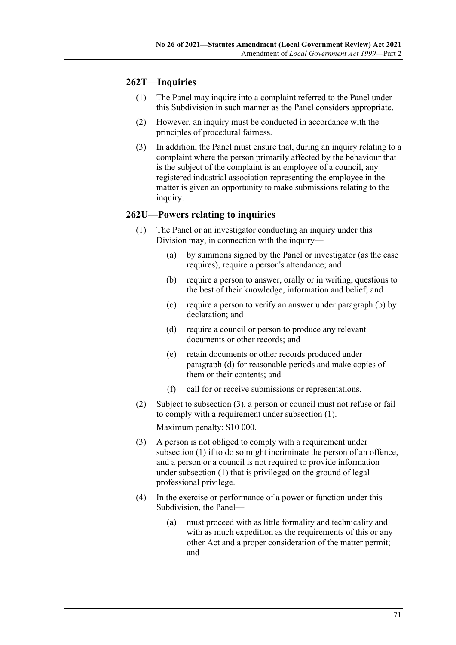# **262T—Inquiries**

- (1) The Panel may inquire into a complaint referred to the Panel under this Subdivision in such manner as the Panel considers appropriate.
- (2) However, an inquiry must be conducted in accordance with the principles of procedural fairness.
- (3) In addition, the Panel must ensure that, during an inquiry relating to a complaint where the person primarily affected by the behaviour that is the subject of the complaint is an employee of a council, any registered industrial association representing the employee in the matter is given an opportunity to make submissions relating to the inquiry.

### <span id="page-70-3"></span>**262U—Powers relating to inquiries**

- <span id="page-70-0"></span>(1) The Panel or an investigator conducting an inquiry under this Division may, in connection with the inquiry—
	- (a) by summons signed by the Panel or investigator (as the case requires), require a person's attendance; and
	- (b) require a person to answer, orally or in writing, questions to the best of their knowledge, information and belief; and
	- (c) require a person to verify an answer under [paragraph](#page-70-0) (b) by declaration; and
	- (d) require a council or person to produce any relevant documents or other records; and
	- (e) retain documents or other records produced under [paragraph](#page-70-1) (d) for reasonable periods and make copies of them or their contents; and
	- (f) call for or receive submissions or representations.
- <span id="page-70-1"></span>(2) Subject to [subsection](#page-70-2) (3), a person or council must not refuse or fail to comply with a requirement under [subsection](#page-70-3) (1). Maximum penalty: \$10 000.
- <span id="page-70-2"></span>(3) A person is not obliged to comply with a requirement under [subsection](#page-70-3) (1) if to do so might incriminate the person of an offence, and a person or a council is not required to provide information under [subsection](#page-70-3) (1) that is privileged on the ground of legal professional privilege.
- (4) In the exercise or performance of a power or function under this Subdivision, the Panel—
	- (a) must proceed with as little formality and technicality and with as much expedition as the requirements of this or any other Act and a proper consideration of the matter permit; and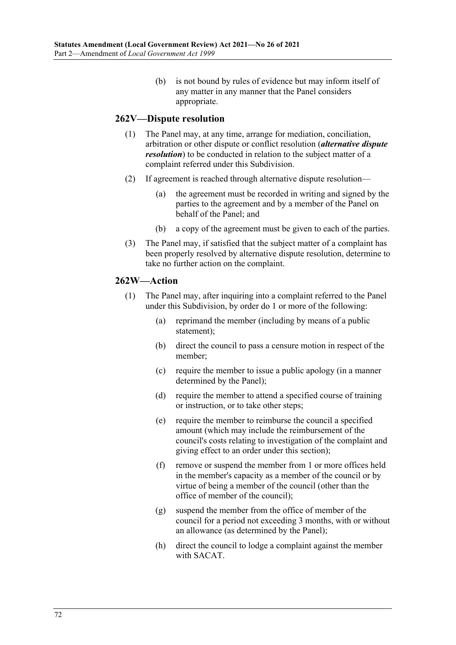(b) is not bound by rules of evidence but may inform itself of any matter in any manner that the Panel considers appropriate.

### **262V—Dispute resolution**

- (1) The Panel may, at any time, arrange for mediation, conciliation, arbitration or other dispute or conflict resolution (*alternative dispute resolution*) to be conducted in relation to the subject matter of a complaint referred under this Subdivision.
- (2) If agreement is reached through alternative dispute resolution—
	- (a) the agreement must be recorded in writing and signed by the parties to the agreement and by a member of the Panel on behalf of the Panel; and
	- (b) a copy of the agreement must be given to each of the parties.
- (3) The Panel may, if satisfied that the subject matter of a complaint has been properly resolved by alternative dispute resolution, determine to take no further action on the complaint.

### **262W—Action**

- (1) The Panel may, after inquiring into a complaint referred to the Panel under this Subdivision, by order do 1 or more of the following:
	- (a) reprimand the member (including by means of a public statement);
	- (b) direct the council to pass a censure motion in respect of the member;
	- (c) require the member to issue a public apology (in a manner determined by the Panel);
	- (d) require the member to attend a specified course of training or instruction, or to take other steps;
	- (e) require the member to reimburse the council a specified amount (which may include the reimbursement of the council's costs relating to investigation of the complaint and giving effect to an order under this section);
	- (f) remove or suspend the member from 1 or more offices held in the member's capacity as a member of the council or by virtue of being a member of the council (other than the office of member of the council);
	- (g) suspend the member from the office of member of the council for a period not exceeding 3 months, with or without an allowance (as determined by the Panel);
	- (h) direct the council to lodge a complaint against the member with SACAT.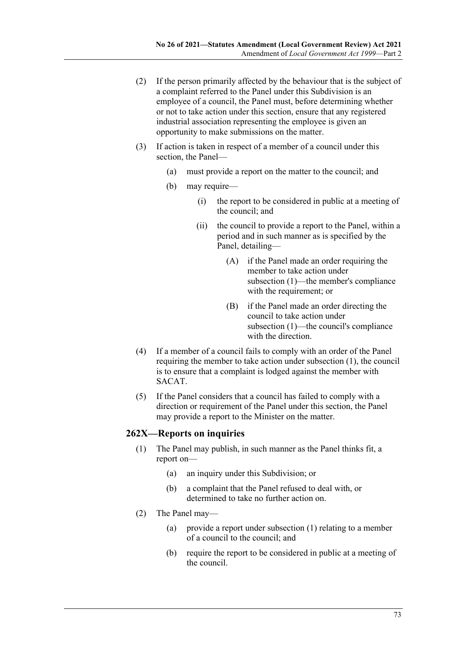- (2) If the person primarily affected by the behaviour that is the subject of a complaint referred to the Panel under this Subdivision is an employee of a council, the Panel must, before determining whether or not to take action under this section, ensure that any registered industrial association representing the employee is given an opportunity to make submissions on the matter.
- (3) If action is taken in respect of a member of a council under this section, the Panel—
	- (a) must provide a report on the matter to the council; and
	- (b) may require—
		- (i) the report to be considered in public at a meeting of the council; and
		- (ii) the council to provide a report to the Panel, within a period and in such manner as is specified by the Panel, detailing—
			- (A) if the Panel made an order requiring the member to take action under [subsection](#page-71-0) (1)—the member's compliance with the requirement; or
			- (B) if the Panel made an order directing the council to take action under [subsection](#page-71-0) (1)—the council's compliance with the direction.
- (4) If a member of a council fails to comply with an order of the Panel requiring the member to take action under [subsection](#page-71-0) (1), the council is to ensure that a complaint is lodged against the member with SACAT.
- (5) If the Panel considers that a council has failed to comply with a direction or requirement of the Panel under this section, the Panel may provide a report to the Minister on the matter.

### <span id="page-72-0"></span>**262X—Reports on inquiries**

- (1) The Panel may publish, in such manner as the Panel thinks fit, a report on—
	- (a) an inquiry under this Subdivision; or
	- (b) a complaint that the Panel refused to deal with, or determined to take no further action on.
- (2) The Panel may—
	- (a) provide a report under [subsection](#page-72-0) (1) relating to a member of a council to the council; and
	- (b) require the report to be considered in public at a meeting of the council.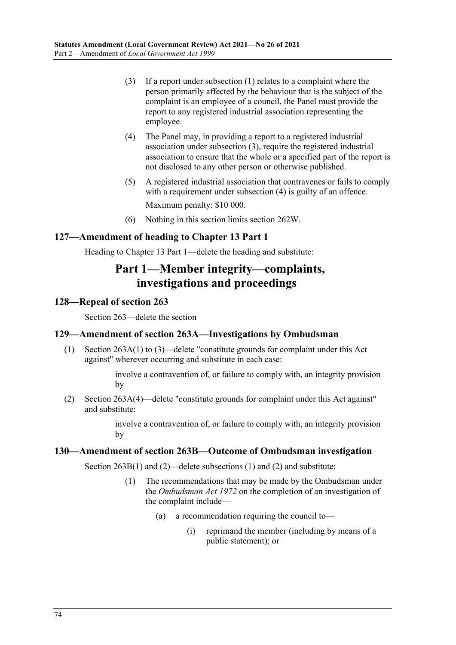- <span id="page-73-1"></span>(3) If a report under [subsection](#page-73-0) (1) relates to a complaint where the person primarily affected by the behaviour that is the subject of the complaint is an employee of a council, the Panel must provide the report to any registered industrial association representing the employee.
- <span id="page-73-2"></span>(4) The Panel may, in providing a report to a registered industrial association under [subsection](#page-73-1) (3), require the registered industrial association to ensure that the whole or a specified part of the report is not disclosed to any other person or otherwise published.
- (5) A registered industrial association that contravenes or fails to comply with a requirement under [subsection](#page-73-2) (4) is guilty of an offence. Maximum penalty: \$10 000.
- (6) Nothing in this section limits section 262W.

# **127—Amendment of heading to Chapter 13 Part 1**

Heading to Chapter 13 Part 1—delete the heading and substitute:

# **Part 1—Member integrity—complaints, investigations and proceedings**

### **128—Repeal of section 263**

Section 263—delete the section

### **129—Amendment of section 263A—Investigations by Ombudsman**

(1) Section 263A(1) to (3)—delete "constitute grounds for complaint under this Act against" wherever occurring and substitute in each case:

> involve a contravention of, or failure to comply with, an integrity provision by

(2) Section 263A(4)—delete "constitute grounds for complaint under this Act against" and substitute:

> involve a contravention of, or failure to comply with, an integrity provision by

#### <span id="page-73-0"></span>**130—Amendment of section 263B—Outcome of Ombudsman investigation**

Section 263B(1) and (2)—delete subsections (1) and (2) and substitute:

- (1) The recommendations that may be made by the Ombudsman under the *[Ombudsman Act](http://www.legislation.sa.gov.au/index.aspx?action=legref&type=act&legtitle=Ombudsman%20Act%201972) 1972* on the completion of an investigation of the complaint include—
	- (a) a recommendation requiring the council to—
		- (i) reprimand the member (including by means of a public statement); or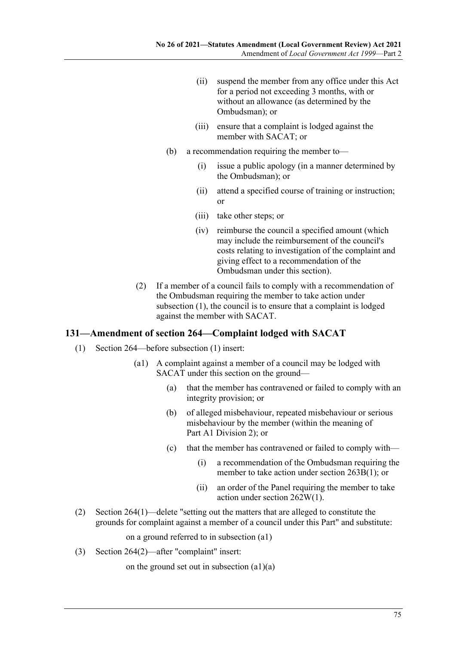- (ii) suspend the member from any office under this Act for a period not exceeding 3 months, with or without an allowance (as determined by the Ombudsman); or
- (iii) ensure that a complaint is lodged against the member with SACAT; or
- (b) a recommendation requiring the member to—
	- (i) issue a public apology (in a manner determined by the Ombudsman); or
	- (ii) attend a specified course of training or instruction; or
	- (iii) take other steps; or
	- (iv) reimburse the council a specified amount (which may include the reimbursement of the council's costs relating to investigation of the complaint and giving effect to a recommendation of the Ombudsman under this section).
- (2) If a member of a council fails to comply with a recommendation of the Ombudsman requiring the member to take action under [subsection](#page-71-0) (1), the council is to ensure that a complaint is lodged against the member with SACAT.

### **131—Amendment of section 264—Complaint lodged with SACAT**

- (1) Section 264—before subsection (1) insert:
	- (a1) A complaint against a member of a council may be lodged with SACAT under this section on the ground—
		- (a) that the member has contravened or failed to comply with an integrity provision; or
		- (b) of alleged misbehaviour, repeated misbehaviour or serious misbehaviour by the member (within the meaning of Part A1 Division 2); or
		- (c) that the member has contravened or failed to comply with—
			- (i) a recommendation of the Ombudsman requiring the member to take action under section 263B(1); or
			- (ii) an order of the Panel requiring the member to take action under section 262W(1).
- (2) Section 264(1)—delete "setting out the matters that are alleged to constitute the grounds for complaint against a member of a council under this Part" and substitute:

on a ground referred to in subsection (a1)

(3) Section 264(2)—after "complaint" insert:

on the ground set out in subsection (a1)(a)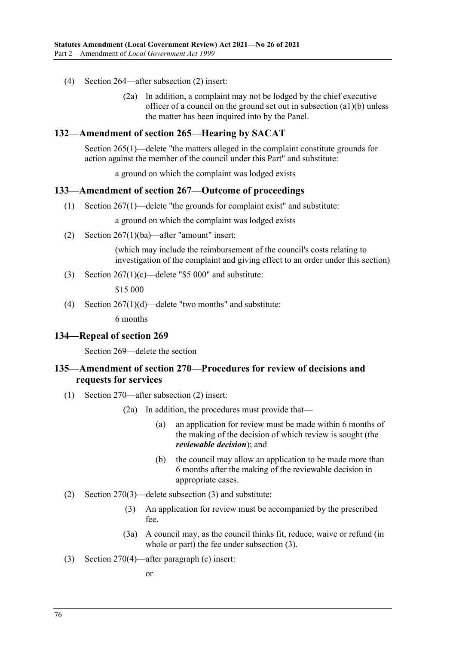- (4) Section 264—after subsection (2) insert:
	- (2a) In addition, a complaint may not be lodged by the chief executive officer of a council on the ground set out in subsection (a1)(b) unless the matter has been inquired into by the Panel.

#### **132—Amendment of section 265—Hearing by SACAT**

Section 265(1)—delete "the matters alleged in the complaint constitute grounds for action against the member of the council under this Part" and substitute:

a ground on which the complaint was lodged exists

#### **133—Amendment of section 267—Outcome of proceedings**

(1) Section 267(1)—delete "the grounds for complaint exist" and substitute:

a ground on which the complaint was lodged exists

(2) Section 267(1)(ba)—after "amount" insert:

(which may include the reimbursement of the council's costs relating to investigation of the complaint and giving effect to an order under this section)

(3) Section  $267(1)(c)$ —delete "\$5 000" and substitute:

\$15 000

(4) Section  $267(1)(d)$ —delete "two months" and substitute:

6 months

#### **134—Repeal of section 269**

Section 269—delete the section

### **135—Amendment of section 270—Procedures for review of decisions and requests for services**

- (1) Section 270—after subsection (2) insert:
	- (2a) In addition, the procedures must provide that—
		- (a) an application for review must be made within 6 months of the making of the decision of which review is sought (the *reviewable decision*); and
		- (b) the council may allow an application to be made more than 6 months after the making of the reviewable decision in appropriate cases.
- <span id="page-75-0"></span>(2) Section 270(3)—delete subsection (3) and substitute:
	- (3) An application for review must be accompanied by the prescribed fee.
	- (3a) A council may, as the council thinks fit, reduce, waive or refund (in whole or part) the fee under [subsection](#page-75-0) (3).
- (3) Section 270(4)—after paragraph (c) insert:

or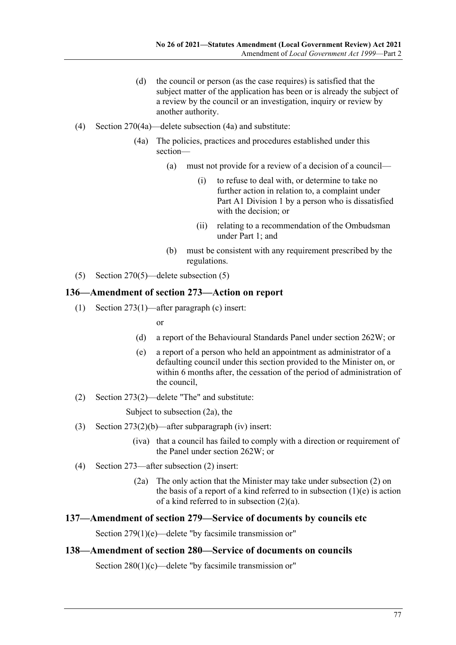- (d) the council or person (as the case requires) is satisfied that the subject matter of the application has been or is already the subject of a review by the council or an investigation, inquiry or review by another authority.
- (4) Section 270(4a)—delete subsection (4a) and substitute:
	- (4a) The policies, practices and procedures established under this section—
		- (a) must not provide for a review of a decision of a council—
			- (i) to refuse to deal with, or determine to take no further action in relation to, a complaint under Part A1 Division 1 by a person who is dissatisfied with the decision; or
			- (ii) relating to a recommendation of the Ombudsman under Part 1; and
		- (b) must be consistent with any requirement prescribed by the regulations.
- (5) Section 270(5)—delete subsection (5)

### **136—Amendment of section 273—Action on report**

(1) Section 273(1)—after paragraph (c) insert:

or

- (d) a report of the Behavioural Standards Panel under section 262W; or
- (e) a report of a person who held an appointment as administrator of a defaulting council under this section provided to the Minister on, or within 6 months after, the cessation of the period of administration of the council,
- (2) Section 273(2)—delete "The" and substitute:

Subject to subsection (2a), the

- (3) Section 273(2)(b)—after subparagraph (iv) insert:
	- (iva) that a council has failed to comply with a direction or requirement of the Panel under section 262W; or
- (4) Section 273—after subsection (2) insert:
	- (2a) The only action that the Minister may take under subsection (2) on the basis of a report of a kind referred to in subsection  $(1)(e)$  is action of a kind referred to in subsection (2)(a).

#### **137—Amendment of section 279—Service of documents by councils etc**

Section 279(1)(e)—delete "by facsimile transmission or"

### **138—Amendment of section 280—Service of documents on councils**

Section 280(1)(c)—delete "by facsimile transmission or"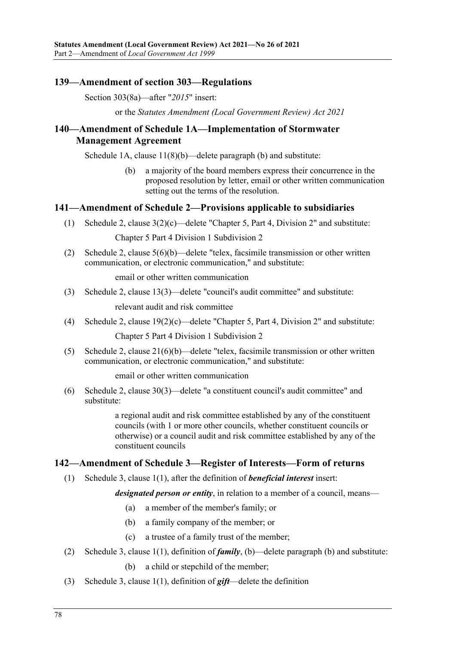### **139—Amendment of section 303—Regulations**

Section 303(8a)—after "*2015*" insert:

or the *[Statutes Amendment \(Local Government Review\) Act](http://www.legislation.sa.gov.au/index.aspx?action=legref&type=act&legtitle=Statutes%20Amendment%20(Local%20Government%20Review)%20Act%202021) 2021*

## **140—Amendment of Schedule 1A—Implementation of Stormwater Management Agreement**

Schedule 1A, clause 11(8)(b)—delete paragraph (b) and substitute:

(b) a majority of the board members express their concurrence in the proposed resolution by letter, email or other written communication setting out the terms of the resolution.

### **141—Amendment of Schedule 2—Provisions applicable to subsidiaries**

(1) Schedule 2, clause 3(2)(c)—delete "Chapter 5, Part 4, Division 2" and substitute:

Chapter 5 Part 4 Division 1 Subdivision 2

(2) Schedule 2, clause 5(6)(b)—delete "telex, facsimile transmission or other written communication, or electronic communication," and substitute:

email or other written communication

(3) Schedule 2, clause 13(3)—delete "council's audit committee" and substitute:

relevant audit and risk committee

(4) Schedule 2, clause 19(2)(c)—delete "Chapter 5, Part 4, Division 2" and substitute:

Chapter 5 Part 4 Division 1 Subdivision 2

(5) Schedule 2, clause  $21(6)(b)$ —delete "telex, facsimile transmission or other written communication, or electronic communication," and substitute:

email or other written communication

(6) Schedule 2, clause 30(3)—delete "a constituent council's audit committee" and substitute:

> a regional audit and risk committee established by any of the constituent councils (with 1 or more other councils, whether constituent councils or otherwise) or a council audit and risk committee established by any of the constituent councils

### **142—Amendment of Schedule 3—Register of Interests—Form of returns**

(1) Schedule 3, clause 1(1), after the definition of *beneficial interest* insert:

*designated person or entity*, in relation to a member of a council, means—

- (a) a member of the member's family; or
- (b) a family company of the member; or
- (c) a trustee of a family trust of the member;
- (2) Schedule 3, clause 1(1), definition of *family*, (b)—delete paragraph (b) and substitute:
	- (b) a child or stepchild of the member;
- (3) Schedule 3, clause 1(1), definition of *gift*—delete the definition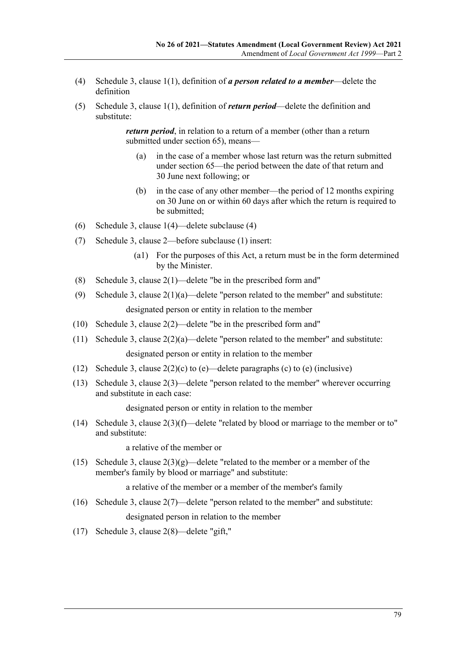- (4) Schedule 3, clause 1(1), definition of *a person related to a member*—delete the definition
- (5) Schedule 3, clause 1(1), definition of *return period*—delete the definition and substitute:

*return period*, in relation to a return of a member (other than a return submitted under section 65), means—

- (a) in the case of a member whose last return was the return submitted under section 65—the period between the date of that return and 30 June next following; or
- (b) in the case of any other member—the period of 12 months expiring on 30 June on or within 60 days after which the return is required to be submitted;
- (6) Schedule 3, clause 1(4)—delete subclause (4)
- (7) Schedule 3, clause 2—before subclause (1) insert:
	- (a1) For the purposes of this Act, a return must be in the form determined by the Minister.
- (8) Schedule 3, clause 2(1)—delete "be in the prescribed form and"
- (9) Schedule 3, clause  $2(1)(a)$ —delete "person related to the member" and substitute: designated person or entity in relation to the member
- (10) Schedule 3, clause 2(2)—delete "be in the prescribed form and"
- (11) Schedule 3, clause 2(2)(a)—delete "person related to the member" and substitute: designated person or entity in relation to the member
- (12) Schedule 3, clause  $2(2)(c)$  to (e)—delete paragraphs (c) to (e) (inclusive)
- (13) Schedule 3, clause 2(3)—delete "person related to the member" wherever occurring and substitute in each case:

designated person or entity in relation to the member

(14) Schedule 3, clause 2(3)(f)—delete "related by blood or marriage to the member or to" and substitute:

a relative of the member or

(15) Schedule 3, clause  $2(3)(g)$ —delete "related to the member or a member of the member's family by blood or marriage" and substitute:

a relative of the member or a member of the member's family

(16) Schedule 3, clause 2(7)—delete "person related to the member" and substitute:

designated person in relation to the member

(17) Schedule 3, clause 2(8)—delete "gift,"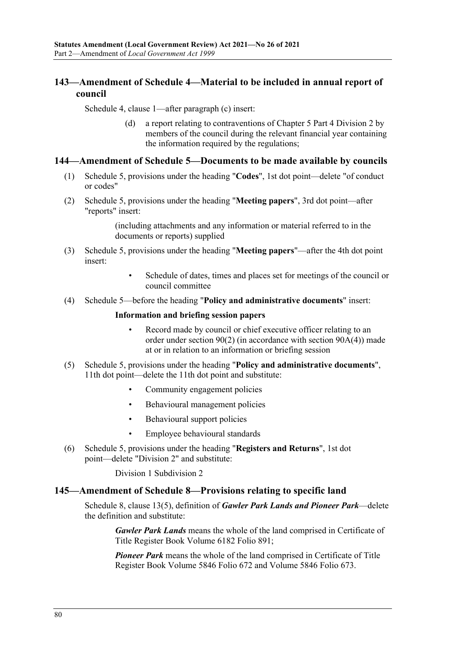# **143—Amendment of Schedule 4—Material to be included in annual report of council**

Schedule 4, clause 1—after paragraph (c) insert:

(d) a report relating to contraventions of Chapter 5 Part 4 Division 2 by members of the council during the relevant financial year containing the information required by the regulations;

#### **144—Amendment of Schedule 5—Documents to be made available by councils**

- (1) Schedule 5, provisions under the heading "**Codes**", 1st dot point—delete "of conduct or codes"
- (2) Schedule 5, provisions under the heading "**Meeting papers**", 3rd dot point—after "reports" insert:

(including attachments and any information or material referred to in the documents or reports) supplied

- (3) Schedule 5, provisions under the heading "**Meeting papers**"—after the 4th dot point insert:
	- Schedule of dates, times and places set for meetings of the council or council committee
- (4) Schedule 5—before the heading "**Policy and administrative documents**" insert:

#### **Information and briefing session papers**

- Record made by council or chief executive officer relating to an order under section 90(2) (in accordance with section 90A(4)) made at or in relation to an information or briefing session
- (5) Schedule 5, provisions under the heading "**Policy and administrative documents**", 11th dot point—delete the 11th dot point and substitute:
	- Community engagement policies
	- Behavioural management policies
	- Behavioural support policies
	- Employee behavioural standards
- (6) Schedule 5, provisions under the heading "**Registers and Returns**", 1st dot point—delete "Division 2" and substitute:

Division 1 Subdivision 2

#### **145—Amendment of Schedule 8—Provisions relating to specific land**

Schedule 8, clause 13(5), definition of *Gawler Park Lands and Pioneer Park*—delete the definition and substitute:

*Gawler Park Lands* means the whole of the land comprised in Certificate of Title Register Book Volume 6182 Folio 891;

*Pioneer Park* means the whole of the land comprised in Certificate of Title Register Book Volume 5846 Folio 672 and Volume 5846 Folio 673.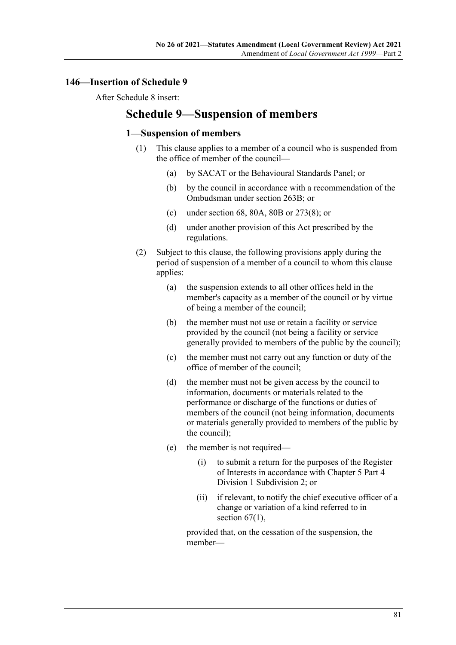## **146—Insertion of Schedule 9**

After Schedule 8 insert:

# **Schedule 9—Suspension of members**

### **1—Suspension of members**

- (1) This clause applies to a member of a council who is suspended from the office of member of the council—
	- (a) by SACAT or the Behavioural Standards Panel; or
	- (b) by the council in accordance with a recommendation of the Ombudsman under section 263B; or
	- (c) under section 68, 80A, 80B or 273(8); or
	- (d) under another provision of this Act prescribed by the regulations.
- <span id="page-80-2"></span><span id="page-80-1"></span>(2) Subject to this clause, the following provisions apply during the period of suspension of a member of a council to whom this clause applies:
	- (a) the suspension extends to all other offices held in the member's capacity as a member of the council or by virtue of being a member of the council;
	- (b) the member must not use or retain a facility or service provided by the council (not being a facility or service generally provided to members of the public by the council);
	- (c) the member must not carry out any function or duty of the office of member of the council;
	- (d) the member must not be given access by the council to information, documents or materials related to the performance or discharge of the functions or duties of members of the council (not being information, documents or materials generally provided to members of the public by the council);
	- (e) the member is not required—
		- (i) to submit a return for the purposes of the Register of Interests in accordance with Chapter 5 Part 4 Division 1 Subdivision 2; or
		- (ii) if relevant, to notify the chief executive officer of a change or variation of a kind referred to in section  $67(1)$ ,

<span id="page-80-0"></span>provided that, on the cessation of the suspension, the member—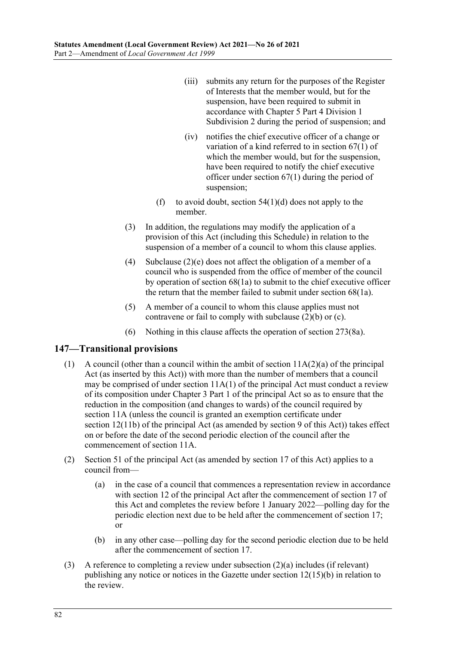- (iii) submits any return for the purposes of the Register of Interests that the member would, but for the suspension, have been required to submit in accordance with Chapter 5 Part 4 Division 1 Subdivision 2 during the period of suspension; and
- (iv) notifies the chief executive officer of a change or variation of a kind referred to in section 67(1) of which the member would, but for the suspension, have been required to notify the chief executive officer under section 67(1) during the period of suspension;
- (f) to avoid doubt, section  $54(1)(d)$  does not apply to the member.
- (3) In addition, the regulations may modify the application of a provision of this Act (including this Schedule) in relation to the suspension of a member of a council to whom this clause applies.
- (4) [Subclause](#page-80-0) (2)(e) does not affect the obligation of a member of a council who is suspended from the office of member of the council by operation of section 68(1a) to submit to the chief executive officer the return that the member failed to submit under section 68(1a).
- (5) A member of a council to whom this clause applies must not contravene or fail to comply with [subclause](#page-80-1) (2)(b) or [\(c\).](#page-80-2)
- (6) Nothing in this clause affects the operation of section 273(8a).

### **147—Transitional provisions**

- (1) A council (other than a council within the ambit of section  $11A(2)(a)$  of the principal Act (as inserted by this Act)) with more than the number of members that a council may be comprised of under section 11A(1) of the principal Act must conduct a review of its composition under Chapter 3 Part 1 of the principal Act so as to ensure that the reduction in the composition (and changes to wards) of the council required by section 11A (unless the council is granted an exemption certificate under section 12(11b) of the principal Act (as amended by section 9 of this Act)) takes effect on or before the date of the second periodic election of the council after the commencement of section 11A.
- <span id="page-81-0"></span>(2) Section 51 of the principal Act (as amended by [section](#page-14-0) 17 of this Act) applies to a council from—
	- (a) in the case of a council that commences a representation review in accordance with section 12 of the principal Act after the commencement of [section](#page-14-0) 17 of this Act and completes the review before 1 January 2022—polling day for the periodic election next due to be held after the commencement of [section](#page-14-0) 17; or
	- (b) in any other case—polling day for the second periodic election due to be held after the commencement of [section](#page-14-0) 17.
- (3) A reference to completing a review under [subsection](#page-81-0) (2)(a) includes (if relevant) publishing any notice or notices in the Gazette under section 12(15)(b) in relation to the review.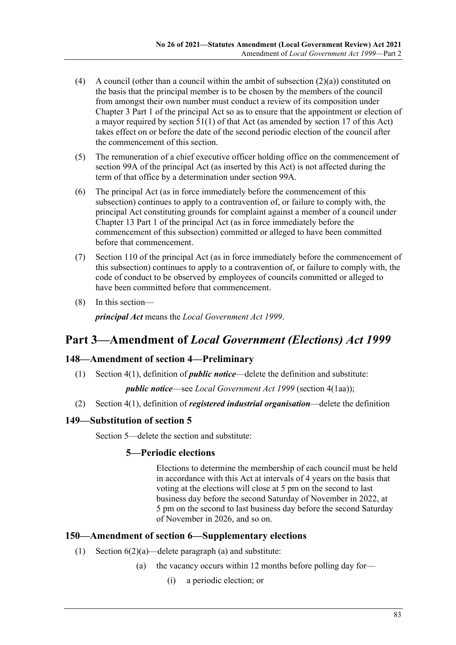- (4) A council (other than a council within the ambit of [subsection](#page-81-0)  $(2)(a)$ ) constituted on the basis that the principal member is to be chosen by the members of the council from amongst their own number must conduct a review of its composition under Chapter 3 Part 1 of the principal Act so as to ensure that the appointment or election of a mayor required by section 51(1) of that Act (as amended by [section](#page-14-0) 17 of this Act) takes effect on or before the date of the second periodic election of the council after the commencement of this section.
- (5) The remuneration of a chief executive officer holding office on the commencement of section 99A of the principal Act (as inserted by this Act) is not affected during the term of that office by a determination under section 99A.
- (6) The principal Act (as in force immediately before the commencement of this subsection) continues to apply to a contravention of, or failure to comply with, the principal Act constituting grounds for complaint against a member of a council under Chapter 13 Part 1 of the principal Act (as in force immediately before the commencement of this subsection) committed or alleged to have been committed before that commencement.
- (7) Section 110 of the principal Act (as in force immediately before the commencement of this subsection) continues to apply to a contravention of, or failure to comply with, the code of conduct to be observed by employees of councils committed or alleged to have been committed before that commencement.
- (8) In this section—

*principal Act* means the *[Local Government Act](http://www.legislation.sa.gov.au/index.aspx?action=legref&type=act&legtitle=Local%20Government%20Act%201999) 1999*.

# **Part 3—Amendment of** *Local Government (Elections) Act 1999*

### **148—Amendment of section 4—Preliminary**

(1) Section 4(1), definition of *public notice*—delete the definition and substitute:

*public notice*—see *[Local Government Act](http://www.legislation.sa.gov.au/index.aspx?action=legref&type=act&legtitle=Local%20Government%20Act%201999) 1999* (section 4(1aa));

(2) Section 4(1), definition of *registered industrial organisation*—delete the definition

# **149—Substitution of section 5**

Section 5—delete the section and substitute:

### **5—Periodic elections**

Elections to determine the membership of each council must be held in accordance with this Act at intervals of 4 years on the basis that voting at the elections will close at 5 pm on the second to last business day before the second Saturday of November in 2022, at 5 pm on the second to last business day before the second Saturday of November in 2026, and so on.

### **150—Amendment of section 6—Supplementary elections**

- (1) Section  $6(2)(a)$ —delete paragraph (a) and substitute:
	- (a) the vacancy occurs within 12 months before polling day for—
		- (i) a periodic election; or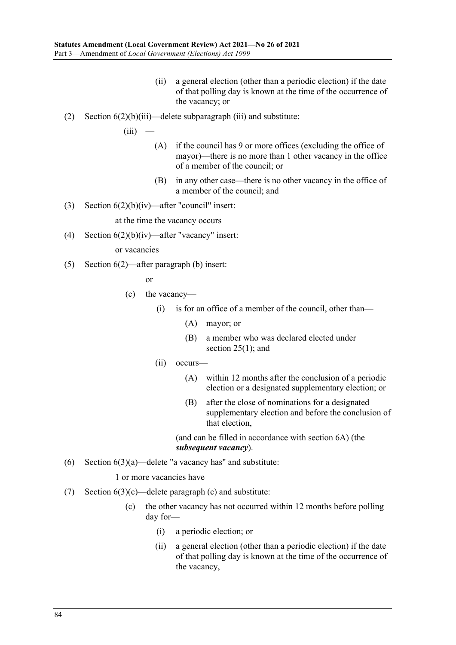(ii) a general election (other than a periodic election) if the date of that polling day is known at the time of the occurrence of the vacancy; or

#### (2) Section  $6(2)(b)(iii)$ —delete subparagraph (iii) and substitute:

 $(iii)$ 

- (A) if the council has 9 or more offices (excluding the office of mayor)—there is no more than 1 other vacancy in the office of a member of the council; or
- (B) in any other case—there is no other vacancy in the office of a member of the council; and
- (3) Section  $6(2)(b)(iv)$ —after "council" insert:

at the time the vacancy occurs

(4) Section  $6(2)(b)(iv)$ —after "vacancy" insert:

or vacancies

(5) Section 6(2)—after paragraph (b) insert:

or

- (c) the vacancy—
	- (i) is for an office of a member of the council, other than—
		- (A) mayor; or
		- (B) a member who was declared elected under section 25(1); and
	- (ii) occurs—
		- (A) within 12 months after the conclusion of a periodic election or a designated supplementary election; or
		- (B) after the close of nominations for a designated supplementary election and before the conclusion of that election,

(and can be filled in accordance with section 6A) (the *subsequent vacancy*).

(6) Section  $6(3)(a)$ —delete "a vacancy has" and substitute:

#### 1 or more vacancies have

- (7) Section  $6(3)(c)$ —delete paragraph (c) and substitute:
	- (c) the other vacancy has not occurred within 12 months before polling day for—
		- (i) a periodic election; or
		- (ii) a general election (other than a periodic election) if the date of that polling day is known at the time of the occurrence of the vacancy,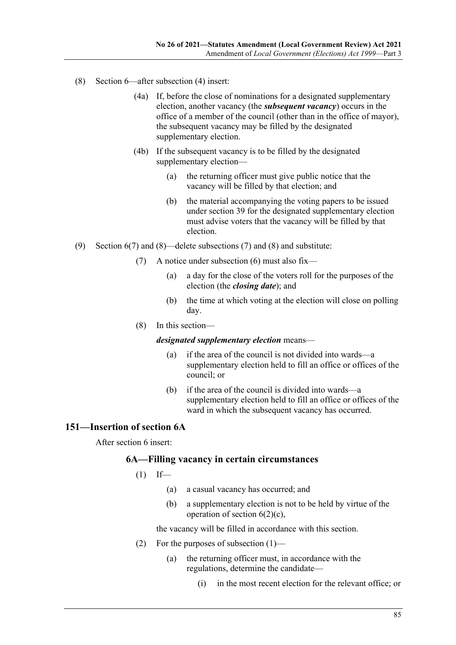- (8) Section 6—after subsection (4) insert:
	- (4a) If, before the close of nominations for a designated supplementary election, another vacancy (the *subsequent vacancy*) occurs in the office of a member of the council (other than in the office of mayor), the subsequent vacancy may be filled by the designated supplementary election.
	- (4b) If the subsequent vacancy is to be filled by the designated supplementary election—
		- (a) the returning officer must give public notice that the vacancy will be filled by that election; and
		- (b) the material accompanying the voting papers to be issued under section 39 for the designated supplementary election must advise voters that the vacancy will be filled by that election.
- (9) Section 6(7) and (8)—delete subsections (7) and (8) and substitute:
	- (7) A notice under subsection (6) must also fix—
		- (a) a day for the close of the voters roll for the purposes of the election (the *closing date*); and
		- (b) the time at which voting at the election will close on polling day.
		- (8) In this section—

*designated supplementary election* means—

- (a) if the area of the council is not divided into wards—a supplementary election held to fill an office or offices of the council; or
- (b) if the area of the council is divided into wards—a supplementary election held to fill an office or offices of the ward in which the subsequent vacancy has occurred.

### **151—Insertion of section 6A**

<span id="page-84-0"></span>After section 6 insert:

### **6A—Filling vacancy in certain circumstances**

- $(1)$  If—
	- (a) a casual vacancy has occurred; and
	- (b) a supplementary election is not to be held by virtue of the operation of section  $6(2)(c)$ ,

the vacancy will be filled in accordance with this section.

- (2) For the purposes of [subsection](#page-84-0) (1)—
	- (a) the returning officer must, in accordance with the regulations, determine the candidate—
		- (i) in the most recent election for the relevant office; or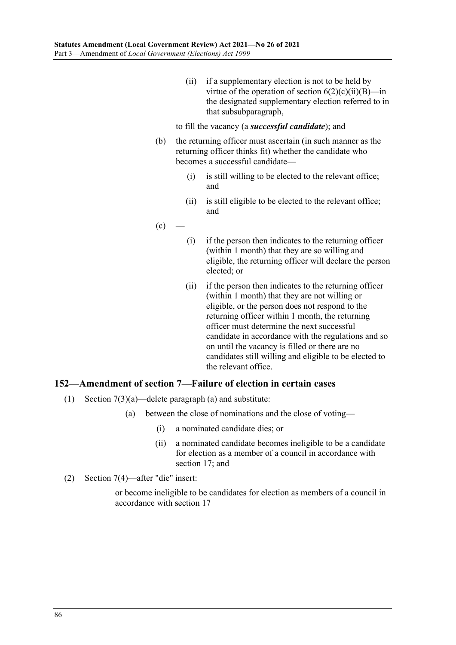(ii) if a supplementary election is not to be held by virtue of the operation of section  $6(2)(c)(ii)(B)$ —in the designated supplementary election referred to in that subsubparagraph,

#### to fill the vacancy (a *successful candidate*); and

- (b) the returning officer must ascertain (in such manner as the returning officer thinks fit) whether the candidate who becomes a successful candidate—
	- (i) is still willing to be elected to the relevant office; and
	- (ii) is still eligible to be elected to the relevant office; and
- $(c)$
- (i) if the person then indicates to the returning officer (within 1 month) that they are so willing and eligible, the returning officer will declare the person elected; or
- (ii) if the person then indicates to the returning officer (within 1 month) that they are not willing or eligible, or the person does not respond to the returning officer within 1 month, the returning officer must determine the next successful candidate in accordance with the regulations and so on until the vacancy is filled or there are no candidates still willing and eligible to be elected to the relevant office.

### **152—Amendment of section 7—Failure of election in certain cases**

- (1) Section  $7(3)(a)$ —delete paragraph (a) and substitute:
	- (a) between the close of nominations and the close of voting—
		- (i) a nominated candidate dies; or
		- (ii) a nominated candidate becomes ineligible to be a candidate for election as a member of a council in accordance with section 17; and
- (2) Section 7(4)—after "die" insert:

or become ineligible to be candidates for election as members of a council in accordance with section 17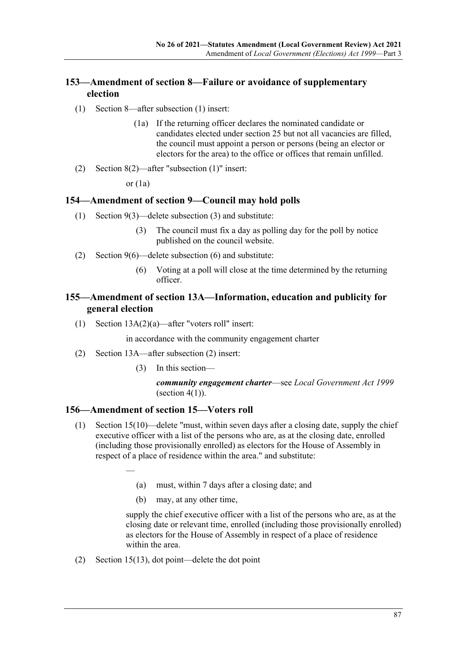# **153—Amendment of section 8—Failure or avoidance of supplementary election**

- (1) Section 8—after subsection (1) insert:
	- (1a) If the returning officer declares the nominated candidate or candidates elected under section 25 but not all vacancies are filled, the council must appoint a person or persons (being an elector or electors for the area) to the office or offices that remain unfilled.
- (2) Section 8(2)—after "subsection (1)" insert:

or  $(1a)$ 

### **154—Amendment of section 9—Council may hold polls**

- (1) Section 9(3)—delete subsection (3) and substitute:
	- (3) The council must fix a day as polling day for the poll by notice published on the council website.
- (2) Section 9(6)—delete subsection (6) and substitute:
	- (6) Voting at a poll will close at the time determined by the returning officer.

# **155—Amendment of section 13A—Information, education and publicity for general election**

(1) Section 13A(2)(a)—after "voters roll" insert:

in accordance with the community engagement charter

- (2) Section 13A—after subsection (2) insert:
	- (3) In this section—

*community engagement charter*—see *[Local Government Act](http://www.legislation.sa.gov.au/index.aspx?action=legref&type=act&legtitle=Local%20Government%20Act%201999) 1999* (section  $4(1)$ ).

#### **156—Amendment of section 15—Voters roll**

—

- (1) Section 15(10)—delete "must, within seven days after a closing date, supply the chief executive officer with a list of the persons who are, as at the closing date, enrolled (including those provisionally enrolled) as electors for the House of Assembly in respect of a place of residence within the area." and substitute:
	- (a) must, within 7 days after a closing date; and
	- (b) may, at any other time,

supply the chief executive officer with a list of the persons who are, as at the closing date or relevant time, enrolled (including those provisionally enrolled) as electors for the House of Assembly in respect of a place of residence within the area.

(2) Section 15(13), dot point—delete the dot point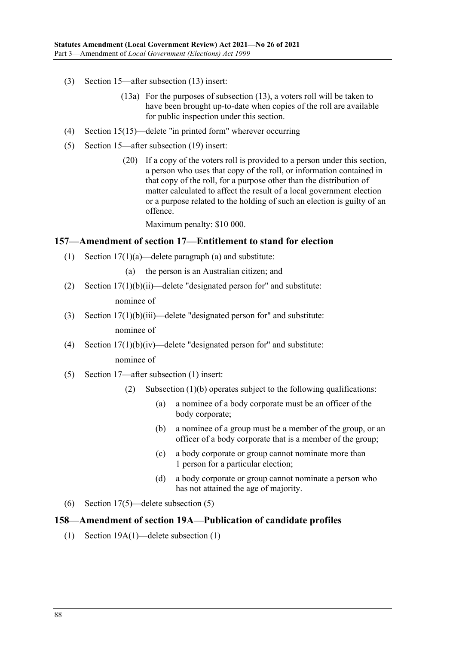- (3) Section 15—after subsection (13) insert:
	- (13a) For the purposes of subsection (13), a voters roll will be taken to have been brought up-to-date when copies of the roll are available for public inspection under this section.
- (4) Section 15(15)—delete "in printed form" wherever occurring
- (5) Section 15—after subsection (19) insert:
	- (20) If a copy of the voters roll is provided to a person under this section, a person who uses that copy of the roll, or information contained in that copy of the roll, for a purpose other than the distribution of matter calculated to affect the result of a local government election or a purpose related to the holding of such an election is guilty of an offence.

Maximum penalty: \$10 000.

#### **157—Amendment of section 17—Entitlement to stand for election**

- (1) Section 17(1)(a)—delete paragraph (a) and substitute:
	- (a) the person is an Australian citizen; and
- (2) Section  $17(1)(b)(ii)$ —delete "designated person for" and substitute:

nominee of

(3) Section 17(1)(b)(iii)—delete "designated person for" and substitute:

nominee of

- (4) Section  $17(1)(b)(iv)$ —delete "designated person for" and substitute: nominee of
- (5) Section 17—after subsection (1) insert:
	- (2) Subsection (1)(b) operates subject to the following qualifications:
		- (a) a nominee of a body corporate must be an officer of the body corporate;
		- (b) a nominee of a group must be a member of the group, or an officer of a body corporate that is a member of the group;
		- (c) a body corporate or group cannot nominate more than 1 person for a particular election;
		- (d) a body corporate or group cannot nominate a person who has not attained the age of majority.
- (6) Section 17(5)—delete subsection (5)

#### **158—Amendment of section 19A—Publication of candidate profiles**

(1) Section 19A(1)—delete subsection (1)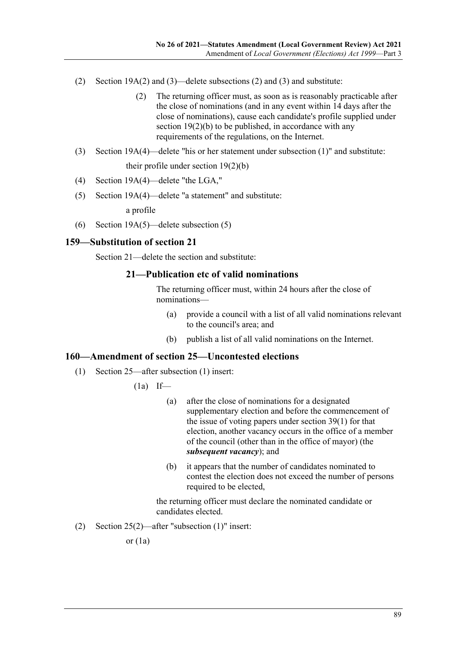- (2) Section 19A(2) and (3)—delete subsections (2) and (3) and substitute:
	- (2) The returning officer must, as soon as is reasonably practicable after the close of nominations (and in any event within 14 days after the close of nominations), cause each candidate's profile supplied under section 19(2)(b) to be published, in accordance with any requirements of the regulations, on the Internet.
- (3) Section 19A(4)—delete "his or her statement under subsection (1)" and substitute: their profile under section 19(2)(b)
- (4) Section 19A(4)—delete "the LGA,"
- (5) Section 19A(4)—delete "a statement" and substitute:

a profile

(6) Section 19A(5)—delete subsection (5)

### **159—Substitution of section 21**

Section 21—delete the section and substitute:

### **21—Publication etc of valid nominations**

The returning officer must, within 24 hours after the close of nominations—

- (a) provide a council with a list of all valid nominations relevant to the council's area; and
- (b) publish a list of all valid nominations on the Internet.

### **160—Amendment of section 25—Uncontested elections**

- (1) Section 25—after subsection (1) insert:
	- $(1a)$  If—
		- (a) after the close of nominations for a designated supplementary election and before the commencement of the issue of voting papers under section 39(1) for that election, another vacancy occurs in the office of a member of the council (other than in the office of mayor) (the *subsequent vacancy*); and
		- (b) it appears that the number of candidates nominated to contest the election does not exceed the number of persons required to be elected,

the returning officer must declare the nominated candidate or candidates elected.

(2) Section 25(2)—after "subsection (1)" insert:

or  $(1a)$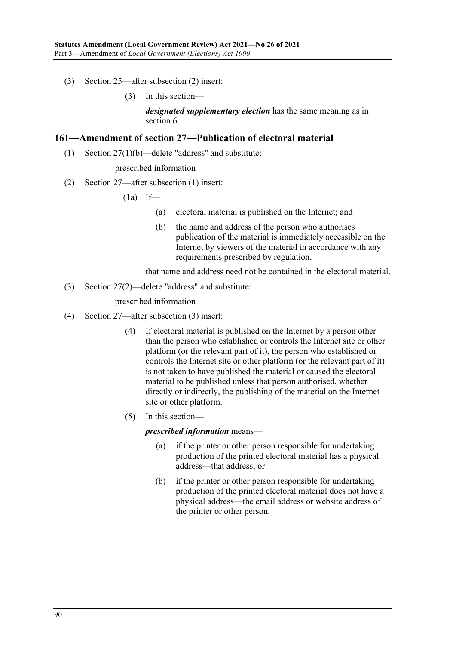- (3) Section 25—after subsection (2) insert:
	- (3) In this section—

*designated supplementary election* has the same meaning as in section 6.

#### **161—Amendment of section 27—Publication of electoral material**

(1) Section 27(1)(b)—delete "address" and substitute:

#### prescribed information

(2) Section 27—after subsection (1) insert:

 $(1a)$  If—

- (a) electoral material is published on the Internet; and
- (b) the name and address of the person who authorises publication of the material is immediately accessible on the Internet by viewers of the material in accordance with any requirements prescribed by regulation,

that name and address need not be contained in the electoral material.

(3) Section 27(2)—delete "address" and substitute:

prescribed information

- (4) Section 27—after subsection (3) insert:
	- (4) If electoral material is published on the Internet by a person other than the person who established or controls the Internet site or other platform (or the relevant part of it), the person who established or controls the Internet site or other platform (or the relevant part of it) is not taken to have published the material or caused the electoral material to be published unless that person authorised, whether directly or indirectly, the publishing of the material on the Internet site or other platform.
	- (5) In this section—

*prescribed information* means—

- (a) if the printer or other person responsible for undertaking production of the printed electoral material has a physical address—that address; or
- (b) if the printer or other person responsible for undertaking production of the printed electoral material does not have a physical address—the email address or website address of the printer or other person.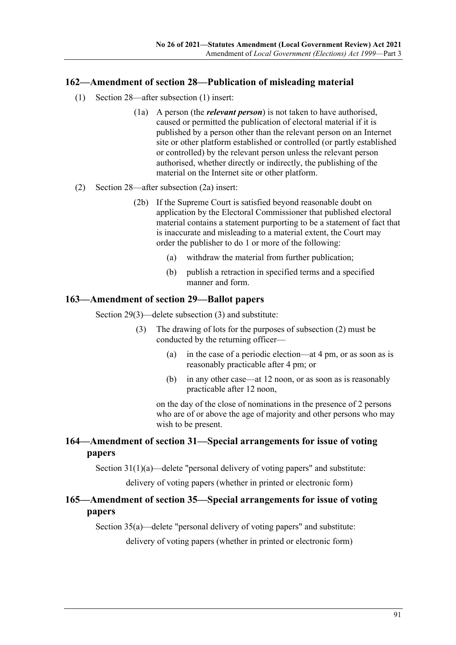### **162—Amendment of section 28—Publication of misleading material**

- (1) Section 28—after subsection (1) insert:
	- (1a) A person (the *relevant person*) is not taken to have authorised, caused or permitted the publication of electoral material if it is published by a person other than the relevant person on an Internet site or other platform established or controlled (or partly established or controlled) by the relevant person unless the relevant person authorised, whether directly or indirectly, the publishing of the material on the Internet site or other platform.

#### (2) Section 28—after subsection (2a) insert:

- (2b) If the Supreme Court is satisfied beyond reasonable doubt on application by the Electoral Commissioner that published electoral material contains a statement purporting to be a statement of fact that is inaccurate and misleading to a material extent, the Court may order the publisher to do 1 or more of the following:
	- (a) withdraw the material from further publication;
	- (b) publish a retraction in specified terms and a specified manner and form.

#### **163—Amendment of section 29—Ballot papers**

Section 29(3)—delete subsection (3) and substitute:

- (3) The drawing of lots for the purposes of subsection (2) must be conducted by the returning officer—
	- (a) in the case of a periodic election—at 4 pm, or as soon as is reasonably practicable after 4 pm; or
	- (b) in any other case—at 12 noon, or as soon as is reasonably practicable after 12 noon,

on the day of the close of nominations in the presence of 2 persons who are of or above the age of majority and other persons who may wish to be present.

### **164—Amendment of section 31—Special arrangements for issue of voting papers**

Section 31(1)(a)—delete "personal delivery of voting papers" and substitute:

delivery of voting papers (whether in printed or electronic form)

# **165—Amendment of section 35—Special arrangements for issue of voting papers**

Section 35(a)—delete "personal delivery of voting papers" and substitute:

delivery of voting papers (whether in printed or electronic form)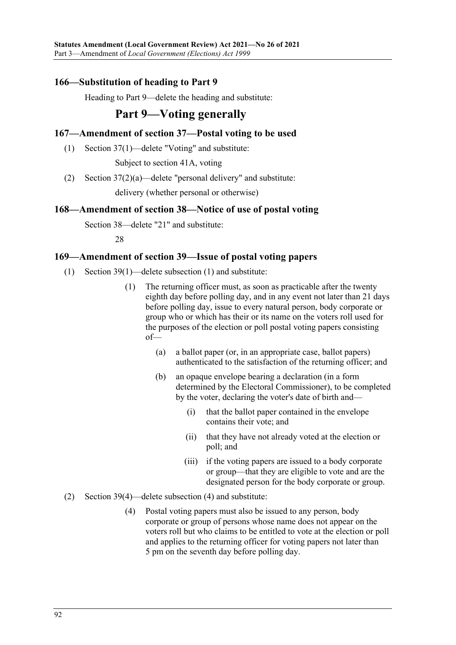## **166—Substitution of heading to Part 9**

Heading to Part 9—delete the heading and substitute:

# **Part 9—Voting generally**

## **167—Amendment of section 37—Postal voting to be used**

(1) Section 37(1)—delete "Voting" and substitute:

Subject to section 41A, voting

(2) Section 37(2)(a)—delete "personal delivery" and substitute:

delivery (whether personal or otherwise)

### **168—Amendment of section 38—Notice of use of postal voting**

Section 38—delete "21" and substitute:

#### 28

### **169—Amendment of section 39—Issue of postal voting papers**

- (1) Section 39(1)—delete subsection (1) and substitute:
	- (1) The returning officer must, as soon as practicable after the twenty eighth day before polling day, and in any event not later than 21 days before polling day, issue to every natural person, body corporate or group who or which has their or its name on the voters roll used for the purposes of the election or poll postal voting papers consisting of—
		- (a) a ballot paper (or, in an appropriate case, ballot papers) authenticated to the satisfaction of the returning officer; and
		- (b) an opaque envelope bearing a declaration (in a form determined by the Electoral Commissioner), to be completed by the voter, declaring the voter's date of birth and—
			- (i) that the ballot paper contained in the envelope contains their vote; and
			- (ii) that they have not already voted at the election or poll; and
			- (iii) if the voting papers are issued to a body corporate or group—that they are eligible to vote and are the designated person for the body corporate or group.
- (2) Section 39(4)—delete subsection (4) and substitute:
	- (4) Postal voting papers must also be issued to any person, body corporate or group of persons whose name does not appear on the voters roll but who claims to be entitled to vote at the election or poll and applies to the returning officer for voting papers not later than 5 pm on the seventh day before polling day.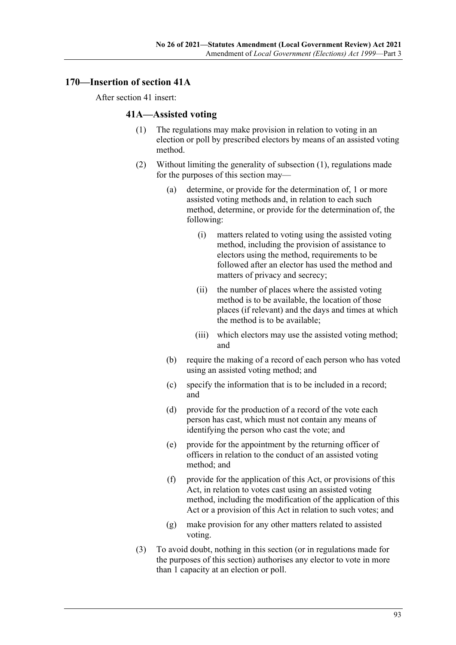### **170—Insertion of section 41A**

<span id="page-92-0"></span>After section 41 insert:

### **41A—Assisted voting**

- (1) The regulations may make provision in relation to voting in an election or poll by prescribed electors by means of an assisted voting method.
- (2) Without limiting the generality of [subsection](#page-92-0) (1), regulations made for the purposes of this section may—
	- (a) determine, or provide for the determination of, 1 or more assisted voting methods and, in relation to each such method, determine, or provide for the determination of, the following:
		- (i) matters related to voting using the assisted voting method, including the provision of assistance to electors using the method, requirements to be followed after an elector has used the method and matters of privacy and secrecy;
		- (ii) the number of places where the assisted voting method is to be available, the location of those places (if relevant) and the days and times at which the method is to be available;
		- (iii) which electors may use the assisted voting method; and
	- (b) require the making of a record of each person who has voted using an assisted voting method; and
	- (c) specify the information that is to be included in a record; and
	- (d) provide for the production of a record of the vote each person has cast, which must not contain any means of identifying the person who cast the vote; and
	- (e) provide for the appointment by the returning officer of officers in relation to the conduct of an assisted voting method; and
	- (f) provide for the application of this Act, or provisions of this Act, in relation to votes cast using an assisted voting method, including the modification of the application of this Act or a provision of this Act in relation to such votes; and
	- (g) make provision for any other matters related to assisted voting.
- <span id="page-92-1"></span>(3) To avoid doubt, nothing in this section (or in regulations made for the purposes of this section) authorises any elector to vote in more than 1 capacity at an election or poll.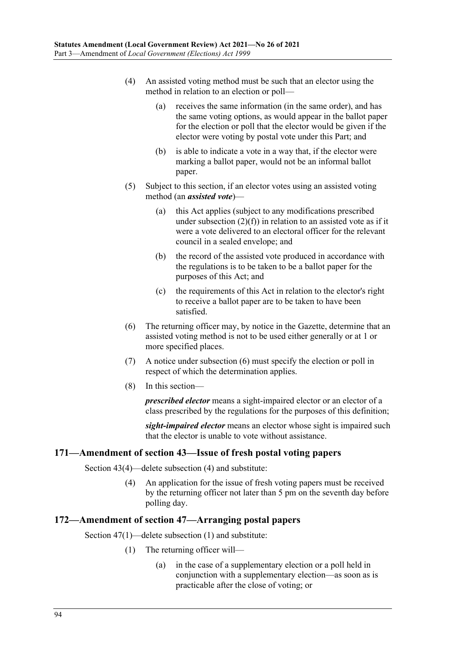- (4) An assisted voting method must be such that an elector using the method in relation to an election or poll—
	- (a) receives the same information (in the same order), and has the same voting options, as would appear in the ballot paper for the election or poll that the elector would be given if the elector were voting by postal vote under this Part; and
	- (b) is able to indicate a vote in a way that, if the elector were marking a ballot paper, would not be an informal ballot paper.
- (5) Subject to this section, if an elector votes using an assisted voting method (an *assisted vote*)—
	- (a) this Act applies (subject to any modifications prescribed under [subsection](#page-92-1)  $(2)(f)$  in relation to an assisted vote as if it were a vote delivered to an electoral officer for the relevant council in a sealed envelope; and
	- (b) the record of the assisted vote produced in accordance with the regulations is to be taken to be a ballot paper for the purposes of this Act; and
	- (c) the requirements of this Act in relation to the elector's right to receive a ballot paper are to be taken to have been satisfied.
- <span id="page-93-0"></span>(6) The returning officer may, by notice in the Gazette, determine that an assisted voting method is not to be used either generally or at 1 or more specified places.
- (7) A notice under [subsection](#page-93-0) (6) must specify the election or poll in respect of which the determination applies.
- (8) In this section—

*prescribed elector* means a sight-impaired elector or an elector of a class prescribed by the regulations for the purposes of this definition;

*sight-impaired elector* means an elector whose sight is impaired such that the elector is unable to vote without assistance.

### **171—Amendment of section 43—Issue of fresh postal voting papers**

Section 43(4)—delete subsection (4) and substitute:

(4) An application for the issue of fresh voting papers must be received by the returning officer not later than 5 pm on the seventh day before polling day.

#### **172—Amendment of section 47—Arranging postal papers**

Section 47(1)—delete subsection (1) and substitute:

- (1) The returning officer will—
	- (a) in the case of a supplementary election or a poll held in conjunction with a supplementary election—as soon as is practicable after the close of voting; or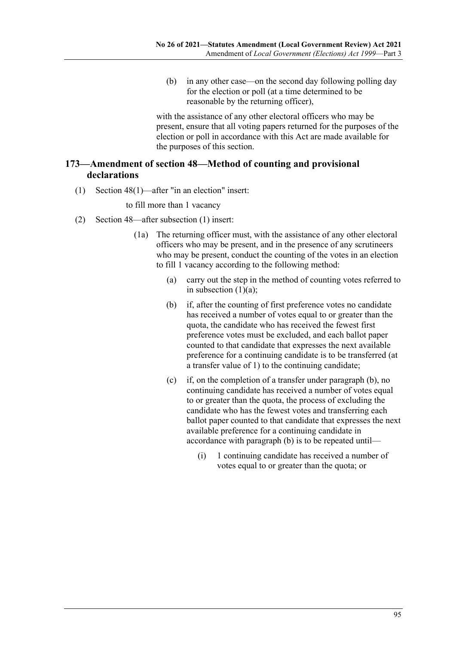(b) in any other case—on the second day following polling day for the election or poll (at a time determined to be reasonable by the returning officer),

with the assistance of any other electoral officers who may be present, ensure that all voting papers returned for the purposes of the election or poll in accordance with this Act are made available for the purposes of this section.

# **173—Amendment of section 48—Method of counting and provisional declarations**

(1) Section 48(1)—after "in an election" insert:

#### to fill more than 1 vacancy

- <span id="page-94-0"></span>(2) Section 48—after subsection (1) insert:
	- (1a) The returning officer must, with the assistance of any other electoral officers who may be present, and in the presence of any scrutineers who may be present, conduct the counting of the votes in an election to fill 1 vacancy according to the following method:
		- (a) carry out the step in the method of counting votes referred to in subsection  $(1)(a)$ ;
		- (b) if, after the counting of first preference votes no candidate has received a number of votes equal to or greater than the quota, the candidate who has received the fewest first preference votes must be excluded, and each ballot paper counted to that candidate that expresses the next available preference for a continuing candidate is to be transferred (at a transfer value of 1) to the continuing candidate;
		- (c) if, on the completion of a transfer under [paragraph](#page-94-0) (b), no continuing candidate has received a number of votes equal to or greater than the quota, the process of excluding the candidate who has the fewest votes and transferring each ballot paper counted to that candidate that expresses the next available preference for a continuing candidate in accordance with [paragraph](#page-94-0) (b) is to be repeated until—
			- (i) 1 continuing candidate has received a number of votes equal to or greater than the quota; or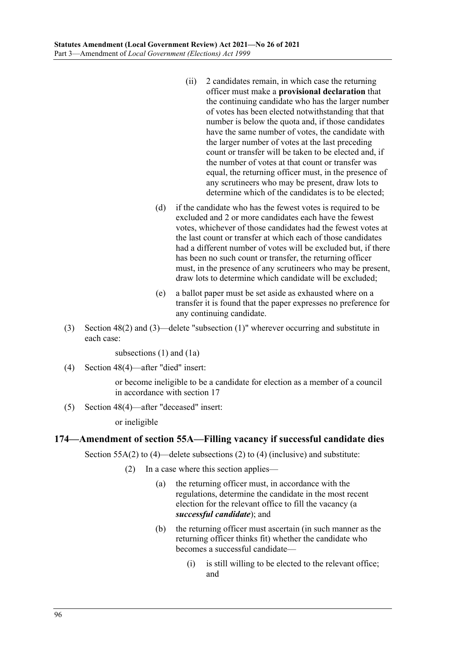- (ii) 2 candidates remain, in which case the returning officer must make a **provisional declaration** that the continuing candidate who has the larger number of votes has been elected notwithstanding that that number is below the quota and, if those candidates have the same number of votes, the candidate with the larger number of votes at the last preceding count or transfer will be taken to be elected and, if the number of votes at that count or transfer was equal, the returning officer must, in the presence of any scrutineers who may be present, draw lots to determine which of the candidates is to be elected;
- (d) if the candidate who has the fewest votes is required to be excluded and 2 or more candidates each have the fewest votes, whichever of those candidates had the fewest votes at the last count or transfer at which each of those candidates had a different number of votes will be excluded but, if there has been no such count or transfer, the returning officer must, in the presence of any scrutineers who may be present, draw lots to determine which candidate will be excluded;
- (e) a ballot paper must be set aside as exhausted where on a transfer it is found that the paper expresses no preference for any continuing candidate.
- (3) Section 48(2) and (3)—delete "subsection (1)" wherever occurring and substitute in each case:

subsections (1) and (1a)

(4) Section 48(4)—after "died" insert:

or become ineligible to be a candidate for election as a member of a council in accordance with section 17

(5) Section 48(4)—after "deceased" insert:

or ineligible

### **174—Amendment of section 55A—Filling vacancy if successful candidate dies**

Section 55A(2) to (4)—delete subsections (2) to (4) (inclusive) and substitute:

- (2) In a case where this section applies—
	- (a) the returning officer must, in accordance with the regulations, determine the candidate in the most recent election for the relevant office to fill the vacancy (a *successful candidate*); and
	- (b) the returning officer must ascertain (in such manner as the returning officer thinks fit) whether the candidate who becomes a successful candidate—
		- (i) is still willing to be elected to the relevant office; and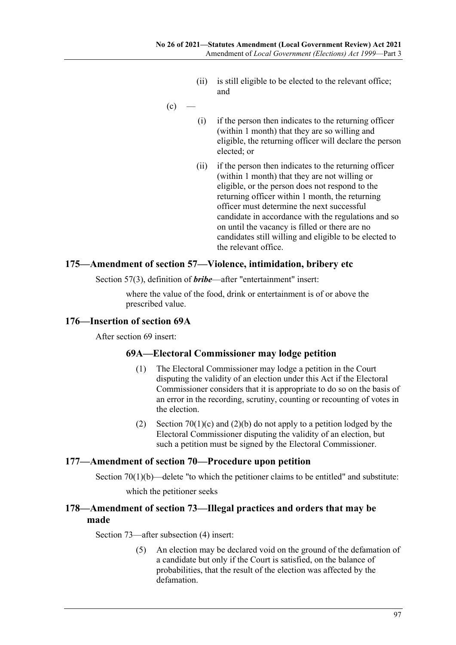- (ii) is still eligible to be elected to the relevant office; and
- $(c)$
- (i) if the person then indicates to the returning officer (within 1 month) that they are so willing and eligible, the returning officer will declare the person elected; or
- (ii) if the person then indicates to the returning officer (within 1 month) that they are not willing or eligible, or the person does not respond to the returning officer within 1 month, the returning officer must determine the next successful candidate in accordance with the regulations and so on until the vacancy is filled or there are no candidates still willing and eligible to be elected to the relevant office.

#### **175—Amendment of section 57—Violence, intimidation, bribery etc**

Section 57(3), definition of *bribe*—after "entertainment" insert:

where the value of the food, drink or entertainment is of or above the prescribed value.

#### **176—Insertion of section 69A**

After section 69 insert:

### **69A—Electoral Commissioner may lodge petition**

- (1) The Electoral Commissioner may lodge a petition in the Court disputing the validity of an election under this Act if the Electoral Commissioner considers that it is appropriate to do so on the basis of an error in the recording, scrutiny, counting or recounting of votes in the election.
- (2) Section  $70(1)(c)$  and  $(2)(b)$  do not apply to a petition lodged by the Electoral Commissioner disputing the validity of an election, but such a petition must be signed by the Electoral Commissioner.

#### **177—Amendment of section 70—Procedure upon petition**

Section  $70(1)(b)$ —delete "to which the petitioner claims to be entitled" and substitute:

which the petitioner seeks

### **178—Amendment of section 73—Illegal practices and orders that may be made**

Section 73—after subsection (4) insert:

(5) An election may be declared void on the ground of the defamation of a candidate but only if the Court is satisfied, on the balance of probabilities, that the result of the election was affected by the defamation.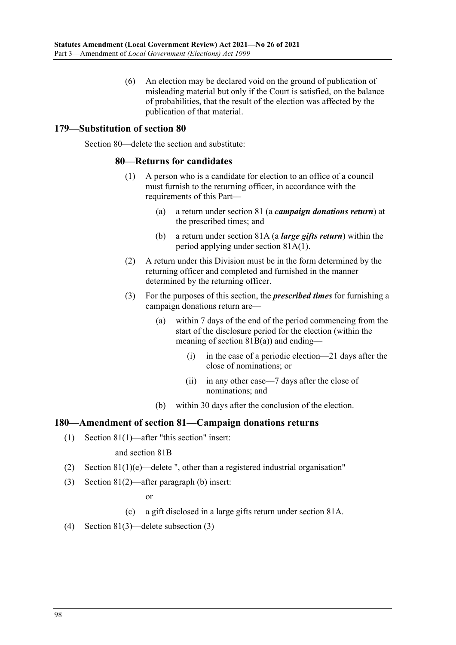(6) An election may be declared void on the ground of publication of misleading material but only if the Court is satisfied, on the balance of probabilities, that the result of the election was affected by the publication of that material.

### **179—Substitution of section 80**

Section 80—delete the section and substitute:

#### **80—Returns for candidates**

- (1) A person who is a candidate for election to an office of a council must furnish to the returning officer, in accordance with the requirements of this Part—
	- (a) a return under section 81 (a *campaign donations return*) at the prescribed times; and
	- (b) a return under section 81A (a *large gifts return*) within the period applying under section 81A(1).
- (2) A return under this Division must be in the form determined by the returning officer and completed and furnished in the manner determined by the returning officer.
- (3) For the purposes of this section, the *prescribed times* for furnishing a campaign donations return are—
	- (a) within 7 days of the end of the period commencing from the start of the disclosure period for the election (within the meaning of section  $81B(a)$ ) and ending—
		- (i) in the case of a periodic election—21 days after the close of nominations; or
		- (ii) in any other case—7 days after the close of nominations; and
	- (b) within 30 days after the conclusion of the election.

### **180—Amendment of section 81—Campaign donations returns**

(1) Section 81(1)—after "this section" insert:

#### and section 81B

- (2) Section  $81(1)(e)$ —delete ", other than a registered industrial organisation"
- (3) Section 81(2)—after paragraph (b) insert:

or

- (c) a gift disclosed in a large gifts return under section 81A.
- (4) Section 81(3)—delete subsection (3)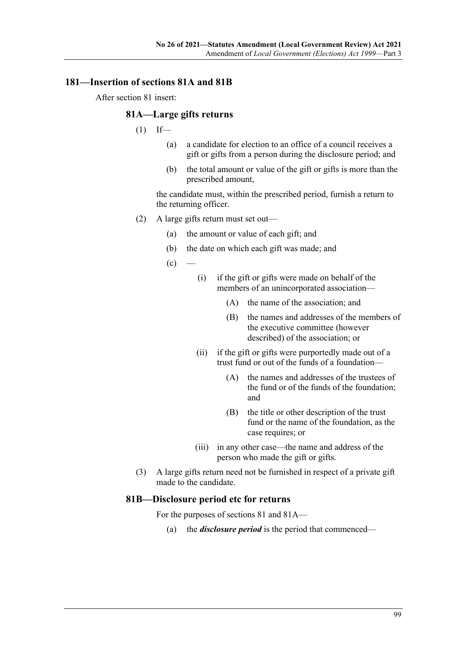# **181—Insertion of sections 81A and 81B**

After section 81 insert:

#### **81A—Large gifts returns**

- $(1)$  If—
	- (a) a candidate for election to an office of a council receives a gift or gifts from a person during the disclosure period; and
	- (b) the total amount or value of the gift or gifts is more than the prescribed amount,

the candidate must, within the prescribed period, furnish a return to the returning officer.

- (2) A large gifts return must set out—
	- (a) the amount or value of each gift; and
	- (b) the date on which each gift was made; and
	- $(c)$
- (i) if the gift or gifts were made on behalf of the members of an unincorporated association—
	- (A) the name of the association; and
	- (B) the names and addresses of the members of the executive committee (however described) of the association; or
- (ii) if the gift or gifts were purportedly made out of a trust fund or out of the funds of a foundation—
	- (A) the names and addresses of the trustees of the fund or of the funds of the foundation; and
	- (B) the title or other description of the trust fund or the name of the foundation, as the case requires; or
- (iii) in any other case—the name and address of the person who made the gift or gifts.
- (3) A large gifts return need not be furnished in respect of a private gift made to the candidate.

### **81B—Disclosure period etc for returns**

For the purposes of sections 81 and 81A—

(a) the *disclosure period* is the period that commenced—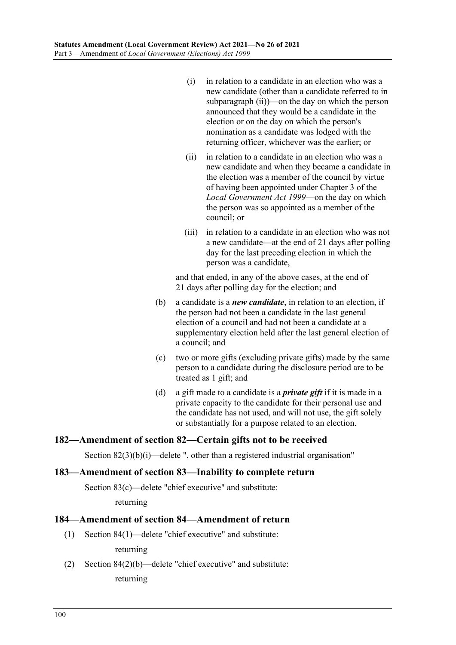- (i) in relation to a candidate in an election who was a new candidate (other than a candidate referred to in [subparagraph](#page-99-0) (ii))—on the day on which the person announced that they would be a candidate in the election or on the day on which the person's nomination as a candidate was lodged with the returning officer, whichever was the earlier; or
- <span id="page-99-0"></span>(ii) in relation to a candidate in an election who was a new candidate and when they became a candidate in the election was a member of the council by virtue of having been appointed under Chapter 3 of the *[Local Government Act](http://www.legislation.sa.gov.au/index.aspx?action=legref&type=act&legtitle=Local%20Government%20Act%201999) 1999*—on the day on which the person was so appointed as a member of the council; or
- (iii) in relation to a candidate in an election who was not a new candidate—at the end of 21 days after polling day for the last preceding election in which the person was a candidate,

and that ended, in any of the above cases, at the end of 21 days after polling day for the election; and

- (b) a candidate is a *new candidate*, in relation to an election, if the person had not been a candidate in the last general election of a council and had not been a candidate at a supplementary election held after the last general election of a council; and
- (c) two or more gifts (excluding private gifts) made by the same person to a candidate during the disclosure period are to be treated as 1 gift; and
- (d) a gift made to a candidate is a *private gift* if it is made in a private capacity to the candidate for their personal use and the candidate has not used, and will not use, the gift solely or substantially for a purpose related to an election.

# **182—Amendment of section 82—Certain gifts not to be received**

Section 82(3)(b)(i)—delete ", other than a registered industrial organisation"

#### **183—Amendment of section 83—Inability to complete return**

Section 83(c)—delete "chief executive" and substitute:

returning

### **184—Amendment of section 84—Amendment of return**

(1) Section 84(1)—delete "chief executive" and substitute:

returning

(2) Section 84(2)(b)—delete "chief executive" and substitute:

returning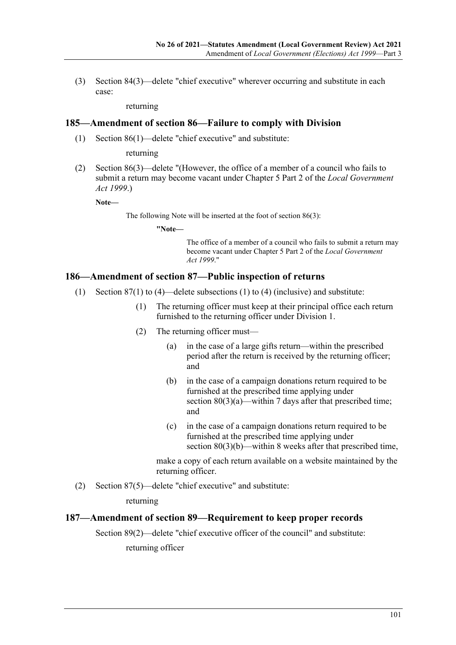(3) Section 84(3)—delete "chief executive" wherever occurring and substitute in each case:

returning

#### **185—Amendment of section 86—Failure to comply with Division**

(1) Section 86(1)—delete "chief executive" and substitute:

returning

(2) Section 86(3)—delete "(However, the office of a member of a council who fails to submit a return may become vacant under Chapter 5 Part 2 of the *[Local Government](http://www.legislation.sa.gov.au/index.aspx?action=legref&type=act&legtitle=Local%20Government%20Act%201999)  Act [1999](http://www.legislation.sa.gov.au/index.aspx?action=legref&type=act&legtitle=Local%20Government%20Act%201999)*.)

**Note—**

The following Note will be inserted at the foot of section 86(3):

**"Note—**

The office of a member of a council who fails to submit a return may become vacant under Chapter 5 Part 2 of the *[Local Government](http://www.legislation.sa.gov.au/index.aspx?action=legref&type=act&legtitle=Local%20Government%20Act%201999)  Act [1999](http://www.legislation.sa.gov.au/index.aspx?action=legref&type=act&legtitle=Local%20Government%20Act%201999)*."

#### **186—Amendment of section 87—Public inspection of returns**

- (1) Section  $87(1)$  to (4)—delete subsections (1) to (4) (inclusive) and substitute:
	- (1) The returning officer must keep at their principal office each return furnished to the returning officer under Division 1.
	- (2) The returning officer must—
		- (a) in the case of a large gifts return—within the prescribed period after the return is received by the returning officer; and
		- (b) in the case of a campaign donations return required to be furnished at the prescribed time applying under section 80(3)(a)—within 7 days after that prescribed time; and
		- (c) in the case of a campaign donations return required to be furnished at the prescribed time applying under section 80(3)(b)—within 8 weeks after that prescribed time,

make a copy of each return available on a website maintained by the returning officer.

(2) Section 87(5)—delete "chief executive" and substitute:

returning

#### **187—Amendment of section 89—Requirement to keep proper records**

Section 89(2)—delete "chief executive officer of the council" and substitute:

returning officer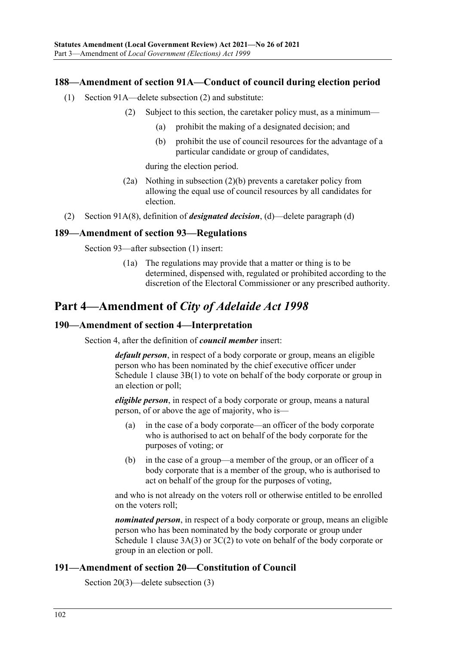### **188—Amendment of section 91A—Conduct of council during election period**

- <span id="page-101-0"></span>(1) Section 91A—delete subsection (2) and substitute:
	- (2) Subject to this section, the caretaker policy must, as a minimum—
		- (a) prohibit the making of a designated decision; and
		- (b) prohibit the use of council resources for the advantage of a particular candidate or group of candidates,

during the election period.

- (2a) Nothing in [subsection](#page-101-0) (2)(b) prevents a caretaker policy from allowing the equal use of council resources by all candidates for election.
- (2) Section 91A(8), definition of *designated decision*, (d)—delete paragraph (d)

### **189—Amendment of section 93—Regulations**

Section 93—after subsection (1) insert:

(1a) The regulations may provide that a matter or thing is to be determined, dispensed with, regulated or prohibited according to the discretion of the Electoral Commissioner or any prescribed authority.

# **Part 4—Amendment of** *City of Adelaide Act 1998*

#### **190—Amendment of section 4—Interpretation**

Section 4, after the definition of *council member* insert:

*default person*, in respect of a body corporate or group, means an eligible person who has been nominated by the chief executive officer under Schedule 1 clause 3B(1) to vote on behalf of the body corporate or group in an election or poll;

*eligible person*, in respect of a body corporate or group, means a natural person, of or above the age of majority, who is—

- (a) in the case of a body corporate—an officer of the body corporate who is authorised to act on behalf of the body corporate for the purposes of voting; or
- (b) in the case of a group—a member of the group, or an officer of a body corporate that is a member of the group, who is authorised to act on behalf of the group for the purposes of voting,

and who is not already on the voters roll or otherwise entitled to be enrolled on the voters roll;

*nominated person*, in respect of a body corporate or group, means an eligible person who has been nominated by the body corporate or group under Schedule 1 clause 3A(3) or 3C(2) to vote on behalf of the body corporate or group in an election or poll.

## **191—Amendment of section 20—Constitution of Council**

Section 20(3)—delete subsection (3)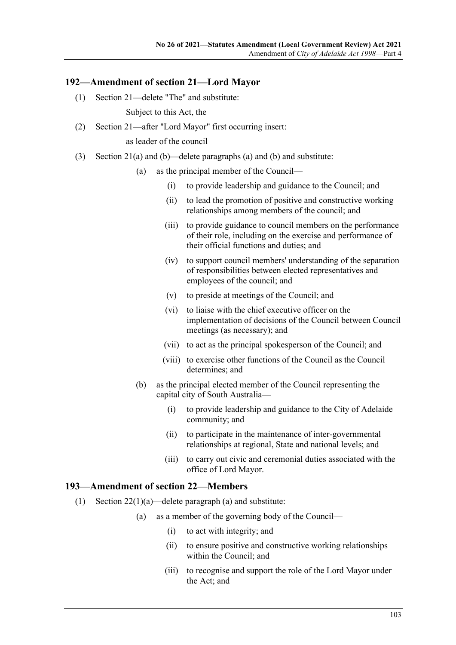#### **192—Amendment of section 21—Lord Mayor**

(1) Section 21—delete "The" and substitute:

Subject to this Act, the

(2) Section 21—after "Lord Mayor" first occurring insert:

as leader of the council

- (3) Section 21(a) and (b)—delete paragraphs (a) and (b) and substitute:
	- (a) as the principal member of the Council—
		- (i) to provide leadership and guidance to the Council; and
		- (ii) to lead the promotion of positive and constructive working relationships among members of the council; and
		- (iii) to provide guidance to council members on the performance of their role, including on the exercise and performance of their official functions and duties; and
		- (iv) to support council members' understanding of the separation of responsibilities between elected representatives and employees of the council; and
		- (v) to preside at meetings of the Council; and
		- (vi) to liaise with the chief executive officer on the implementation of decisions of the Council between Council meetings (as necessary); and
		- (vii) to act as the principal spokesperson of the Council; and
		- (viii) to exercise other functions of the Council as the Council determines; and
	- (b) as the principal elected member of the Council representing the capital city of South Australia—
		- (i) to provide leadership and guidance to the City of Adelaide community; and
		- (ii) to participate in the maintenance of inter-governmental relationships at regional, State and national levels; and
		- (iii) to carry out civic and ceremonial duties associated with the office of Lord Mayor.

#### **193—Amendment of section 22—Members**

- (1) Section  $22(1)(a)$ —delete paragraph (a) and substitute:
	- (a) as a member of the governing body of the Council—
		- (i) to act with integrity; and
		- (ii) to ensure positive and constructive working relationships within the Council; and
		- (iii) to recognise and support the role of the Lord Mayor under the Act; and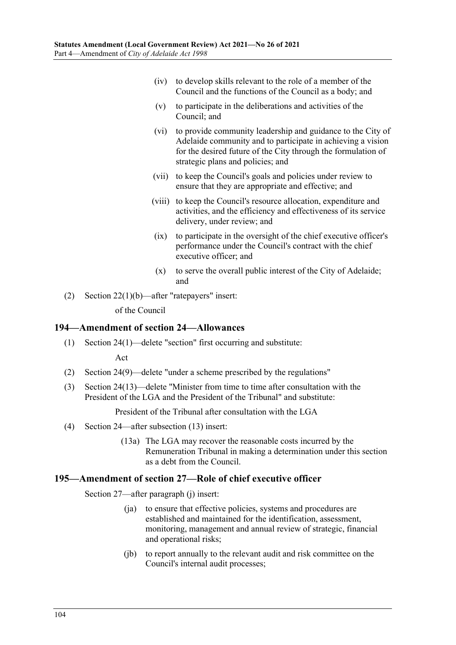- (iv) to develop skills relevant to the role of a member of the Council and the functions of the Council as a body; and
- (v) to participate in the deliberations and activities of the Council; and
- (vi) to provide community leadership and guidance to the City of Adelaide community and to participate in achieving a vision for the desired future of the City through the formulation of strategic plans and policies; and
- (vii) to keep the Council's goals and policies under review to ensure that they are appropriate and effective; and
- (viii) to keep the Council's resource allocation, expenditure and activities, and the efficiency and effectiveness of its service delivery, under review; and
- (ix) to participate in the oversight of the chief executive officer's performance under the Council's contract with the chief executive officer; and
- (x) to serve the overall public interest of the City of Adelaide; and
- (2) Section 22(1)(b)—after "ratepayers" insert:

of the Council

#### **194—Amendment of section 24—Allowances**

(1) Section 24(1)—delete "section" first occurring and substitute:

Act

- (2) Section 24(9)—delete "under a scheme prescribed by the regulations"
- (3) Section 24(13)—delete "Minister from time to time after consultation with the President of the LGA and the President of the Tribunal" and substitute:

President of the Tribunal after consultation with the LGA

- (4) Section 24—after subsection (13) insert:
	- (13a) The LGA may recover the reasonable costs incurred by the Remuneration Tribunal in making a determination under this section as a debt from the Council.

#### **195—Amendment of section 27—Role of chief executive officer**

Section 27—after paragraph (j) insert:

- (ja) to ensure that effective policies, systems and procedures are established and maintained for the identification, assessment, monitoring, management and annual review of strategic, financial and operational risks;
- (jb) to report annually to the relevant audit and risk committee on the Council's internal audit processes;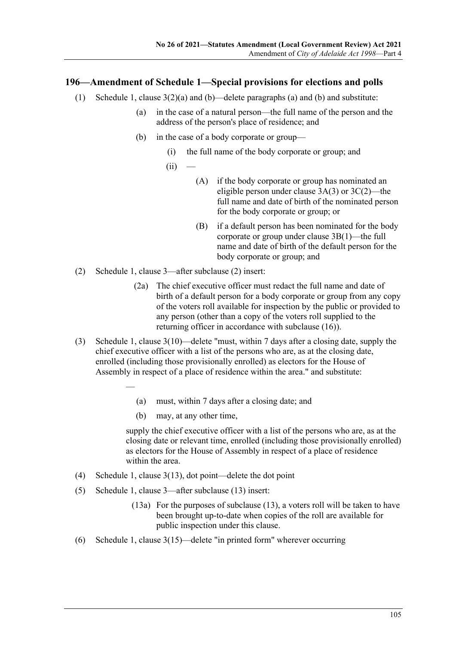## **196—Amendment of Schedule 1—Special provisions for elections and polls**

- (1) Schedule 1, clause  $3(2)(a)$  and (b)—delete paragraphs (a) and (b) and substitute:
	- (a) in the case of a natural person—the full name of the person and the address of the person's place of residence; and
	- (b) in the case of a body corporate or group—
		- (i) the full name of the body corporate or group; and
		- $(ii)$
- (A) if the body corporate or group has nominated an eligible person under clause 3A(3) or 3C(2)—the full name and date of birth of the nominated person for the body corporate or group; or
- (B) if a default person has been nominated for the body corporate or group under clause 3B(1)—the full name and date of birth of the default person for the body corporate or group; and
- (2) Schedule 1, clause 3—after subclause (2) insert:
	- (2a) The chief executive officer must redact the full name and date of birth of a default person for a body corporate or group from any copy of the voters roll available for inspection by the public or provided to any person (other than a copy of the voters roll supplied to the returning officer in accordance with subclause (16)).
- (3) Schedule 1, clause 3(10)—delete "must, within 7 days after a closing date, supply the chief executive officer with a list of the persons who are, as at the closing date, enrolled (including those provisionally enrolled) as electors for the House of Assembly in respect of a place of residence within the area." and substitute:
	- (a) must, within 7 days after a closing date; and
	- (b) may, at any other time,

supply the chief executive officer with a list of the persons who are, as at the closing date or relevant time, enrolled (including those provisionally enrolled) as electors for the House of Assembly in respect of a place of residence within the area.

- (4) Schedule 1, clause 3(13), dot point—delete the dot point
- (5) Schedule 1, clause 3—after subclause (13) insert:

—

- (13a) For the purposes of subclause (13), a voters roll will be taken to have been brought up-to-date when copies of the roll are available for public inspection under this clause.
- (6) Schedule 1, clause 3(15)—delete "in printed form" wherever occurring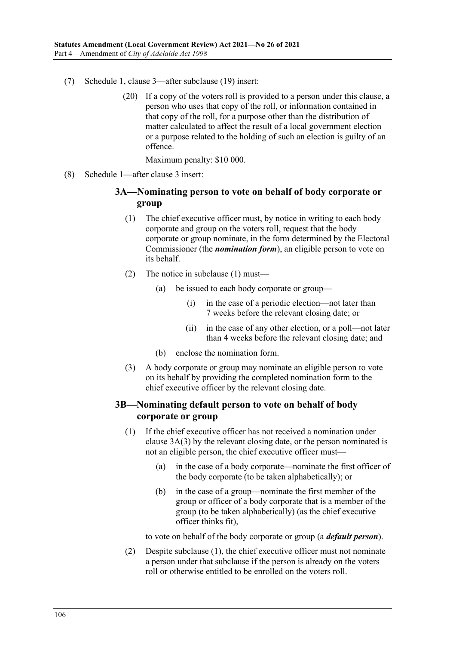- (7) Schedule 1, clause 3—after subclause (19) insert:
	- (20) If a copy of the voters roll is provided to a person under this clause, a person who uses that copy of the roll, or information contained in that copy of the roll, for a purpose other than the distribution of matter calculated to affect the result of a local government election or a purpose related to the holding of such an election is guilty of an offence.

Maximum penalty: \$10 000.

<span id="page-105-0"></span>(8) Schedule 1—after clause 3 insert:

# **3A—Nominating person to vote on behalf of body corporate or group**

- (1) The chief executive officer must, by notice in writing to each body corporate and group on the voters roll, request that the body corporate or group nominate, in the form determined by the Electoral Commissioner (the *nomination form*), an eligible person to vote on its behalf.
- (2) The notice in [subclause](#page-105-0) (1) must—
	- (a) be issued to each body corporate or group—
		- (i) in the case of a periodic election—not later than 7 weeks before the relevant closing date; or
		- (ii) in the case of any other election, or a poll—not later than 4 weeks before the relevant closing date; and
	- (b) enclose the nomination form.
- <span id="page-105-1"></span>(3) A body corporate or group may nominate an eligible person to vote on its behalf by providing the completed nomination form to the chief executive officer by the relevant closing date.

# <span id="page-105-2"></span>**3B—Nominating default person to vote on behalf of body corporate or group**

- (1) If the chief executive officer has not received a nomination under [clause](#page-105-1) 3A(3) by the relevant closing date, or the person nominated is not an eligible person, the chief executive officer must—
	- (a) in the case of a body corporate—nominate the first officer of the body corporate (to be taken alphabetically); or
	- (b) in the case of a group—nominate the first member of the group or officer of a body corporate that is a member of the group (to be taken alphabetically) (as the chief executive officer thinks fit),

to vote on behalf of the body corporate or group (a *default person*).

(2) Despite [subclause](#page-105-2) (1), the chief executive officer must not nominate a person under that subclause if the person is already on the voters roll or otherwise entitled to be enrolled on the voters roll.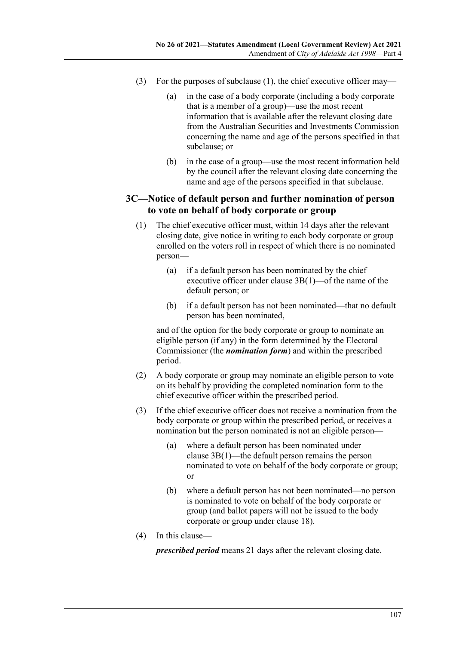- (3) For the purposes of [subclause](#page-105-2) (1), the chief executive officer may—
	- (a) in the case of a body corporate (including a body corporate that is a member of a group)—use the most recent information that is available after the relevant closing date from the Australian Securities and Investments Commission concerning the name and age of the persons specified in that subclause; or
	- (b) in the case of a group—use the most recent information held by the council after the relevant closing date concerning the name and age of the persons specified in that subclause.

### **3C—Notice of default person and further nomination of person to vote on behalf of body corporate or group**

- (1) The chief executive officer must, within 14 days after the relevant closing date, give notice in writing to each body corporate or group enrolled on the voters roll in respect of which there is no nominated person—
	- (a) if a default person has been nominated by the chief executive officer under [clause](#page-105-2) 3B(1)—of the name of the default person; or
	- (b) if a default person has not been nominated—that no default person has been nominated,

and of the option for the body corporate or group to nominate an eligible person (if any) in the form determined by the Electoral Commissioner (the *nomination form*) and within the prescribed period.

- (2) A body corporate or group may nominate an eligible person to vote on its behalf by providing the completed nomination form to the chief executive officer within the prescribed period.
- (3) If the chief executive officer does not receive a nomination from the body corporate or group within the prescribed period, or receives a nomination but the person nominated is not an eligible person—
	- (a) where a default person has been nominated under clause [3B\(1\)—](#page-105-2)the default person remains the person nominated to vote on behalf of the body corporate or group; or
	- (b) where a default person has not been nominated—no person is nominated to vote on behalf of the body corporate or group (and ballot papers will not be issued to the body corporate or group under clause 18).
- (4) In this clause—

*prescribed period* means 21 days after the relevant closing date.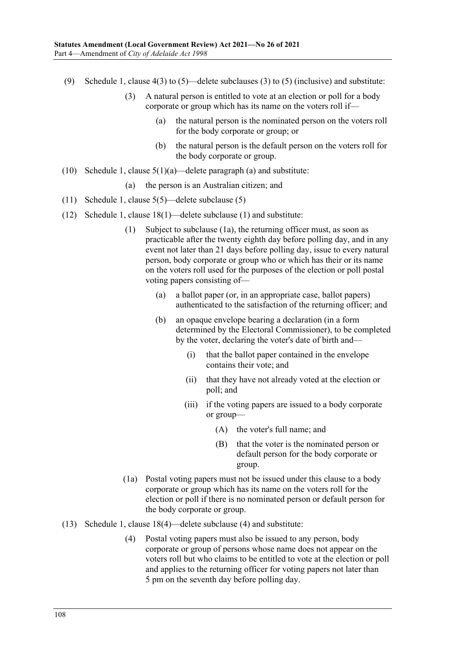- (9) Schedule 1, clause  $4(3)$  to  $(5)$ —delete subclauses (3) to (5) (inclusive) and substitute:
	- (3) A natural person is entitled to vote at an election or poll for a body corporate or group which has its name on the voters roll if—
		- (a) the natural person is the nominated person on the voters roll for the body corporate or group; or
		- (b) the natural person is the default person on the voters roll for the body corporate or group.
- (10) Schedule 1, clause  $5(1)(a)$ —delete paragraph (a) and substitute:

(a) the person is an Australian citizen; and

- (11) Schedule 1, clause 5(5)—delete subclause (5)
- (12) Schedule 1, clause 18(1)—delete subclause (1) and substitute:
	- (1) Subject to subclause (1a), the returning officer must, as soon as practicable after the twenty eighth day before polling day, and in any event not later than 21 days before polling day, issue to every natural person, body corporate or group who or which has their or its name on the voters roll used for the purposes of the election or poll postal voting papers consisting of—
		- (a) a ballot paper (or, in an appropriate case, ballot papers) authenticated to the satisfaction of the returning officer; and
		- (b) an opaque envelope bearing a declaration (in a form determined by the Electoral Commissioner), to be completed by the voter, declaring the voter's date of birth and—
			- (i) that the ballot paper contained in the envelope contains their vote; and
			- (ii) that they have not already voted at the election or poll; and
			- (iii) if the voting papers are issued to a body corporate or group—
				- (A) the voter's full name; and
				- (B) that the voter is the nominated person or default person for the body corporate or group.
	- (1a) Postal voting papers must not be issued under this clause to a body corporate or group which has its name on the voters roll for the election or poll if there is no nominated person or default person for the body corporate or group.
- (13) Schedule 1, clause 18(4)—delete subclause (4) and substitute:
	- (4) Postal voting papers must also be issued to any person, body corporate or group of persons whose name does not appear on the voters roll but who claims to be entitled to vote at the election or poll and applies to the returning officer for voting papers not later than 5 pm on the seventh day before polling day.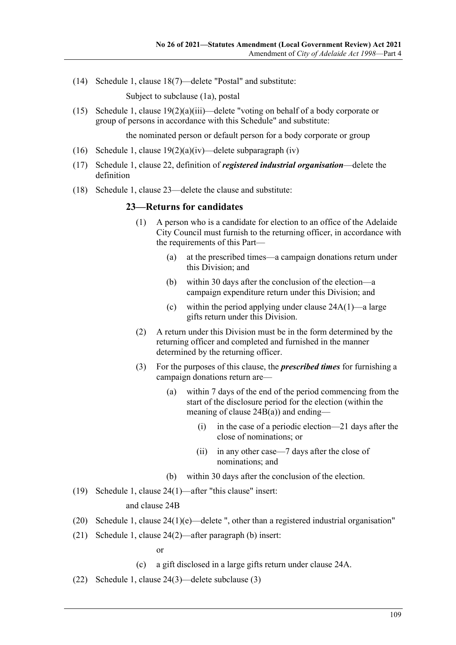(14) Schedule 1, clause 18(7)—delete "Postal" and substitute:

Subject to subclause (1a), postal

(15) Schedule 1, clause 19(2)(a)(iii)—delete "voting on behalf of a body corporate or group of persons in accordance with this Schedule" and substitute:

the nominated person or default person for a body corporate or group

- (16) Schedule 1, clause  $19(2)(a)(iv)$ —delete subparagraph (iv)
- (17) Schedule 1, clause 22, definition of *registered industrial organisation*—delete the definition
- (18) Schedule 1, clause 23—delete the clause and substitute:

### **23—Returns for candidates**

- (1) A person who is a candidate for election to an office of the Adelaide City Council must furnish to the returning officer, in accordance with the requirements of this Part—
	- (a) at the prescribed times—a campaign donations return under this Division; and
	- (b) within 30 days after the conclusion of the election—a campaign expenditure return under this Division; and
	- (c) within the period applying under clause 24A(1)—a large gifts return under this Division.
- (2) A return under this Division must be in the form determined by the returning officer and completed and furnished in the manner determined by the returning officer.
- (3) For the purposes of this clause, the *prescribed times* for furnishing a campaign donations return are—
	- (a) within 7 days of the end of the period commencing from the start of the disclosure period for the election (within the meaning of clause  $24B(a)$ ) and ending—
		- (i) in the case of a periodic election—21 days after the close of nominations; or
		- (ii) in any other case—7 days after the close of nominations; and
	- (b) within 30 days after the conclusion of the election.
- (19) Schedule 1, clause 24(1)—after "this clause" insert:

### and clause 24B

- (20) Schedule 1, clause  $24(1)(e)$ —delete ", other than a registered industrial organisation"
- (21) Schedule 1, clause 24(2)—after paragraph (b) insert:

or

(c) a gift disclosed in a large gifts return under clause 24A.

(22) Schedule 1, clause 24(3)—delete subclause (3)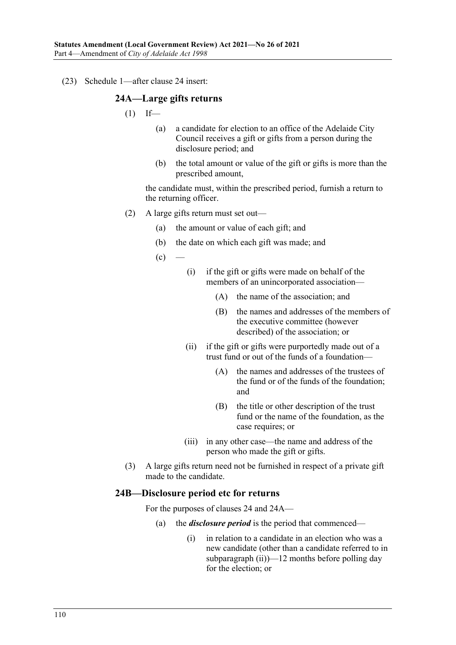(23) Schedule 1—after clause 24 insert:

### **24A—Large gifts returns**

- $(1)$  If—
	- (a) a candidate for election to an office of the Adelaide City Council receives a gift or gifts from a person during the disclosure period; and
	- (b) the total amount or value of the gift or gifts is more than the prescribed amount,

the candidate must, within the prescribed period, furnish a return to the returning officer.

- (2) A large gifts return must set out—
	- (a) the amount or value of each gift; and
	- (b) the date on which each gift was made; and
	- $(c)$
- (i) if the gift or gifts were made on behalf of the members of an unincorporated association—
	- (A) the name of the association; and
	- (B) the names and addresses of the members of the executive committee (however described) of the association; or
- (ii) if the gift or gifts were purportedly made out of a trust fund or out of the funds of a foundation—
	- (A) the names and addresses of the trustees of the fund or of the funds of the foundation; and
	- (B) the title or other description of the trust fund or the name of the foundation, as the case requires; or
- (iii) in any other case—the name and address of the person who made the gift or gifts.
- (3) A large gifts return need not be furnished in respect of a private gift made to the candidate.

### **24B—Disclosure period etc for returns**

For the purposes of clauses 24 and 24A—

- (a) the *disclosure period* is the period that commenced—
	- (i) in relation to a candidate in an election who was a new candidate (other than a candidate referred to in [subparagraph](#page-110-0)  $(ii)$ )—12 months before polling day for the election; or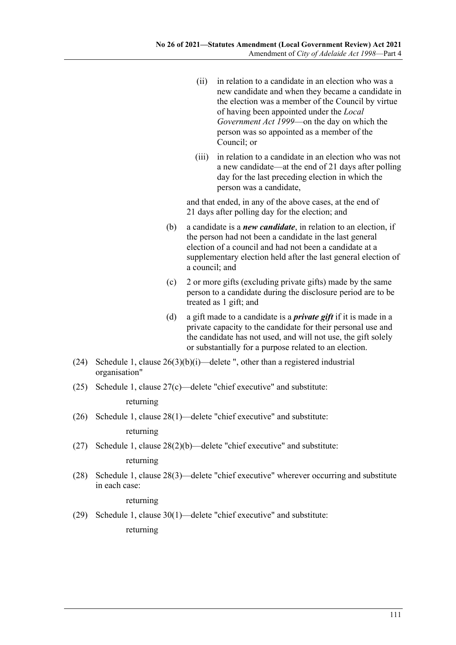- <span id="page-110-0"></span>(ii) in relation to a candidate in an election who was a new candidate and when they became a candidate in the election was a member of the Council by virtue of having been appointed under the *[Local](http://www.legislation.sa.gov.au/index.aspx?action=legref&type=act&legtitle=Local%20Government%20Act%201999)  [Government Act](http://www.legislation.sa.gov.au/index.aspx?action=legref&type=act&legtitle=Local%20Government%20Act%201999) 1999*—on the day on which the person was so appointed as a member of the Council; or
- (iii) in relation to a candidate in an election who was not a new candidate—at the end of 21 days after polling day for the last preceding election in which the person was a candidate,

and that ended, in any of the above cases, at the end of 21 days after polling day for the election; and

- (b) a candidate is a *new candidate*, in relation to an election, if the person had not been a candidate in the last general election of a council and had not been a candidate at a supplementary election held after the last general election of a council; and
- (c) 2 or more gifts (excluding private gifts) made by the same person to a candidate during the disclosure period are to be treated as 1 gift; and
- (d) a gift made to a candidate is a *private gift* if it is made in a private capacity to the candidate for their personal use and the candidate has not used, and will not use, the gift solely or substantially for a purpose related to an election.
- (24) Schedule 1, clause  $26(3)(b)(i)$ —delete ", other than a registered industrial organisation"
- (25) Schedule 1, clause 27(c)—delete "chief executive" and substitute:

returning

(26) Schedule 1, clause 28(1)—delete "chief executive" and substitute:

returning

(27) Schedule 1, clause 28(2)(b)—delete "chief executive" and substitute:

### returning

(28) Schedule 1, clause 28(3)—delete "chief executive" wherever occurring and substitute in each case:

returning

(29) Schedule 1, clause 30(1)—delete "chief executive" and substitute:

returning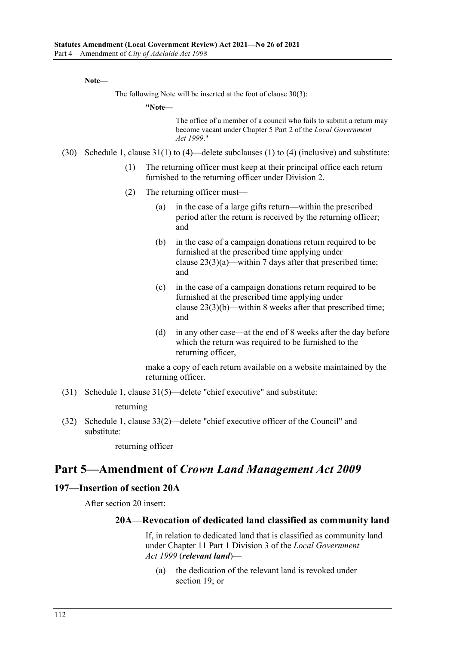**Note—**

The following Note will be inserted at the foot of clause 30(3):

**"Note—**

The office of a member of a council who fails to submit a return may become vacant under Chapter 5 Part 2 of the *[Local Government](http://www.legislation.sa.gov.au/index.aspx?action=legref&type=act&legtitle=Local%20Government%20Act%201999)  Act [1999](http://www.legislation.sa.gov.au/index.aspx?action=legref&type=act&legtitle=Local%20Government%20Act%201999)*."

- (30) Schedule 1, clause 31(1) to (4)—delete subclauses (1) to (4) (inclusive) and substitute:
	- (1) The returning officer must keep at their principal office each return furnished to the returning officer under Division 2.
	- (2) The returning officer must—
		- (a) in the case of a large gifts return—within the prescribed period after the return is received by the returning officer; and
		- (b) in the case of a campaign donations return required to be furnished at the prescribed time applying under clause  $23(3)(a)$ —within 7 days after that prescribed time; and
		- (c) in the case of a campaign donations return required to be furnished at the prescribed time applying under clause 23(3)(b)—within 8 weeks after that prescribed time; and
		- (d) in any other case—at the end of 8 weeks after the day before which the return was required to be furnished to the returning officer,

make a copy of each return available on a website maintained by the returning officer.

(31) Schedule 1, clause 31(5)—delete "chief executive" and substitute:

returning

(32) Schedule 1, clause 33(2)—delete "chief executive officer of the Council" and substitute:

returning officer

# **Part 5—Amendment of** *Crown Land Management Act 2009*

### **197—Insertion of section 20A**

After section 20 insert:

### **20A—Revocation of dedicated land classified as community land**

If, in relation to dedicated land that is classified as community land under Chapter 11 Part 1 Division 3 of the *[Local Government](http://www.legislation.sa.gov.au/index.aspx?action=legref&type=act&legtitle=Local%20Government%20Act%201999)  Act [1999](http://www.legislation.sa.gov.au/index.aspx?action=legref&type=act&legtitle=Local%20Government%20Act%201999)* (*relevant land*)—

(a) the dedication of the relevant land is revoked under section 19; or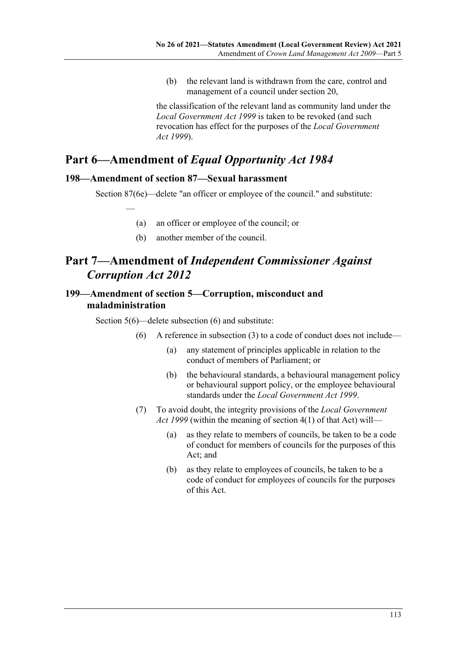(b) the relevant land is withdrawn from the care, control and management of a council under section 20,

the classification of the relevant land as community land under the *[Local Government Act](http://www.legislation.sa.gov.au/index.aspx?action=legref&type=act&legtitle=Local%20Government%20Act%201999) 1999* is taken to be revoked (and such revocation has effect for the purposes of the *[Local Government](http://www.legislation.sa.gov.au/index.aspx?action=legref&type=act&legtitle=Local%20Government%20Act%201999)  Act [1999](http://www.legislation.sa.gov.au/index.aspx?action=legref&type=act&legtitle=Local%20Government%20Act%201999)*).

# **Part 6—Amendment of** *Equal Opportunity Act 1984*

# **198—Amendment of section 87—Sexual harassment**

—

Section 87(6e)—delete "an officer or employee of the council." and substitute:

- (a) an officer or employee of the council; or
- (b) another member of the council.

# **Part 7—Amendment of** *Independent Commissioner Against Corruption Act 2012*

# **199—Amendment of section 5—Corruption, misconduct and maladministration**

Section 5(6)—delete subsection (6) and substitute:

- (6) A reference in subsection  $(3)$  to a code of conduct does not include—
	- (a) any statement of principles applicable in relation to the conduct of members of Parliament; or
	- (b) the behavioural standards, a behavioural management policy or behavioural support policy, or the employee behavioural standards under the *[Local Government Act](http://www.legislation.sa.gov.au/index.aspx?action=legref&type=act&legtitle=Local%20Government%20Act%201999) 1999*.
- (7) To avoid doubt, the integrity provisions of the *[Local Government](http://www.legislation.sa.gov.au/index.aspx?action=legref&type=act&legtitle=Local%20Government%20Act%201999)  Act [1999](http://www.legislation.sa.gov.au/index.aspx?action=legref&type=act&legtitle=Local%20Government%20Act%201999)* (within the meaning of section 4(1) of that Act) will—
	- (a) as they relate to members of councils, be taken to be a code of conduct for members of councils for the purposes of this Act; and
	- (b) as they relate to employees of councils, be taken to be a code of conduct for employees of councils for the purposes of this Act.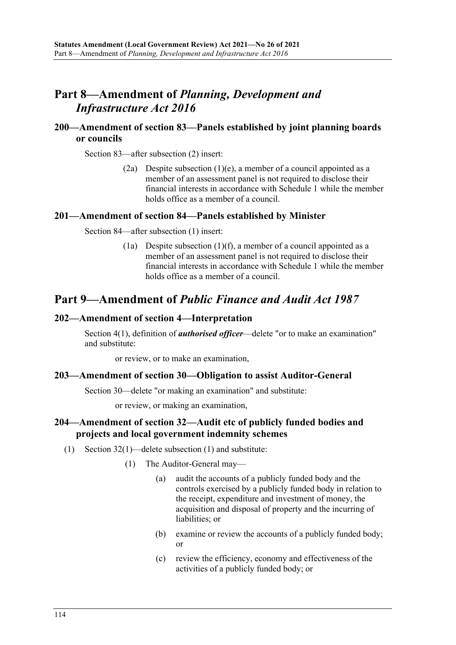# **Part 8—Amendment of** *Planning, Development and Infrastructure Act 2016*

## **200—Amendment of section 83—Panels established by joint planning boards or councils**

Section 83—after subsection (2) insert:

(2a) Despite subsection  $(1)(e)$ , a member of a council appointed as a member of an assessment panel is not required to disclose their financial interests in accordance with Schedule 1 while the member holds office as a member of a council.

### **201—Amendment of section 84—Panels established by Minister**

Section 84—after subsection (1) insert:

(1a) Despite subsection  $(1)(f)$ , a member of a council appointed as a member of an assessment panel is not required to disclose their financial interests in accordance with Schedule 1 while the member holds office as a member of a council.

# **Part 9—Amendment of** *Public Finance and Audit Act 1987*

# **202—Amendment of section 4—Interpretation**

Section 4(1), definition of *authorised officer*—delete "or to make an examination" and substitute:

or review, or to make an examination,

### **203—Amendment of section 30—Obligation to assist Auditor-General**

Section 30—delete "or making an examination" and substitute:

or review, or making an examination,

# **204—Amendment of section 32—Audit etc of publicly funded bodies and projects and local government indemnity schemes**

- (1) Section 32(1)—delete subsection (1) and substitute:
	- (1) The Auditor-General may—
		- (a) audit the accounts of a publicly funded body and the controls exercised by a publicly funded body in relation to the receipt, expenditure and investment of money, the acquisition and disposal of property and the incurring of liabilities; or
		- (b) examine or review the accounts of a publicly funded body; or
		- (c) review the efficiency, economy and effectiveness of the activities of a publicly funded body; or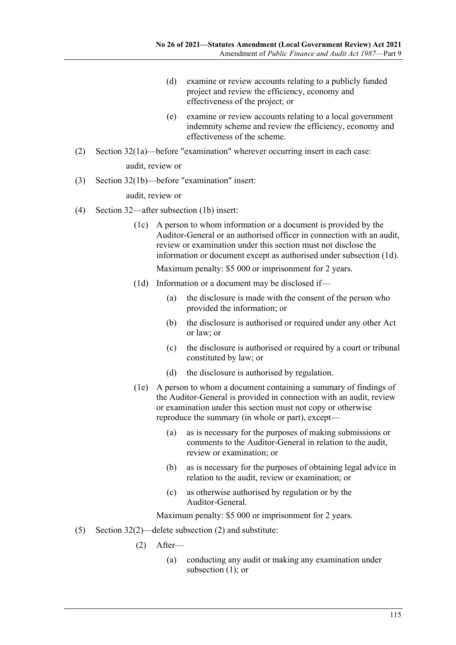- (d) examine or review accounts relating to a publicly funded project and review the efficiency, economy and effectiveness of the project; or
- (e) examine or review accounts relating to a local government indemnity scheme and review the efficiency, economy and effectiveness of the scheme.
- (2) Section 32(1a)—before "examination" wherever occurring insert in each case:

audit, review or

(3) Section 32(1b)—before "examination" insert:

audit, review or

- (4) Section 32—after subsection (1b) insert:
	- (1c) A person to whom information or a document is provided by the Auditor-General or an authorised officer in connection with an audit, review or examination under this section must not disclose the information or document except as authorised under [subsection](#page-114-0) (1d).

Maximum penalty: \$5 000 or imprisonment for 2 years.

- <span id="page-114-0"></span>(1d) Information or a document may be disclosed if—
	- (a) the disclosure is made with the consent of the person who provided the information; or
	- (b) the disclosure is authorised or required under any other Act or law; or
	- (c) the disclosure is authorised or required by a court or tribunal constituted by law; or
	- (d) the disclosure is authorised by regulation.
- (1e) A person to whom a document containing a summary of findings of the Auditor-General is provided in connection with an audit, review or examination under this section must not copy or otherwise reproduce the summary (in whole or part), except—
	- (a) as is necessary for the purposes of making submissions or comments to the Auditor-General in relation to the audit, review or examination; or
	- (b) as is necessary for the purposes of obtaining legal advice in relation to the audit, review or examination; or
	- (c) as otherwise authorised by regulation or by the Auditor-General.

Maximum penalty: \$5 000 or imprisonment for 2 years.

- (5) Section 32(2)—delete subsection (2) and substitute:
	- (2) After—
		- (a) conducting any audit or making any examination under subsection (1); or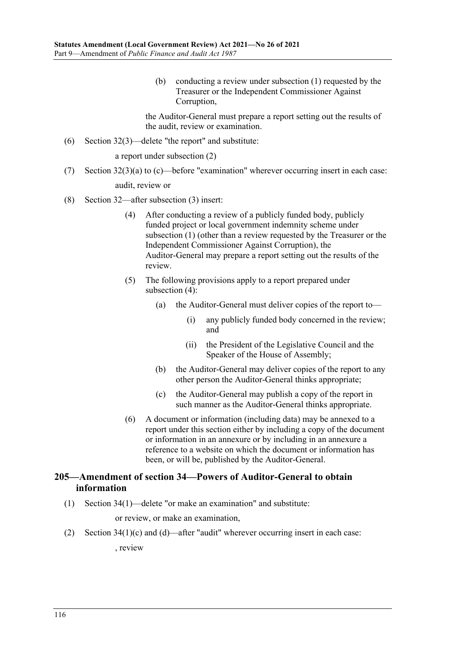(b) conducting a review under subsection (1) requested by the Treasurer or the Independent Commissioner Against Corruption,

the Auditor-General must prepare a report setting out the results of the audit, review or examination.

(6) Section 32(3)—delete "the report" and substitute:

a report under subsection (2)

(7) Section 32(3)(a) to (c)—before "examination" wherever occurring insert in each case:

audit, review or

- <span id="page-115-0"></span>(8) Section 32—after subsection (3) insert:
	- (4) After conducting a review of a publicly funded body, publicly funded project or local government indemnity scheme under subsection (1) (other than a review requested by the Treasurer or the Independent Commissioner Against Corruption), the Auditor-General may prepare a report setting out the results of the review.
	- (5) The following provisions apply to a report prepared under [subsection](#page-115-0) (4):
		- (a) the Auditor-General must deliver copies of the report to—
			- (i) any publicly funded body concerned in the review; and
			- (ii) the President of the Legislative Council and the Speaker of the House of Assembly;
		- (b) the Auditor-General may deliver copies of the report to any other person the Auditor-General thinks appropriate;
		- (c) the Auditor-General may publish a copy of the report in such manner as the Auditor-General thinks appropriate.
	- (6) A document or information (including data) may be annexed to a report under this section either by including a copy of the document or information in an annexure or by including in an annexure a reference to a website on which the document or information has been, or will be, published by the Auditor-General.

# **205—Amendment of section 34—Powers of Auditor-General to obtain information**

(1) Section 34(1)—delete "or make an examination" and substitute:

or review, or make an examination,

(2) Section 34(1)(c) and (d)—after "audit" wherever occurring insert in each case:

, review